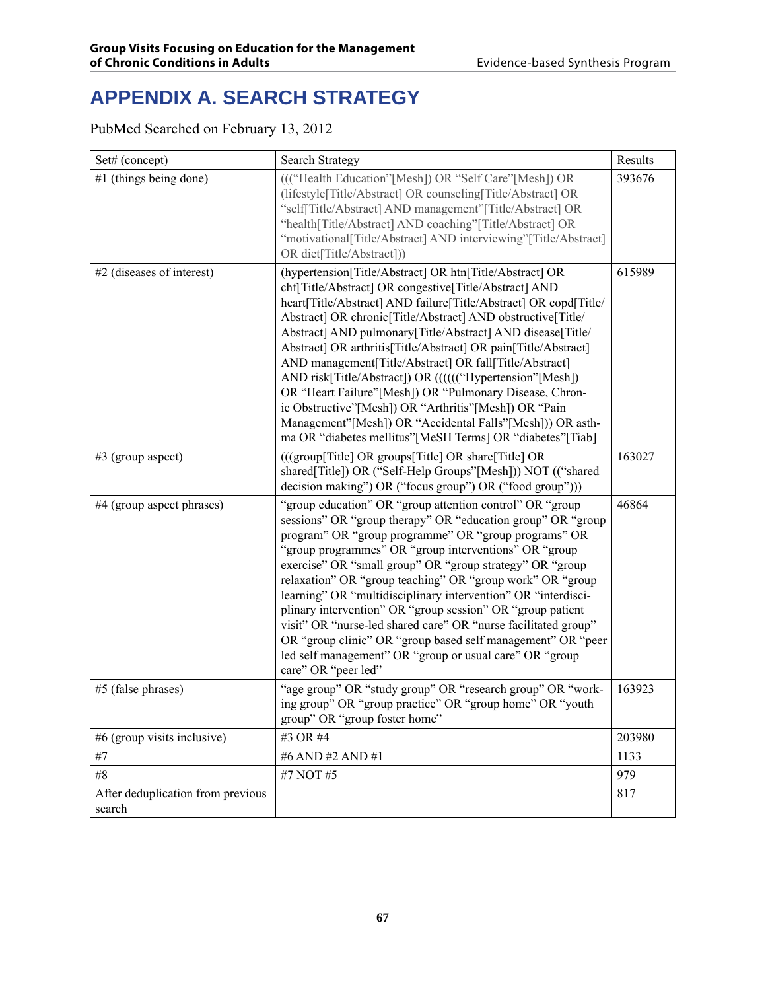# **APPENDIX A. SEARCH STRATEGY**

PubMed Searched on February 13, 2012

| Set# (concept)                              | <b>Search Strategy</b>                                                                                                                                                                                                                                                                                                                                                                                                                                                                                                                                                                                                                                                                                                                                  | Results |
|---------------------------------------------|---------------------------------------------------------------------------------------------------------------------------------------------------------------------------------------------------------------------------------------------------------------------------------------------------------------------------------------------------------------------------------------------------------------------------------------------------------------------------------------------------------------------------------------------------------------------------------------------------------------------------------------------------------------------------------------------------------------------------------------------------------|---------|
| #1 (things being done)                      | ((("Health Education"[Mesh]) OR "Self Care"[Mesh]) OR<br>(lifestyle[Title/Abstract] OR counseling[Title/Abstract] OR<br>"self[Title/Abstract] AND management"[Title/Abstract] OR<br>"health[Title/Abstract] AND coaching"[Title/Abstract] OR<br>"motivational[Title/Abstract] AND interviewing"[Title/Abstract]<br>OR diet[Title/Abstract]))                                                                                                                                                                                                                                                                                                                                                                                                            | 393676  |
| #2 (diseases of interest)                   | (hypertension[Title/Abstract] OR htn[Title/Abstract] OR<br>chf[Title/Abstract] OR congestive[Title/Abstract] AND<br>heart[Title/Abstract] AND failure[Title/Abstract] OR copd[Title/<br>Abstract] OR chronic[Title/Abstract] AND obstructive[Title/<br>Abstract] AND pulmonary[Title/Abstract] AND disease[Title/<br>Abstract] OR arthritis[Title/Abstract] OR pain[Title/Abstract]<br>AND management[Title/Abstract] OR fall[Title/Abstract]<br>AND risk[Title/Abstract]) OR (((((("Hypertension"[Mesh])<br>OR "Heart Failure"[Mesh]) OR "Pulmonary Disease, Chron-<br>ic Obstructive"[Mesh]) OR "Arthritis"[Mesh]) OR "Pain<br>Management"[Mesh]) OR "Accidental Falls"[Mesh])) OR asth-<br>ma OR "diabetes mellitus"[MeSH Terms] OR "diabetes"[Tiab] | 615989  |
| $#3$ (group aspect)                         | (((group[Title] OR groups[Title] OR share[Title] OR<br>shared[Title]) OR ("Self-Help Groups"[Mesh])) NOT (("shared<br>decision making") OR ("focus group") OR ("food group")))                                                                                                                                                                                                                                                                                                                                                                                                                                                                                                                                                                          | 163027  |
| #4 (group aspect phrases)                   | "group education" OR "group attention control" OR "group<br>sessions" OR "group therapy" OR "education group" OR "group<br>program" OR "group programme" OR "group programs" OR<br>"group programmes" OR "group interventions" OR "group<br>exercise" OR "small group" OR "group strategy" OR "group<br>relaxation" OR "group teaching" OR "group work" OR "group<br>learning" OR "multidisciplinary intervention" OR "interdisci-<br>plinary intervention" OR "group session" OR "group patient<br>visit" OR "nurse-led shared care" OR "nurse facilitated group"<br>OR "group clinic" OR "group based self management" OR "peer<br>led self management" OR "group or usual care" OR "group<br>care" OR "peer led"                                     | 46864   |
| #5 (false phrases)                          | "age group" OR "study group" OR "research group" OR "work-<br>ing group" OR "group practice" OR "group home" OR "youth<br>group" OR "group foster home"                                                                                                                                                                                                                                                                                                                                                                                                                                                                                                                                                                                                 | 163923  |
| #6 (group visits inclusive)                 | #3 OR #4                                                                                                                                                                                                                                                                                                                                                                                                                                                                                                                                                                                                                                                                                                                                                | 203980  |
| #7                                          | #6 AND #2 AND #1                                                                                                                                                                                                                                                                                                                                                                                                                                                                                                                                                                                                                                                                                                                                        | 1133    |
| #8                                          | #7 NOT #5                                                                                                                                                                                                                                                                                                                                                                                                                                                                                                                                                                                                                                                                                                                                               | 979     |
| After deduplication from previous<br>search |                                                                                                                                                                                                                                                                                                                                                                                                                                                                                                                                                                                                                                                                                                                                                         | 817     |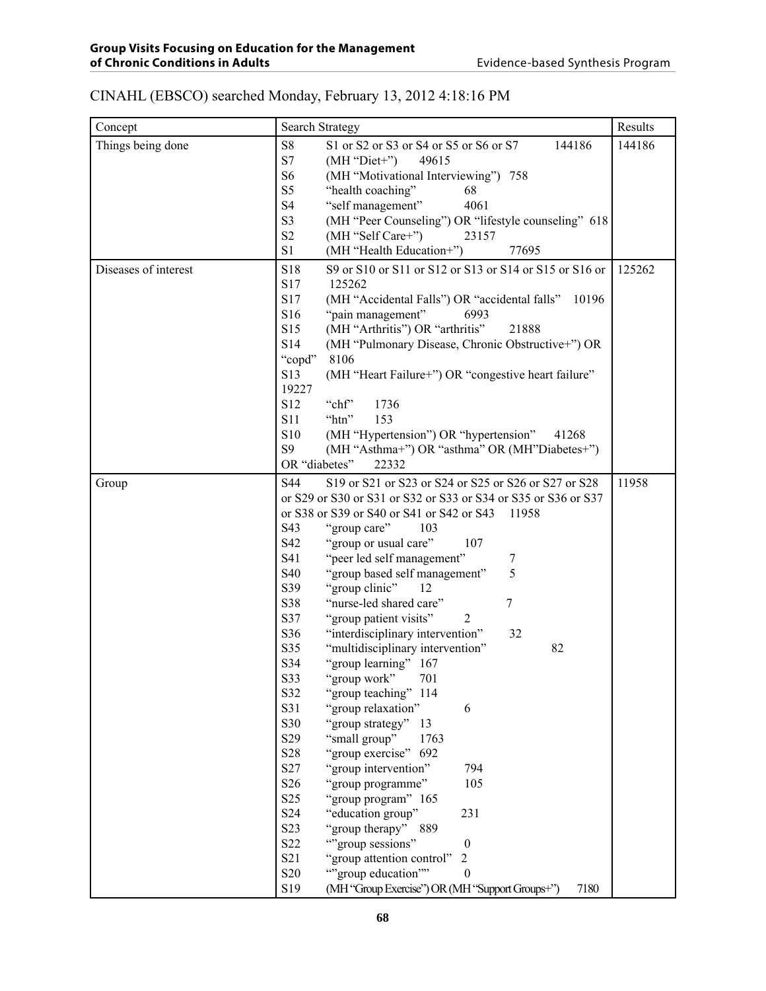### CINAHL (EBSCO) searched Monday, February 13, 2012 4:18:16 PM

| Concept              | Search Strategy                                                     | Results |
|----------------------|---------------------------------------------------------------------|---------|
| Things being done    | S8<br>S1 or S2 or S3 or S4 or S5 or S6 or S7<br>144186              | 144186  |
|                      | S7<br>$(MH "Diet+")$<br>49615                                       |         |
|                      | S <sub>6</sub><br>(MH "Motivational Interviewing") 758              |         |
|                      | S <sub>5</sub><br>"health coaching"<br>68                           |         |
|                      | <b>S4</b><br>"self management"<br>4061                              |         |
|                      | S3<br>(MH "Peer Counseling") OR "lifestyle counseling" 618          |         |
|                      | S2<br>(MH "Self Care+")<br>23157                                    |         |
|                      | S1<br>(MH "Health Education+")<br>77695                             |         |
| Diseases of interest | S18<br>S9 or S10 or S11 or S12 or S13 or S14 or S15 or S16 or       | 125262  |
|                      | S17<br>125262                                                       |         |
|                      | S17<br>(MH "Accidental Falls") OR "accidental falls"<br>10196       |         |
|                      | S16<br>"pain management"<br>6993                                    |         |
|                      | S15<br>(MH "Arthritis") OR "arthritis"<br>21888                     |         |
|                      | S14<br>(MH "Pulmonary Disease, Chronic Obstructive+") OR            |         |
|                      | 8106<br>"copd"                                                      |         |
|                      | S13<br>(MH "Heart Failure+") OR "congestive heart failure"          |         |
|                      | 19227                                                               |         |
|                      | S12<br>"chf"<br>1736                                                |         |
|                      | <b>S11</b><br>153<br>"htn"                                          |         |
|                      | S10<br>(MH "Hypertension") OR "hypertension"<br>41268               |         |
|                      | S9<br>(MH "Asthma+") OR "asthma" OR (MH"Diabetes+")                 |         |
|                      | OR "diabetes"<br>22332                                              |         |
| Group                | S44<br>S19 or S21 or S23 or S24 or S25 or S26 or S27 or S28         | 11958   |
|                      | or S29 or S30 or S31 or S32 or S33 or S34 or S35 or S36 or S37      |         |
|                      | or S38 or S39 or S40 or S41 or S42 or S43<br>11958                  |         |
|                      | S43<br>"group care"<br>103                                          |         |
|                      | S42<br>"group or usual care"<br>107                                 |         |
|                      | S41<br>"peer led self management"<br>7<br>5                         |         |
|                      | S40<br>"group based self management"<br>S39<br>"group clinic"<br>12 |         |
|                      | S38<br>"nurse-led shared care"<br>7                                 |         |
|                      | S37<br>"group patient visits"<br>2                                  |         |
|                      | S36<br>"interdisciplinary intervention"<br>32                       |         |
|                      | S35<br>"multidisciplinary intervention"<br>82                       |         |
|                      | S34<br>"group learning" 167                                         |         |
|                      | S33<br>"group work" 701                                             |         |
|                      | S32<br>"group teaching"<br>114                                      |         |
|                      | S31<br>"group relaxation"<br>6                                      |         |
|                      | S30<br>"group strategy"<br>13                                       |         |
|                      | S29<br>"small group"<br>1763                                        |         |
|                      | S <sub>28</sub><br>"group exercise"<br>692                          |         |
|                      | S <sub>27</sub><br>"group intervention"<br>794                      |         |
|                      | S <sub>26</sub><br>"group programme"<br>105                         |         |
|                      | S <sub>25</sub><br>"group program" 165                              |         |
|                      | S <sub>24</sub><br>"education group"<br>231                         |         |
|                      | S <sub>2</sub> 3<br>"group therapy"<br>889                          |         |
|                      | S <sub>22</sub><br>"group sessions"<br>$\boldsymbol{0}$             |         |
|                      | S21<br>"group attention control"<br>$\overline{c}$                  |         |
|                      | S <sub>20</sub><br>""group education""<br>$\boldsymbol{0}$          |         |
|                      | S19<br>(MH "Group Exercise") OR (MH "Support Groups+")<br>7180      |         |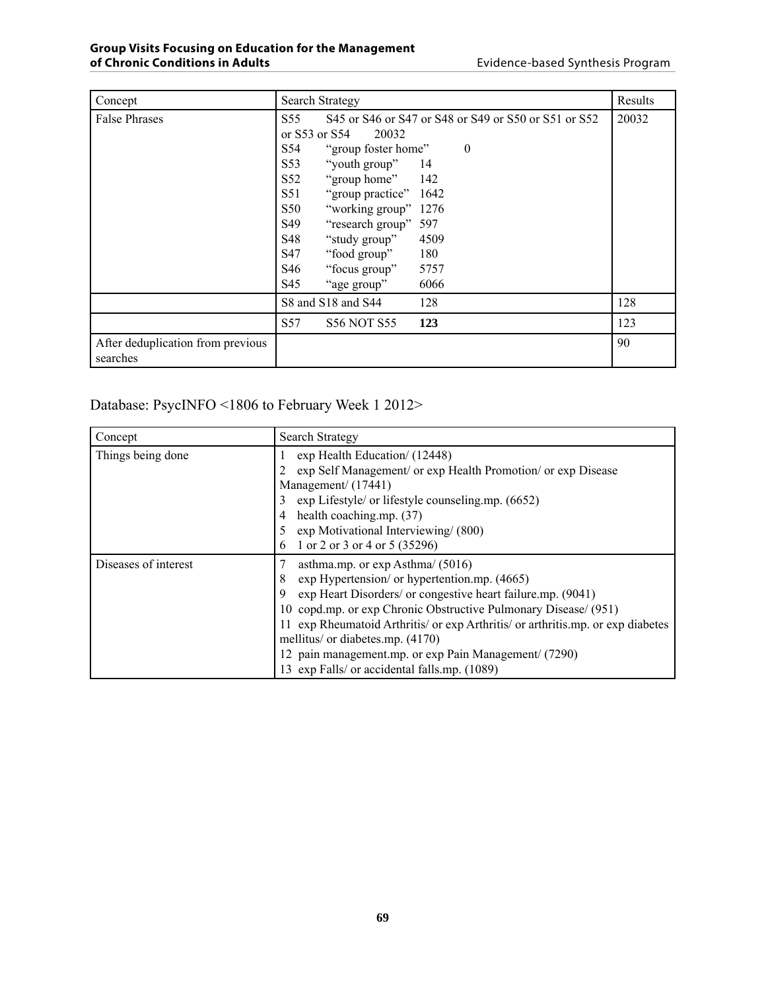| Concept                                       | Search Strategy             |                           |                                                      | Results |  |  |  |  |  |
|-----------------------------------------------|-----------------------------|---------------------------|------------------------------------------------------|---------|--|--|--|--|--|
| <b>False Phrases</b>                          | S55                         |                           | S45 or S46 or S47 or S48 or S49 or S50 or S51 or S52 | 20032   |  |  |  |  |  |
|                                               | or $S53$ or $S54$           | 20032                     |                                                      |         |  |  |  |  |  |
|                                               | S54                         | "group foster home"       | $\boldsymbol{0}$                                     |         |  |  |  |  |  |
|                                               | S53                         | "youth group"<br>-14      |                                                      |         |  |  |  |  |  |
|                                               | S52                         | "group home" 142          |                                                      |         |  |  |  |  |  |
|                                               | S51                         | "group practice" 1642     |                                                      |         |  |  |  |  |  |
|                                               | S50                         | "working group" 1276      |                                                      |         |  |  |  |  |  |
|                                               | S49<br>"research group" 597 |                           |                                                      |         |  |  |  |  |  |
|                                               | S48                         | "study group"<br>4509     |                                                      |         |  |  |  |  |  |
|                                               | S47                         | "food group"              | 180                                                  |         |  |  |  |  |  |
|                                               | S46                         | "focus group"             | 5757                                                 |         |  |  |  |  |  |
|                                               | S45                         | "age group"               | 6066                                                 |         |  |  |  |  |  |
|                                               |                             | S8 and S18 and S44        | 128                                                  | 128     |  |  |  |  |  |
|                                               | S57                         | <b>S56 NOT S55</b><br>123 |                                                      |         |  |  |  |  |  |
| After deduplication from previous<br>searches |                             |                           |                                                      | 90      |  |  |  |  |  |

Database: PsycINFO <1806 to February Week 1 2012>

| Concept              | <b>Search Strategy</b>                                                                                                                                                                                                                                                                                                                                                                                                                                          |
|----------------------|-----------------------------------------------------------------------------------------------------------------------------------------------------------------------------------------------------------------------------------------------------------------------------------------------------------------------------------------------------------------------------------------------------------------------------------------------------------------|
| Things being done    | exp Health Education/ (12448)<br>exp Self Management/ or exp Health Promotion/ or exp Disease<br>Management/ (17441)<br>exp Lifestyle/ or lifestyle counseling.mp. (6652)<br>health coaching.mp. (37)<br>exp Motivational Interviewing/ (800)<br>1 or 2 or 3 or 4 or 5 (35296)<br>6                                                                                                                                                                             |
| Diseases of interest | asthma.mp. or $\exp$ Asthma/ (5016)<br>exp Hypertension/ or hypertention.mp. (4665)<br>8<br>exp Heart Disorders/ or congestive heart failure.mp. (9041)<br>9<br>10 copd.mp. or exp Chronic Obstructive Pulmonary Disease/ (951)<br>11 exp Rheumatoid Arthritis/ or exp Arthritis/ or arthritis.mp. or exp diabetes<br>mellitus/ or diabetes.mp. (4170)<br>12 pain management.mp. or exp Pain Management/ (7290)<br>13 exp Falls/ or accidental falls.mp. (1089) |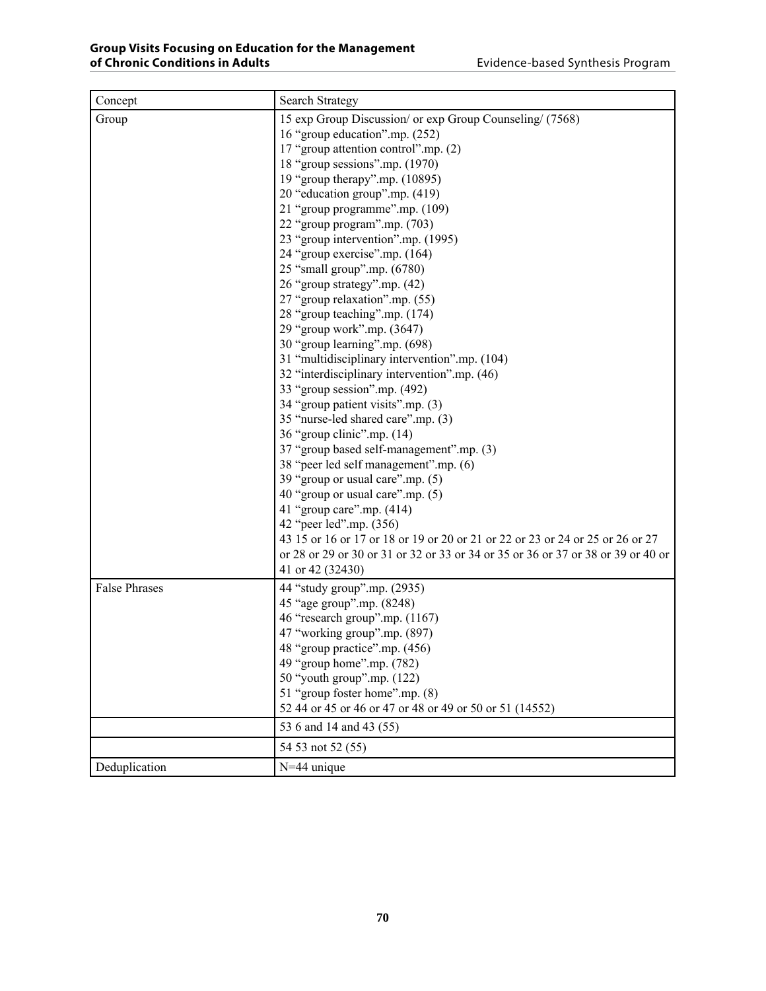| Concept              | <b>Search Strategy</b>                                                                                                                                                                                                                                                                                                                                                                                                                                                                                                                                                                                                                                                                                                                                                                                                                                                                                                                                                                                                                                                                                                                                                                                                                     |
|----------------------|--------------------------------------------------------------------------------------------------------------------------------------------------------------------------------------------------------------------------------------------------------------------------------------------------------------------------------------------------------------------------------------------------------------------------------------------------------------------------------------------------------------------------------------------------------------------------------------------------------------------------------------------------------------------------------------------------------------------------------------------------------------------------------------------------------------------------------------------------------------------------------------------------------------------------------------------------------------------------------------------------------------------------------------------------------------------------------------------------------------------------------------------------------------------------------------------------------------------------------------------|
| Group                | 15 exp Group Discussion/ or exp Group Counseling/ (7568)<br>16 "group education".mp. (252)<br>17 "group attention control".mp. (2)<br>18 "group sessions".mp. (1970)<br>19 "group therapy".mp. (10895)<br>20 "education group".mp. (419)<br>21 "group programme".mp. (109)<br>22 "group program".mp. (703)<br>23 "group intervention".mp. (1995)<br>24 "group exercise".mp. (164)<br>25 "small group".mp. (6780)<br>26 "group strategy".mp. (42)<br>27 "group relaxation".mp. (55)<br>28 "group teaching".mp. (174)<br>29 "group work".mp. (3647)<br>30 "group learning".mp. (698)<br>31 "multidisciplinary intervention".mp. (104)<br>32 "interdisciplinary intervention".mp. (46)<br>33 "group session".mp. (492)<br>34 "group patient visits".mp. (3)<br>35 "nurse-led shared care".mp. (3)<br>36 "group clinic".mp. (14)<br>37 "group based self-management".mp. (3)<br>38 "peer led self management".mp. (6)<br>39 "group or usual care".mp. (5)<br>40 "group or usual care".mp. (5)<br>41 "group care".mp. (414)<br>42 "peer led".mp. (356)<br>43 15 or 16 or 17 or 18 or 19 or 20 or 21 or 22 or 23 or 24 or 25 or 26 or 27<br>or 28 or 29 or 30 or 31 or 32 or 33 or 34 or 35 or 36 or 37 or 38 or 39 or 40 or<br>41 or 42 (32430) |
| <b>False Phrases</b> | 44 "study group".mp. (2935)<br>45 "age group".mp. (8248)<br>46 "research group".mp. (1167)<br>47 "working group".mp. (897)<br>48 "group practice" mp. (456)<br>49 "group home".mp. (782)<br>50 "youth group".mp. (122)<br>51 "group foster home".mp. (8)<br>52 44 or 45 or 46 or 47 or 48 or 49 or 50 or 51 (14552)<br>53 6 and 14 and 43 (55)<br>54 53 not 52 (55)                                                                                                                                                                                                                                                                                                                                                                                                                                                                                                                                                                                                                                                                                                                                                                                                                                                                        |
| Deduplication        | N=44 unique                                                                                                                                                                                                                                                                                                                                                                                                                                                                                                                                                                                                                                                                                                                                                                                                                                                                                                                                                                                                                                                                                                                                                                                                                                |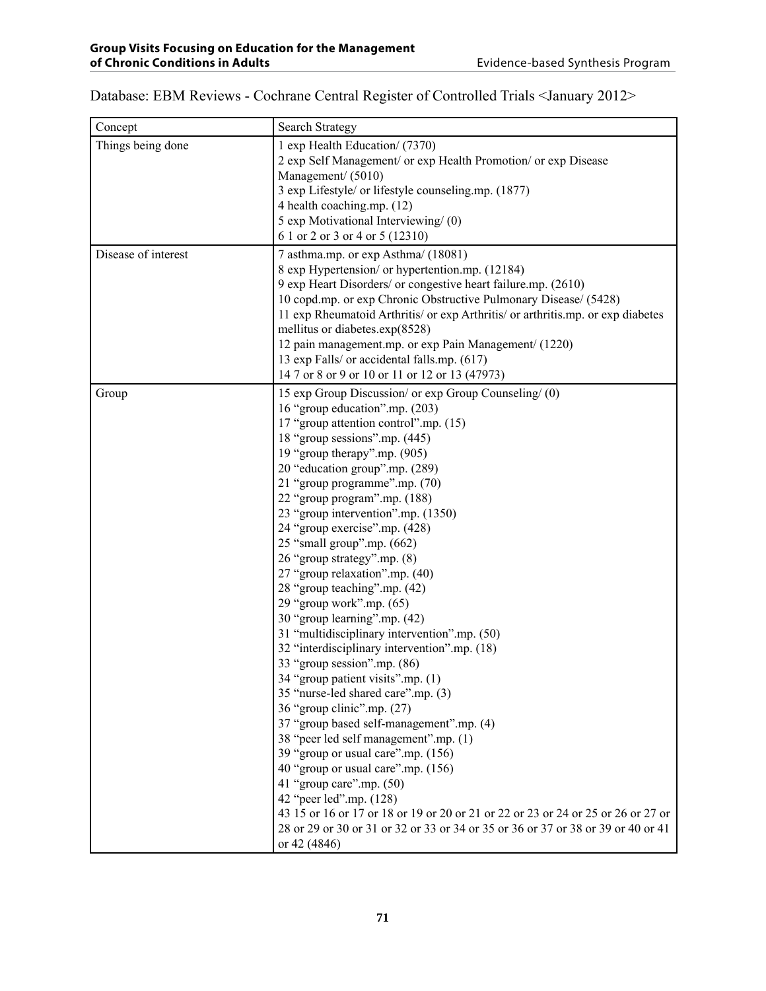## Database: EBM Reviews - Cochrane Central Register of Controlled Trials <January 2012>

| Concept             | Search Strategy                                                                                                                                                                                                                                                                                                                                                                                                                                                                                                                                                                                                                                                                                                                                                                                                                                                                                                                                                                                                                                                                                                                                                                                                                  |
|---------------------|----------------------------------------------------------------------------------------------------------------------------------------------------------------------------------------------------------------------------------------------------------------------------------------------------------------------------------------------------------------------------------------------------------------------------------------------------------------------------------------------------------------------------------------------------------------------------------------------------------------------------------------------------------------------------------------------------------------------------------------------------------------------------------------------------------------------------------------------------------------------------------------------------------------------------------------------------------------------------------------------------------------------------------------------------------------------------------------------------------------------------------------------------------------------------------------------------------------------------------|
| Things being done   | 1 exp Health Education/ (7370)<br>2 exp Self Management/ or exp Health Promotion/ or exp Disease<br>Management/ (5010)<br>3 exp Lifestyle/ or lifestyle counseling.mp. (1877)<br>4 health coaching.mp. (12)<br>5 exp Motivational Interviewing/ (0)<br>6 1 or 2 or 3 or 4 or 5 (12310)                                                                                                                                                                                                                                                                                                                                                                                                                                                                                                                                                                                                                                                                                                                                                                                                                                                                                                                                           |
| Disease of interest | 7 asthma.mp. or exp Asthma/ (18081)<br>8 exp Hypertension/ or hypertention.mp. (12184)<br>9 exp Heart Disorders/ or congestive heart failure.mp. (2610)<br>10 copd.mp. or exp Chronic Obstructive Pulmonary Disease/ (5428)<br>11 exp Rheumatoid Arthritis/ or exp Arthritis/ or arthritis.mp. or exp diabetes<br>mellitus or diabetes.exp(8528)<br>12 pain management.mp. or exp Pain Management/ (1220)<br>13 exp Falls/ or accidental falls.mp. (617)<br>14 7 or 8 or 9 or 10 or 11 or 12 or 13 (47973)                                                                                                                                                                                                                                                                                                                                                                                                                                                                                                                                                                                                                                                                                                                       |
| Group               | 15 exp Group Discussion/ or exp Group Counseling/ (0)<br>16 "group education".mp. (203)<br>17 "group attention control".mp. (15)<br>18 "group sessions".mp. (445)<br>19 "group therapy".mp. (905)<br>20 "education group".mp. (289)<br>21 "group programme".mp. (70)<br>22 "group program".mp. (188)<br>23 "group intervention".mp. (1350)<br>24 "group exercise".mp. (428)<br>25 "small group".mp. (662)<br>26 "group strategy".mp. (8)<br>27 "group relaxation".mp. (40)<br>28 "group teaching".mp. (42)<br>29 "group work".mp. (65)<br>30 "group learning" mp. (42)<br>31 "multidisciplinary intervention".mp. (50)<br>32 "interdisciplinary intervention".mp. (18)<br>33 "group session".mp. (86)<br>34 "group patient visits".mp. (1)<br>35 "nurse-led shared care".mp. (3)<br>36 "group clinic".mp. (27)<br>37 "group based self-management".mp. (4)<br>38 "peer led self management".mp. (1)<br>39 "group or usual care".mp. (156)<br>40 "group or usual care".mp. (156)<br>41 "group care".mp. $(50)$<br>42 "peer led".mp. (128)<br>43 15 or 16 or 17 or 18 or 19 or 20 or 21 or 22 or 23 or 24 or 25 or 26 or 27 or<br>28 or 29 or 30 or 31 or 32 or 33 or 34 or 35 or 36 or 37 or 38 or 39 or 40 or 41<br>or 42 (4846) |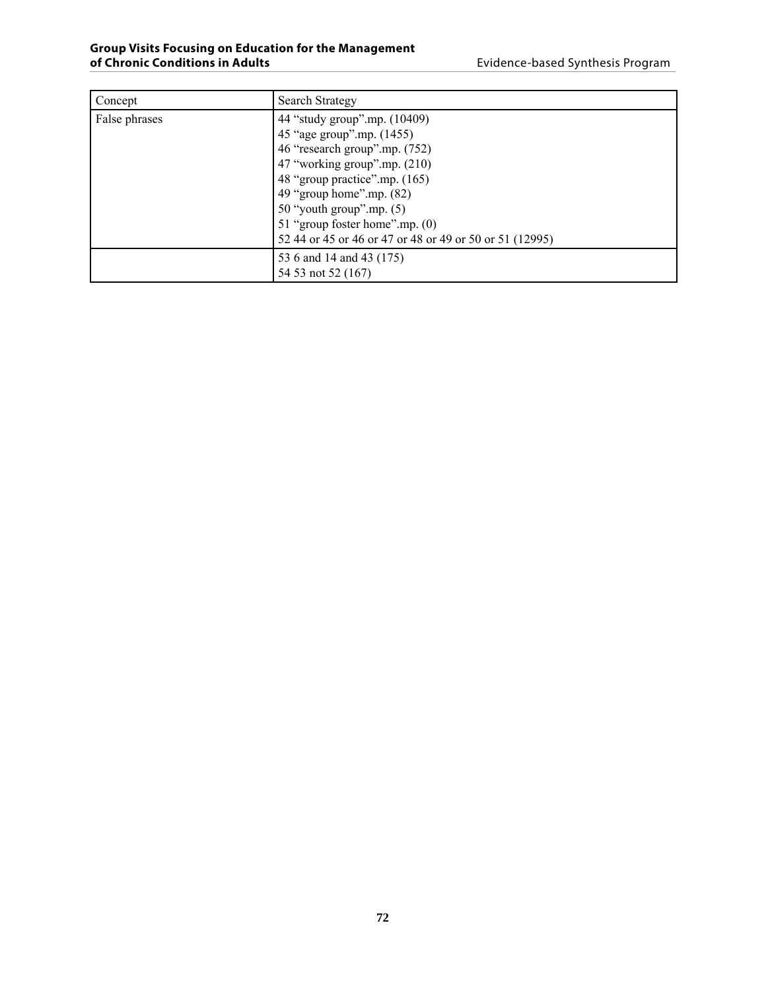| Concept       | Search Strategy                                                                                                                                                                                                           |
|---------------|---------------------------------------------------------------------------------------------------------------------------------------------------------------------------------------------------------------------------|
| False phrases | 44 "study group".mp. (10409)<br>45 "age group".mp. (1455)<br>46 "research group".mp. (752)<br>47 "working group".mp. (210)<br>48 "group practice".mp. (165)<br>49 "group home".mp. $(82)$<br>$50$ "youth group".mp. $(5)$ |
|               | 51 "group foster home".mp. (0)<br>52 44 or 45 or 46 or 47 or 48 or 49 or 50 or 51 (12995)                                                                                                                                 |
|               | 53 6 and 14 and 43 (175)<br>54 53 not 52 (167)                                                                                                                                                                            |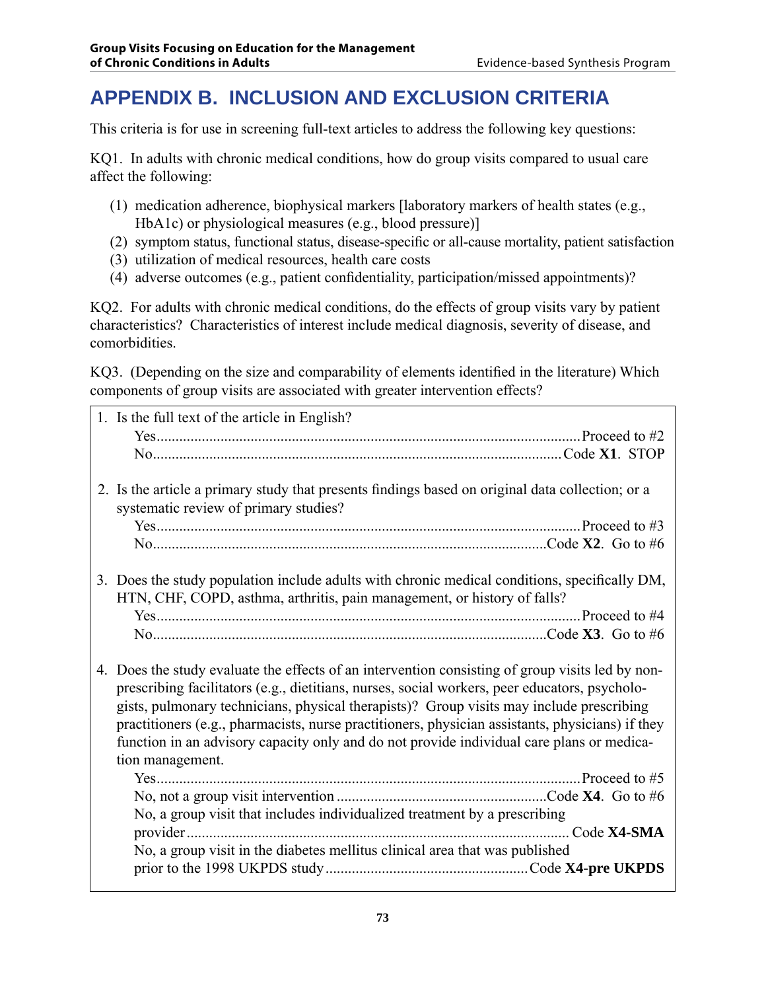## **APPENDIX B. INCLUSION AND EXCLUSION CRITERIA**

This criteria is for use in screening full-text articles to address the following key questions:

KQ1. In adults with chronic medical conditions, how do group visits compared to usual care affect the following:

- (1) medication adherence, biophysical markers [laboratory markers of health states (e.g., HbA1c) or physiological measures (e.g., blood pressure)]
- (2) symptom status, functional status, disease-specific or all-cause mortality, patient satisfaction
- (3) utilization of medical resources, health care costs
- (4) adverse outcomes (e.g., patient confidentiality, participation/missed appointments)?

KQ2. For adults with chronic medical conditions, do the effects of group visits vary by patient characteristics? Characteristics of interest include medical diagnosis, severity of disease, and comorbidities.

KQ3. (Depending on the size and comparability of elements identified in the literature) Which components of group visits are associated with greater intervention effects?

| 1. Is the full text of the article in English?                                                   |
|--------------------------------------------------------------------------------------------------|
|                                                                                                  |
|                                                                                                  |
|                                                                                                  |
| 2. Is the article a primary study that presents findings based on original data collection; or a |
| systematic review of primary studies?                                                            |
|                                                                                                  |
|                                                                                                  |
|                                                                                                  |
| 3. Does the study population include adults with chronic medical conditions, specifically DM,    |
| HTN, CHF, COPD, asthma, arthritis, pain management, or history of falls?                         |
|                                                                                                  |
|                                                                                                  |
|                                                                                                  |
| 4. Does the study evaluate the effects of an intervention consisting of group visits led by non- |
| prescribing facilitators (e.g., dietitians, nurses, social workers, peer educators, psycholo-    |
| gists, pulmonary technicians, physical therapists)? Group visits may include prescribing         |
| practitioners (e.g., pharmacists, nurse practitioners, physician assistants, physicians) if they |
| function in an advisory capacity only and do not provide individual care plans or medica-        |
| tion management.                                                                                 |
|                                                                                                  |
|                                                                                                  |
| No, a group visit that includes individualized treatment by a prescribing                        |
|                                                                                                  |
| No, a group visit in the diabetes mellitus clinical area that was published                      |
|                                                                                                  |
|                                                                                                  |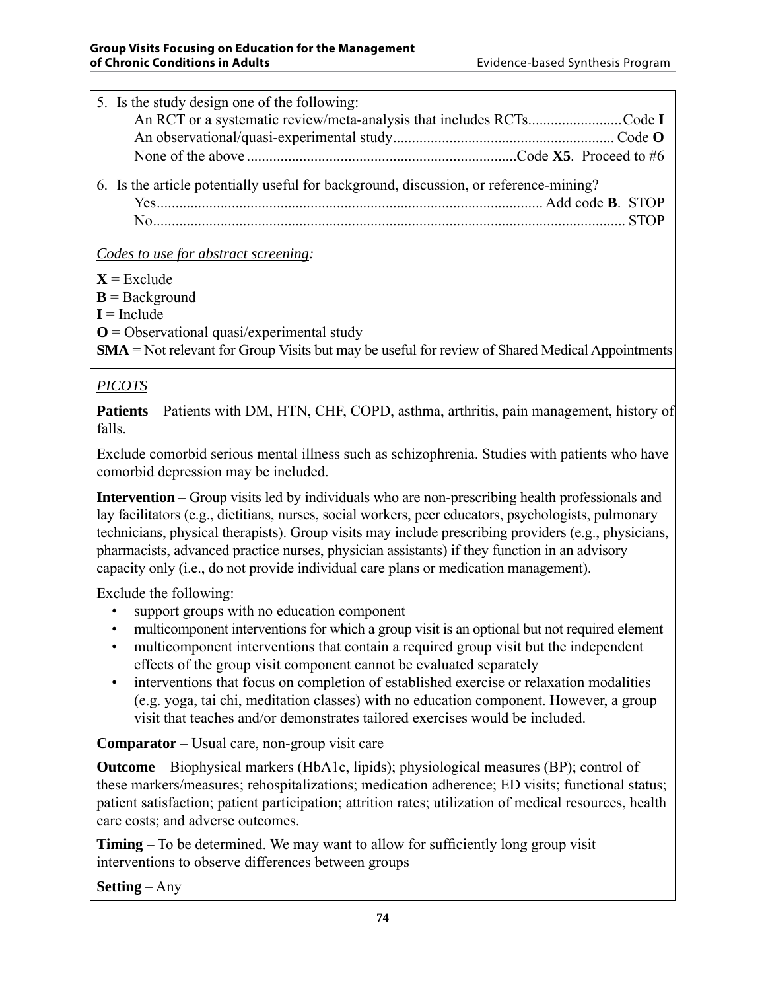| 5. Is the study design one of the following:                                          |
|---------------------------------------------------------------------------------------|
| An RCT or a systematic review/meta-analysis that includes RCTsCode I                  |
|                                                                                       |
|                                                                                       |
| 6. Is the article potentially useful for background, discussion, or reference-mining? |
|                                                                                       |
|                                                                                       |

*Codes to use for abstract screening:*

 $X =$ Exclude

 **= Background** 

 $I =$ Include

**O** = Observational quasi/experimental study

**SMA** = Not relevant for Group Visits but may be useful for review of Shared Medical Appointments

### *PICOTS*

**Patients** – Patients with DM, HTN, CHF, COPD, asthma, arthritis, pain management, history of falls.

Exclude comorbid serious mental illness such as schizophrenia. Studies with patients who have comorbid depression may be included.

**Intervention** – Group visits led by individuals who are non-prescribing health professionals and lay facilitators (e.g., dietitians, nurses, social workers, peer educators, psychologists, pulmonary technicians, physical therapists). Group visits may include prescribing providers (e.g., physicians, pharmacists, advanced practice nurses, physician assistants) if they function in an advisory capacity only (i.e., do not provide individual care plans or medication management).

Exclude the following:

- support groups with no education component
- multicomponent interventions for which a group visit is an optional but not required element
- multicomponent interventions that contain a required group visit but the independent effects of the group visit component cannot be evaluated separately
- interventions that focus on completion of established exercise or relaxation modalities (e.g. yoga, tai chi, meditation classes) with no education component. However, a group visit that teaches and/or demonstrates tailored exercises would be included.

**Comparator** – Usual care, non-group visit care

**Outcome** – Biophysical markers (HbA1c, lipids); physiological measures (BP); control of these markers/measures; rehospitalizations; medication adherence; ED visits; functional status; patient satisfaction; patient participation; attrition rates; utilization of medical resources, health care costs; and adverse outcomes.

**Timing** – To be determined. We may want to allow for sufficiently long group visit interventions to observe differences between groups

**Setting** – Any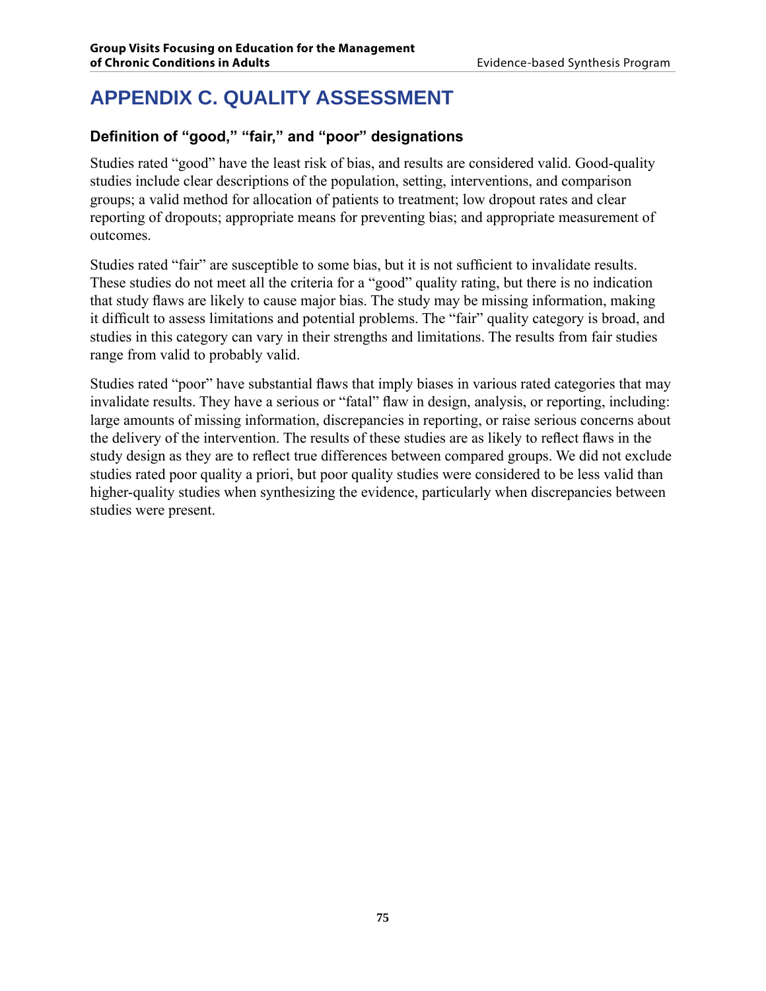# **APPENDIX C. QUALITY ASSESSMENT**

### **Definition of "good," "fair," and "poor" designations**

Studies rated "good" have the least risk of bias, and results are considered valid. Good-quality studies include clear descriptions of the population, setting, interventions, and comparison groups; a valid method for allocation of patients to treatment; low dropout rates and clear reporting of dropouts; appropriate means for preventing bias; and appropriate measurement of outcomes.

Studies rated "fair" are susceptible to some bias, but it is not sufficient to invalidate results. These studies do not meet all the criteria for a "good" quality rating, but there is no indication that study flaws are likely to cause major bias. The study may be missing information, making it difficult to assess limitations and potential problems. The "fair" quality category is broad, and studies in this category can vary in their strengths and limitations. The results from fair studies range from valid to probably valid.

Studies rated "poor" have substantial flaws that imply biases in various rated categories that may invalidate results. They have a serious or "fatal" flaw in design, analysis, or reporting, including: large amounts of missing information, discrepancies in reporting, or raise serious concerns about the delivery of the intervention. The results of these studies are as likely to reflect flaws in the study design as they are to reflect true differences between compared groups. We did not exclude studies rated poor quality a priori, but poor quality studies were considered to be less valid than higher-quality studies when synthesizing the evidence, particularly when discrepancies between studies were present.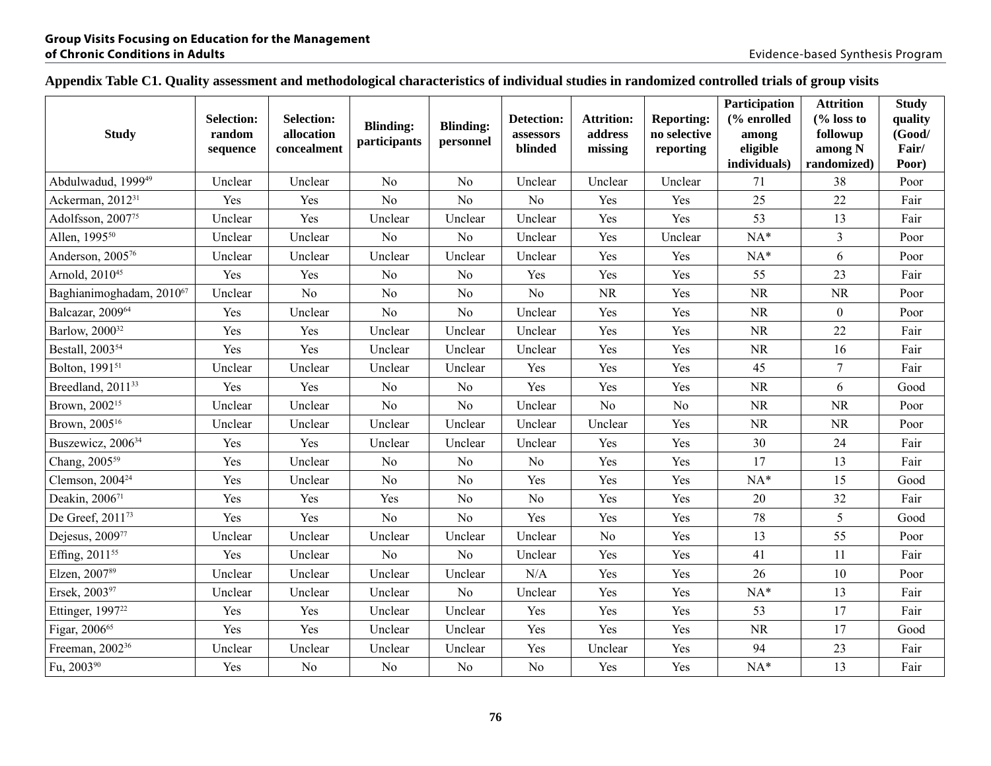### **Appendix Table C1. Quality assessment and methodological characteristics of individual studies in randomized controlled trials of group visits**

| <b>Study</b>                   | <b>Selection:</b><br>random<br>sequence | <b>Selection:</b><br>allocation<br>concealment | <b>Blinding:</b><br>participants | <b>Blinding:</b><br>personnel | Detection:<br>assessors<br>blinded | <b>Attrition:</b><br>address<br>missing | <b>Reporting:</b><br>no selective<br>reporting | Participation<br>(% enrolled<br>among<br>eligible<br>individuals) | <b>Attrition</b><br>$\frac{6}{6}$ loss to<br>followup<br>among N<br>randomized) | <b>Study</b><br>quality<br>(Good/<br>Fair/<br>Poor) |
|--------------------------------|-----------------------------------------|------------------------------------------------|----------------------------------|-------------------------------|------------------------------------|-----------------------------------------|------------------------------------------------|-------------------------------------------------------------------|---------------------------------------------------------------------------------|-----------------------------------------------------|
| Abdulwadud, 1999 <sup>49</sup> | Unclear                                 | Unclear                                        | N <sub>o</sub>                   | N <sub>o</sub>                | Unclear                            | Unclear                                 | Unclear                                        | 71                                                                | 38                                                                              | Poor                                                |
| Ackerman, 2012 <sup>31</sup>   | Yes                                     | Yes                                            | N <sub>o</sub>                   | N <sub>o</sub>                | N <sub>o</sub>                     | Yes                                     | Yes                                            | 25                                                                | 22                                                                              | Fair                                                |
| Adolfsson, 200775              | Unclear                                 | Yes                                            | Unclear                          | Unclear                       | Unclear                            | Yes                                     | Yes                                            | 53                                                                | 13                                                                              | Fair                                                |
| Allen, 1995 <sup>50</sup>      | Unclear                                 | Unclear                                        | N <sub>o</sub>                   | N <sub>o</sub>                | Unclear                            | Yes                                     | Unclear                                        | $NA*$                                                             | $\mathfrak{Z}$                                                                  | Poor                                                |
| Anderson, 200576               | Unclear                                 | Unclear                                        | Unclear                          | Unclear                       | Unclear                            | Yes                                     | Yes                                            | $NA*$                                                             | 6                                                                               | Poor                                                |
| Arnold, 2010 <sup>45</sup>     | Yes                                     | Yes                                            | N <sub>o</sub>                   | N <sub>o</sub>                | Yes                                | Yes                                     | Yes                                            | 55                                                                | 23                                                                              | Fair                                                |
| Baghianimoghadam, 201067       | Unclear                                 | N <sub>0</sub>                                 | N <sub>o</sub>                   | N <sub>o</sub>                | N <sub>o</sub>                     | <b>NR</b>                               | Yes                                            | <b>NR</b>                                                         | <b>NR</b>                                                                       | Poor                                                |
| Balcazar, 200964               | Yes                                     | Unclear                                        | N <sub>o</sub>                   | N <sub>o</sub>                | Unclear                            | Yes                                     | Yes                                            | NR                                                                | $\boldsymbol{0}$                                                                | Poor                                                |
| Barlow, 2000 <sup>32</sup>     | Yes                                     | Yes                                            | Unclear                          | Unclear                       | Unclear                            | Yes                                     | Yes                                            | <b>NR</b>                                                         | $22\,$                                                                          | Fair                                                |
| Bestall, 2003 <sup>54</sup>    | Yes                                     | Yes                                            | Unclear                          | Unclear                       | Unclear                            | Yes                                     | Yes                                            | NR                                                                | 16                                                                              | Fair                                                |
| Bolton, 1991 <sup>51</sup>     | Unclear                                 | Unclear                                        | Unclear                          | Unclear                       | Yes                                | Yes                                     | Yes                                            | 45                                                                | $\overline{7}$                                                                  | Fair                                                |
| Breedland, 2011 <sup>33</sup>  | Yes                                     | Yes                                            | N <sub>o</sub>                   | N <sub>0</sub>                | Yes                                | Yes                                     | Yes                                            | NR                                                                | 6                                                                               | Good                                                |
| Brown, 2002 <sup>15</sup>      | Unclear                                 | Unclear                                        | N <sub>o</sub>                   | N <sub>o</sub>                | Unclear                            | No                                      | No                                             | NR                                                                | <b>NR</b>                                                                       | Poor                                                |
| Brown, 2005 <sup>16</sup>      | Unclear                                 | Unclear                                        | Unclear                          | Unclear                       | Unclear                            | Unclear                                 | Yes                                            | NR                                                                | NR                                                                              | Poor                                                |
| Buszewicz, 2006 <sup>34</sup>  | Yes                                     | Yes                                            | Unclear                          | Unclear                       | Unclear                            | Yes                                     | Yes                                            | 30                                                                | 24                                                                              | Fair                                                |
| Chang, 2005 <sup>59</sup>      | Yes                                     | Unclear                                        | N <sub>o</sub>                   | N <sub>o</sub>                | N <sub>o</sub>                     | Yes                                     | Yes                                            | 17                                                                | 13                                                                              | Fair                                                |
| Clemson, 2004 <sup>24</sup>    | Yes                                     | Unclear                                        | N <sub>o</sub>                   | N <sub>o</sub>                | Yes                                | Yes                                     | Yes                                            | $NA*$                                                             | 15                                                                              | Good                                                |
| Deakin, 200671                 | Yes                                     | Yes                                            | Yes                              | N <sub>o</sub>                | No                                 | Yes                                     | Yes                                            | 20                                                                | 32                                                                              | Fair                                                |
| De Greef, 2011 <sup>73</sup>   | Yes                                     | Yes                                            | N <sub>o</sub>                   | N <sub>o</sub>                | Yes                                | Yes                                     | Yes                                            | 78                                                                | 5                                                                               | Good                                                |
| Dejesus, 200977                | Unclear                                 | Unclear                                        | Unclear                          | Unclear                       | Unclear                            | N <sub>o</sub>                          | Yes                                            | 13                                                                | 55                                                                              | Poor                                                |
| Effing, 2011 <sup>55</sup>     | Yes                                     | Unclear                                        | N <sub>o</sub>                   | N <sub>o</sub>                | Unclear                            | Yes                                     | Yes                                            | 41                                                                | 11                                                                              | Fair                                                |
| Elzen, 200789                  | Unclear                                 | Unclear                                        | Unclear                          | Unclear                       | N/A                                | Yes                                     | Yes                                            | 26                                                                | $10\,$                                                                          | Poor                                                |
| Ersek, 200397                  | Unclear                                 | Unclear                                        | Unclear                          | No                            | Unclear                            | Yes                                     | Yes                                            | $NA*$                                                             | 13                                                                              | Fair                                                |
| Ettinger, 1997 <sup>22</sup>   | Yes                                     | Yes                                            | Unclear                          | Unclear                       | Yes                                | Yes                                     | Yes                                            | 53                                                                | 17                                                                              | Fair                                                |
| Figar, 2006 <sup>65</sup>      | Yes                                     | Yes                                            | Unclear                          | Unclear                       | Yes                                | Yes                                     | Yes                                            | NR                                                                | 17                                                                              | Good                                                |
| Freeman, 2002 <sup>36</sup>    | Unclear                                 | Unclear                                        | Unclear                          | Unclear                       | Yes                                | Unclear                                 | Yes                                            | 94                                                                | $23\,$                                                                          | Fair                                                |
| Fu, 2003 <sup>90</sup>         | Yes                                     | No                                             | No                               | N <sub>0</sub>                | No                                 | Yes                                     | Yes                                            | $NA*$                                                             | 13                                                                              | Fair                                                |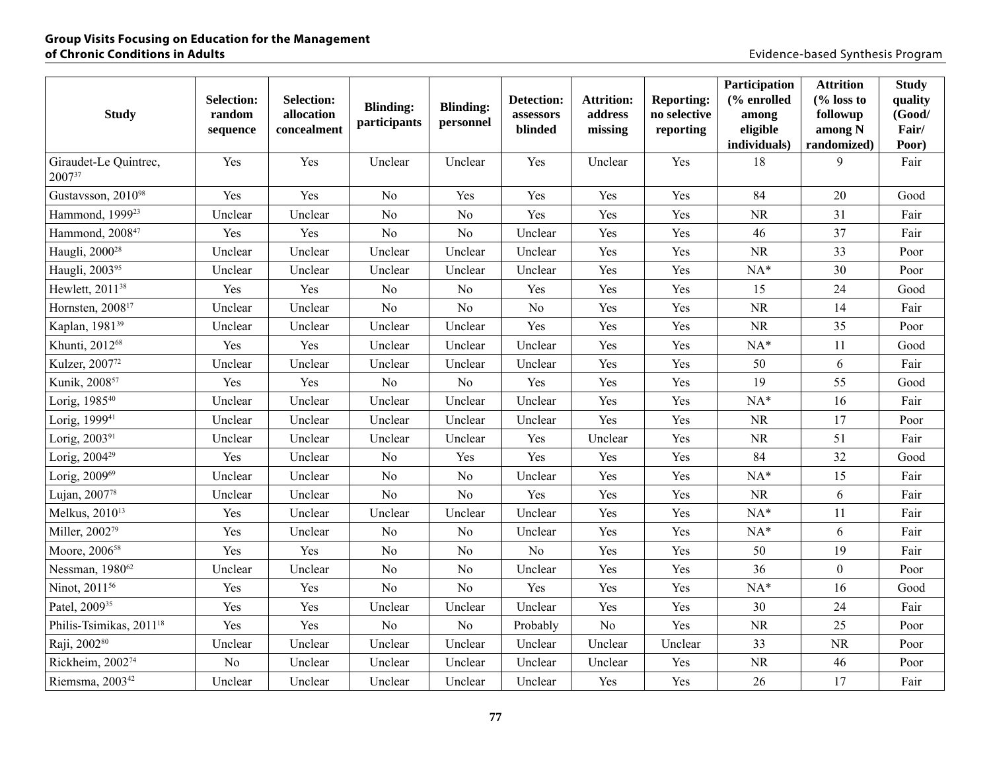| <b>Study</b>                        | <b>Selection:</b><br>random<br>sequence | <b>Selection:</b><br>allocation<br>concealment | <b>Blinding:</b><br>participants | <b>Blinding:</b><br>personnel | Detection:<br>assessors<br>blinded | <b>Attrition:</b><br>address<br>missing | <b>Reporting:</b><br>no selective<br>reporting | Participation<br>(% enrolled<br>among<br>eligible<br>individuals) | <b>Attrition</b><br>$\frac{6}{6}$ loss to<br>followup<br>among N<br>randomized) | <b>Study</b><br>quality<br>(Good/<br>Fair/<br>Poor) |
|-------------------------------------|-----------------------------------------|------------------------------------------------|----------------------------------|-------------------------------|------------------------------------|-----------------------------------------|------------------------------------------------|-------------------------------------------------------------------|---------------------------------------------------------------------------------|-----------------------------------------------------|
| Giraudet-Le Quintrec,<br>200737     | Yes                                     | Yes                                            | Unclear                          | Unclear                       | Yes                                | Unclear                                 | Yes                                            | 18                                                                | 9                                                                               | Fair                                                |
| Gustavsson, 201098                  | Yes                                     | Yes                                            | N <sub>o</sub>                   | Yes                           | Yes                                | Yes                                     | Yes                                            | 84                                                                | 20                                                                              | Good                                                |
| Hammond, 1999 <sup>23</sup>         | Unclear                                 | Unclear                                        | N <sub>o</sub>                   | N <sub>o</sub>                | Yes                                | Yes                                     | Yes                                            | <b>NR</b>                                                         | 31                                                                              | Fair                                                |
| Hammond, 2008 <sup>47</sup>         | Yes                                     | Yes                                            | N <sub>o</sub>                   | N <sub>o</sub>                | Unclear                            | Yes                                     | Yes                                            | 46                                                                | 37                                                                              | Fair                                                |
| Haugli, 2000 <sup>28</sup>          | Unclear                                 | Unclear                                        | Unclear                          | Unclear                       | Unclear                            | Yes                                     | Yes                                            | NR                                                                | 33                                                                              | Poor                                                |
| Haugli, 200395                      | Unclear                                 | Unclear                                        | Unclear                          | Unclear                       | Unclear                            | Yes                                     | Yes                                            | $NA*$                                                             | 30                                                                              | Poor                                                |
| Hewlett, 2011 <sup>38</sup>         | Yes                                     | Yes                                            | N <sub>0</sub>                   | N <sub>o</sub>                | Yes                                | Yes                                     | Yes                                            | 15                                                                | 24                                                                              | Good                                                |
| Hornsten, 2008 <sup>17</sup>        | Unclear                                 | Unclear                                        | N <sub>o</sub>                   | N <sub>o</sub>                | No                                 | Yes                                     | Yes                                            | <b>NR</b>                                                         | 14                                                                              | Fair                                                |
| Kaplan, 1981 <sup>39</sup>          | Unclear                                 | Unclear                                        | Unclear                          | Unclear                       | Yes                                | Yes                                     | Yes                                            | $\rm NR$                                                          | 35                                                                              | Poor                                                |
| Khunti, 201268                      | Yes                                     | Yes                                            | Unclear                          | Unclear                       | Unclear                            | Yes                                     | Yes                                            | $NA*$                                                             | 11                                                                              | Good                                                |
| Kulzer, 2007 <sup>72</sup>          | Unclear                                 | Unclear                                        | Unclear                          | Unclear                       | Unclear                            | Yes                                     | Yes                                            | 50                                                                | 6                                                                               | Fair                                                |
| Kunik, 2008 <sup>57</sup>           | Yes                                     | Yes                                            | N <sub>o</sub>                   | N <sub>o</sub>                | Yes                                | Yes                                     | Yes                                            | 19                                                                | 55                                                                              | Good                                                |
| Lorig, 1985 <sup>40</sup>           | Unclear                                 | Unclear                                        | Unclear                          | Unclear                       | Unclear                            | Yes                                     | Yes                                            | $NA*$                                                             | 16                                                                              | Fair                                                |
| Lorig, 1999 <sup>41</sup>           | Unclear                                 | Unclear                                        | Unclear                          | Unclear                       | Unclear                            | Yes                                     | Yes                                            | NR                                                                | 17                                                                              | Poor                                                |
| Lorig, 2003 <sup>91</sup>           | Unclear                                 | Unclear                                        | Unclear                          | Unclear                       | Yes                                | Unclear                                 | Yes                                            | NR                                                                | 51                                                                              | Fair                                                |
| Lorig, 2004 <sup>29</sup>           | Yes                                     | Unclear                                        | N <sub>o</sub>                   | Yes                           | Yes                                | Yes                                     | Yes                                            | 84                                                                | 32                                                                              | Good                                                |
| Lorig, 200969                       | Unclear                                 | Unclear                                        | N <sub>o</sub>                   | No                            | Unclear                            | Yes                                     | Yes                                            | $NA*$                                                             | 15                                                                              | Fair                                                |
| Lujan, 200778                       | Unclear                                 | Unclear                                        | N <sub>o</sub>                   | N <sub>o</sub>                | Yes                                | Yes                                     | Yes                                            | $\rm NR$                                                          | 6                                                                               | Fair                                                |
| Melkus, 2010 <sup>13</sup>          | Yes                                     | Unclear                                        | Unclear                          | Unclear                       | Unclear                            | Yes                                     | Yes                                            | $NA*$                                                             | 11                                                                              | Fair                                                |
| Miller, 200279                      | Yes                                     | Unclear                                        | N <sub>o</sub>                   | N <sub>o</sub>                | Unclear                            | Yes                                     | Yes                                            | $NA*$                                                             | 6                                                                               | Fair                                                |
| Moore, 2006 <sup>58</sup>           | Yes                                     | Yes                                            | N <sub>o</sub>                   | N <sub>o</sub>                | N <sub>o</sub>                     | Yes                                     | Yes                                            | 50                                                                | 19                                                                              | Fair                                                |
| Nessman, 1980 <sup>62</sup>         | Unclear                                 | Unclear                                        | N <sub>o</sub>                   | N <sub>o</sub>                | Unclear                            | Yes                                     | Yes                                            | 36                                                                | $\boldsymbol{0}$                                                                | Poor                                                |
| Ninot, 2011 <sup>56</sup>           | Yes                                     | Yes                                            | N <sub>o</sub>                   | N <sub>o</sub>                | Yes                                | Yes                                     | Yes                                            | $NA*$                                                             | 16                                                                              | Good                                                |
| Patel, 2009 <sup>35</sup>           | Yes                                     | Yes                                            | Unclear                          | Unclear                       | Unclear                            | Yes                                     | Yes                                            | 30                                                                | 24                                                                              | Fair                                                |
| Philis-Tsimikas, 2011 <sup>18</sup> | Yes                                     | Yes                                            | N <sub>o</sub>                   | N <sub>o</sub>                | Probably                           | $\rm No$                                | Yes                                            | <b>NR</b>                                                         | 25                                                                              | Poor                                                |
| Raji, 200280                        | Unclear                                 | Unclear                                        | Unclear                          | Unclear                       | Unclear                            | Unclear                                 | Unclear                                        | 33                                                                | NR                                                                              | Poor                                                |
| Rickheim, 200274                    | No                                      | Unclear                                        | Unclear                          | Unclear                       | Unclear                            | Unclear                                 | Yes                                            | NR                                                                | 46                                                                              | Poor                                                |
| Riemsma, 2003 <sup>42</sup>         | Unclear                                 | Unclear                                        | Unclear                          | Unclear                       | Unclear                            | Yes                                     | Yes                                            | 26                                                                | 17                                                                              | Fair                                                |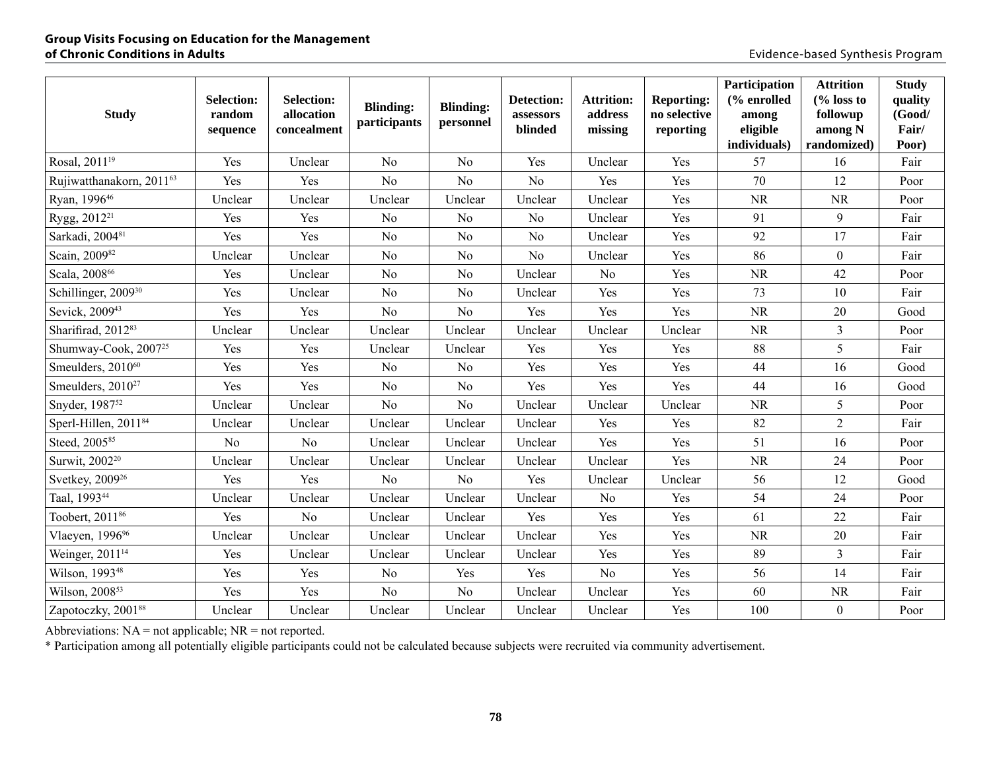| <b>Study</b>                     | <b>Selection:</b><br>random<br>sequence | <b>Selection:</b><br>allocation<br>concealment | <b>Blinding:</b><br>participants | <b>Blinding:</b><br>personnel | Detection:<br>assessors<br>blinded | <b>Attrition:</b><br>address<br>missing | <b>Reporting:</b><br>no selective<br>reporting | Participation<br>(% enrolled<br>among<br>eligible<br>individuals) | <b>Attrition</b><br>$\frac{6}{6}$ loss to<br>followup<br>among N<br>randomized) | <b>Study</b><br>quality<br>(Good/<br>Fair/<br>Poor) |
|----------------------------------|-----------------------------------------|------------------------------------------------|----------------------------------|-------------------------------|------------------------------------|-----------------------------------------|------------------------------------------------|-------------------------------------------------------------------|---------------------------------------------------------------------------------|-----------------------------------------------------|
| Rosal, 2011 <sup>19</sup>        | Yes                                     | Unclear                                        | N <sub>0</sub>                   | N <sub>o</sub>                | Yes                                | Unclear                                 | Yes                                            | 57                                                                | 16                                                                              | Fair                                                |
| Rujiwatthanakorn, 201163         | Yes                                     | Yes                                            | N <sub>0</sub>                   | No                            | N <sub>0</sub>                     | Yes                                     | Yes                                            | 70                                                                | 12                                                                              | Poor                                                |
| Ryan, 199646                     | Unclear                                 | Unclear                                        | Unclear                          | Unclear                       | Unclear                            | Unclear                                 | Yes                                            | $\rm NR$                                                          | <b>NR</b>                                                                       | Poor                                                |
| Rygg, 2012 <sup>21</sup>         | Yes                                     | Yes                                            | N <sub>o</sub>                   | N <sub>o</sub>                | N <sub>0</sub>                     | Unclear                                 | Yes                                            | 91                                                                | 9                                                                               | Fair                                                |
| Sarkadi, 200481                  | Yes                                     | Yes                                            | N <sub>o</sub>                   | No                            | N <sub>o</sub>                     | Unclear                                 | Yes                                            | 92                                                                | 17                                                                              | Fair                                                |
| Scain, 200982                    | Unclear                                 | Unclear                                        | N <sub>0</sub>                   | N <sub>o</sub>                | N <sub>o</sub>                     | Unclear                                 | Yes                                            | 86                                                                | $\overline{0}$                                                                  | Fair                                                |
| Scala, 200866                    | Yes                                     | Unclear                                        | N <sub>o</sub>                   | N <sub>o</sub>                | Unclear                            | N <sub>o</sub>                          | Yes                                            | <b>NR</b>                                                         | 42                                                                              | Poor                                                |
| Schillinger, 2009 <sup>30</sup>  | Yes                                     | Unclear                                        | N <sub>o</sub>                   | N <sub>o</sub>                | Unclear                            | Yes                                     | Yes                                            | 73                                                                | 10                                                                              | Fair                                                |
| Sevick, 2009 <sup>43</sup>       | Yes                                     | Yes                                            | N <sub>o</sub>                   | N <sub>o</sub>                | Yes                                | Yes                                     | Yes                                            | NR                                                                | 20                                                                              | Good                                                |
| Sharifirad, 201283               | Unclear                                 | Unclear                                        | Unclear                          | Unclear                       | Unclear                            | Unclear                                 | Unclear                                        | <b>NR</b>                                                         | $\overline{3}$                                                                  | Poor                                                |
| Shumway-Cook, 2007 <sup>25</sup> | Yes                                     | Yes                                            | Unclear                          | Unclear                       | Yes                                | Yes                                     | Yes                                            | 88                                                                | 5                                                                               | Fair                                                |
| Smeulders, 2010 <sup>60</sup>    | Yes                                     | Yes                                            | N <sub>o</sub>                   | N <sub>o</sub>                | Yes                                | Yes                                     | Yes                                            | 44                                                                | 16                                                                              | Good                                                |
| Smeulders, 2010 <sup>27</sup>    | Yes                                     | Yes                                            | N <sub>o</sub>                   | N <sub>o</sub>                | Yes                                | Yes                                     | Yes                                            | 44                                                                | 16                                                                              | Good                                                |
| Snyder, 1987 <sup>52</sup>       | Unclear                                 | Unclear                                        | N <sub>0</sub>                   | N <sub>o</sub>                | Unclear                            | Unclear                                 | Unclear                                        | <b>NR</b>                                                         | 5                                                                               | Poor                                                |
| Sperl-Hillen, 2011 <sup>84</sup> | Unclear                                 | Unclear                                        | Unclear                          | Unclear                       | Unclear                            | Yes                                     | Yes                                            | 82                                                                | $\sqrt{2}$                                                                      | Fair                                                |
| Steed, 2005 <sup>85</sup>        | N <sub>o</sub>                          | No                                             | Unclear                          | Unclear                       | Unclear                            | Yes                                     | Yes                                            | 51                                                                | 16                                                                              | Poor                                                |
| Surwit, 2002 <sup>20</sup>       | Unclear                                 | Unclear                                        | Unclear                          | Unclear                       | Unclear                            | Unclear                                 | Yes                                            | <b>NR</b>                                                         | 24                                                                              | Poor                                                |
| Svetkey, 2009 <sup>26</sup>      | Yes                                     | Yes                                            | N <sub>o</sub>                   | No                            | Yes                                | Unclear                                 | Unclear                                        | 56                                                                | 12                                                                              | Good                                                |
| Taal, 199344                     | Unclear                                 | Unclear                                        | Unclear                          | Unclear                       | Unclear                            | No                                      | Yes                                            | 54                                                                | 24                                                                              | Poor                                                |
| Toobert, 2011 <sup>86</sup>      | Yes                                     | N <sub>o</sub>                                 | Unclear                          | Unclear                       | Yes                                | Yes                                     | Yes                                            | 61                                                                | 22                                                                              | Fair                                                |
| Vlaeyen, 1996 <sup>96</sup>      | Unclear                                 | Unclear                                        | Unclear                          | Unclear                       | Unclear                            | Yes                                     | Yes                                            | <b>NR</b>                                                         | 20                                                                              | Fair                                                |
| Weinger, 2011 <sup>14</sup>      | Yes                                     | Unclear                                        | Unclear                          | Unclear                       | Unclear                            | Yes                                     | Yes                                            | 89                                                                | $\overline{3}$                                                                  | Fair                                                |
| Wilson, 1993 <sup>48</sup>       | Yes                                     | Yes                                            | N <sub>0</sub>                   | Yes                           | Yes                                | N <sub>o</sub>                          | Yes                                            | 56                                                                | 14                                                                              | Fair                                                |
| Wilson, 2008 <sup>53</sup>       | Yes                                     | Yes                                            | N <sub>o</sub>                   | N <sub>o</sub>                | Unclear                            | Unclear                                 | Yes                                            | 60                                                                | $\rm NR$                                                                        | Fair                                                |
| Zapotoczky, 200188               | Unclear                                 | Unclear                                        | Unclear                          | Unclear                       | Unclear                            | Unclear                                 | Yes                                            | 100                                                               | $\boldsymbol{0}$                                                                | Poor                                                |

Abbreviations:  $NA = not$  applicable;  $NR = not$  reported.

\* Participation among all potentially eligible participants could not be calculated because subjects were recruited via community advertisement.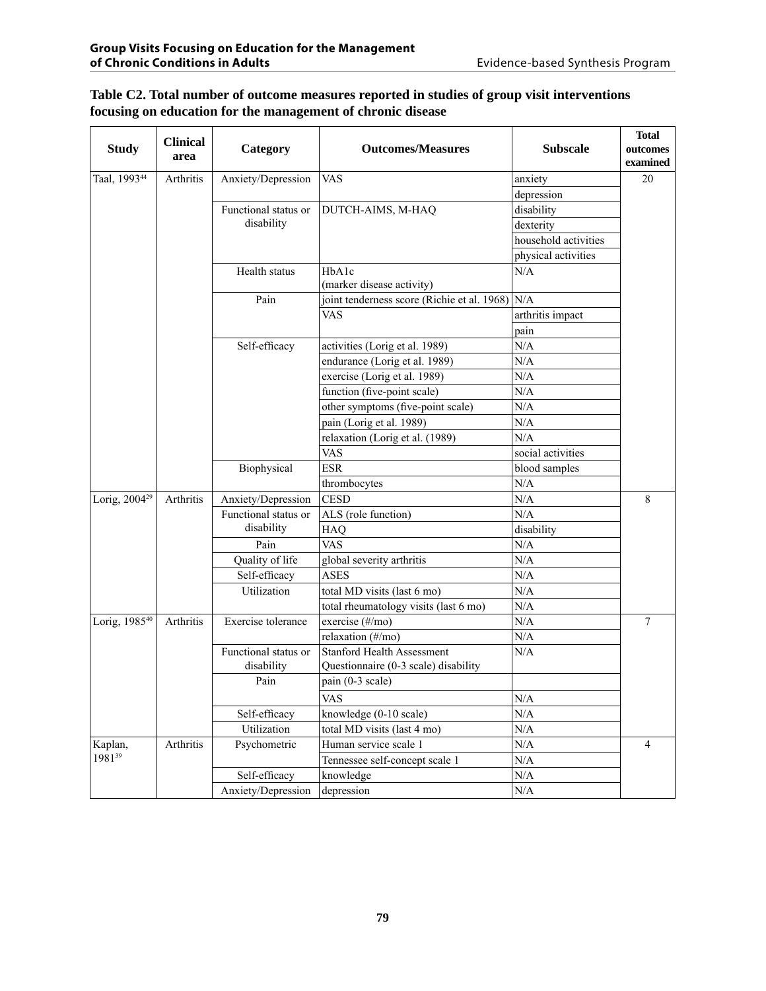| <b>Study</b>              | <b>Clinical</b><br>area | Category             | <b>Outcomes/Measures</b>                        | <b>Subscale</b>      | <b>Total</b><br>outcomes<br>examined |
|---------------------------|-------------------------|----------------------|-------------------------------------------------|----------------------|--------------------------------------|
| Taal, 199344              | Arthritis               | Anxiety/Depression   | <b>VAS</b>                                      | anxiety              | 20                                   |
|                           |                         |                      |                                                 | depression           |                                      |
|                           |                         | Functional status or | DUTCH-AIMS, M-HAQ                               | disability           |                                      |
|                           |                         | disability           |                                                 | dexterity            |                                      |
|                           |                         |                      |                                                 | household activities |                                      |
|                           |                         |                      |                                                 | physical activities  |                                      |
|                           |                         | Health status        | HbA1c<br>(marker disease activity)              | N/A                  |                                      |
|                           |                         | Pain                 | joint tenderness score (Richie et al. 1968) N/A |                      |                                      |
|                           |                         |                      | <b>VAS</b>                                      | arthritis impact     |                                      |
|                           |                         |                      |                                                 | pain                 |                                      |
|                           |                         | Self-efficacy        | activities (Lorig et al. 1989)                  | N/A                  |                                      |
|                           |                         |                      | endurance (Lorig et al. 1989)                   | N/A                  |                                      |
|                           |                         |                      | exercise (Lorig et al. 1989)                    | N/A                  |                                      |
|                           |                         |                      | function (five-point scale)                     | N/A                  |                                      |
|                           |                         |                      | other symptoms (five-point scale)               | N/A                  |                                      |
|                           |                         |                      | pain (Lorig et al. 1989)                        | $\rm N/A$            |                                      |
|                           |                         |                      | relaxation (Lorig et al. (1989)                 | N/A                  |                                      |
|                           |                         |                      | <b>VAS</b>                                      | social activities    |                                      |
|                           |                         | Biophysical          | <b>ESR</b>                                      | blood samples        |                                      |
|                           |                         |                      | thrombocytes                                    | N/A                  |                                      |
| Lorig, 2004 <sup>29</sup> | Arthritis               | Anxiety/Depression   | <b>CESD</b>                                     | N/A                  | 8                                    |
|                           |                         | Functional status or | ALS (role function)                             | N/A                  |                                      |
|                           |                         | disability           | <b>HAQ</b>                                      | disability           |                                      |
|                           |                         | Pain                 | <b>VAS</b>                                      | N/A                  |                                      |
|                           |                         | Quality of life      | global severity arthritis                       | N/A                  |                                      |
|                           |                         | Self-efficacy        | <b>ASES</b>                                     | N/A                  |                                      |
|                           |                         | Utilization          | total MD visits (last 6 mo)                     | N/A                  |                                      |
|                           |                         |                      | total rheumatology visits (last 6 mo)           | N/A                  |                                      |
| Lorig, 1985 <sup>40</sup> | <b>Arthritis</b>        | Exercise tolerance   | exercise (#/mo)                                 | N/A                  | 7                                    |
|                           |                         |                      | relaxation (#/mo)                               | $\rm N/A$            |                                      |
|                           |                         | Functional status or | <b>Stanford Health Assessment</b>               | N/A                  |                                      |
|                           |                         | disability           | Questionnaire (0-3 scale) disability            |                      |                                      |
|                           |                         | Pain                 | pain (0-3 scale)                                |                      |                                      |
|                           |                         |                      | <b>VAS</b>                                      | $\rm N/A$            |                                      |
|                           |                         | Self-efficacy        | knowledge (0-10 scale)                          | $\rm N/A$            |                                      |
|                           |                         | Utilization          | total MD visits (last 4 mo)                     | $\rm N/A$            |                                      |
| Kaplan,                   | Arthritis               | Psychometric         | Human service scale 1                           | $\rm N/A$            | $\overline{4}$                       |
| 1981 <sup>39</sup>        |                         |                      | Tennessee self-concept scale 1                  | $\rm N/A$            |                                      |
|                           |                         | Self-efficacy        | knowledge                                       | $\rm N/A$            |                                      |
|                           |                         | Anxiety/Depression   | depression                                      | $\rm N/A$            |                                      |

### **Table C2. Total number of outcome measures reported in studies of group visit interventions focusing on education for the management of chronic disease**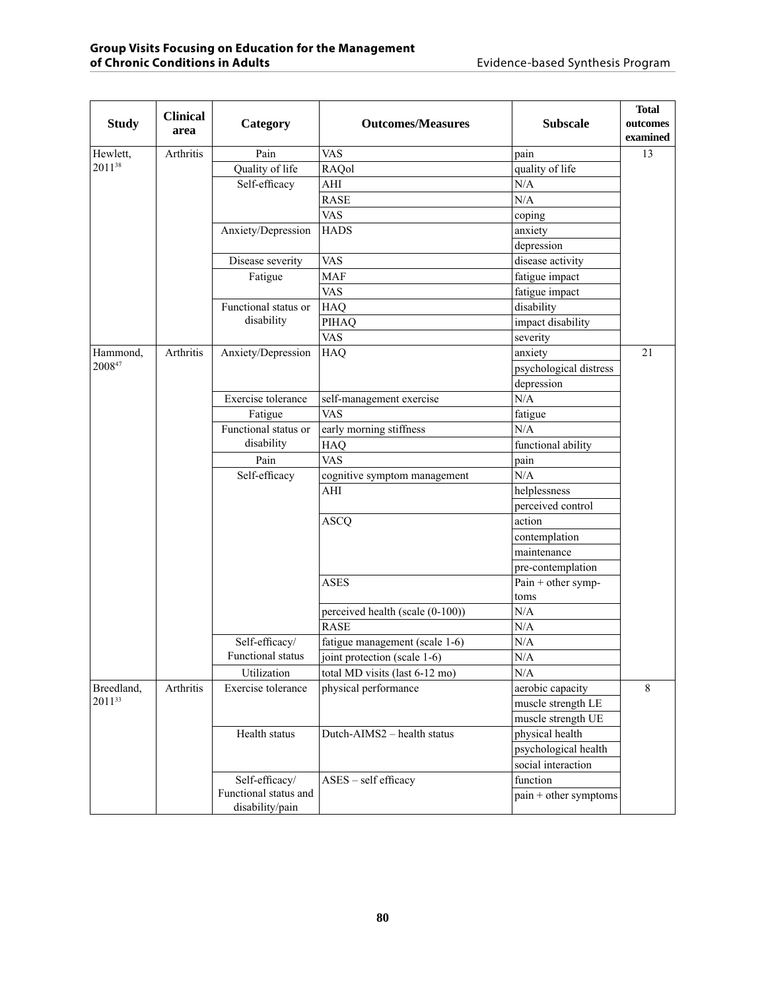|              | <b>Clinical</b> |                          |                                  |                        | <b>Total</b> |
|--------------|-----------------|--------------------------|----------------------------------|------------------------|--------------|
| <b>Study</b> | area            | Category                 | <b>Outcomes/Measures</b>         | <b>Subscale</b>        | outcomes     |
|              |                 |                          |                                  |                        | examined     |
| Hewlett,     | Arthritis       | Pain                     | <b>VAS</b>                       | pain                   | 13           |
| 201138       |                 | Quality of life          | RAQol                            | quality of life        |              |
|              |                 | Self-efficacy            | AHI                              | N/A                    |              |
|              |                 |                          | <b>RASE</b>                      | N/A                    |              |
|              |                 |                          | <b>VAS</b>                       | coping                 |              |
|              |                 | Anxiety/Depression       | <b>HADS</b>                      | anxiety                |              |
|              |                 |                          |                                  | depression             |              |
|              |                 | Disease severity         | <b>VAS</b>                       | disease activity       |              |
|              |                 | Fatigue                  | <b>MAF</b>                       | fatigue impact         |              |
|              |                 |                          | <b>VAS</b>                       | fatigue impact         |              |
|              |                 | Functional status or     | <b>HAQ</b>                       | disability             |              |
|              |                 | disability               | PIHAQ                            | impact disability      |              |
|              |                 |                          | <b>VAS</b>                       | severity               |              |
| Hammond,     | Arthritis       | Anxiety/Depression       | <b>HAQ</b>                       | anxiety                | 21           |
| 200847       |                 |                          |                                  | psychological distress |              |
|              |                 |                          |                                  | depression             |              |
|              |                 | Exercise tolerance       | self-management exercise         | N/A                    |              |
|              |                 | Fatigue                  | <b>VAS</b>                       | fatigue                |              |
|              |                 | Functional status or     | early morning stiffness          | N/A                    |              |
|              |                 | disability               | <b>HAQ</b>                       | functional ability     |              |
|              |                 | Pain                     | <b>VAS</b>                       | pain                   |              |
|              |                 | Self-efficacy            | cognitive symptom management     | N/A                    |              |
|              |                 |                          | AHI                              | helplessness           |              |
|              |                 |                          |                                  | perceived control      |              |
|              |                 |                          | <b>ASCQ</b>                      | action                 |              |
|              |                 |                          |                                  | contemplation          |              |
|              |                 |                          |                                  | maintenance            |              |
|              |                 |                          |                                  | pre-contemplation      |              |
|              |                 |                          | <b>ASES</b>                      | Pain $+$ other symp-   |              |
|              |                 |                          |                                  | toms                   |              |
|              |                 |                          | perceived health (scale (0-100)) | N/A                    |              |
|              |                 |                          | <b>RASE</b>                      | N/A                    |              |
|              |                 | Self-efficacy/           | fatigue management (scale 1-6)   | N/A                    |              |
|              |                 | <b>Functional</b> status | joint protection (scale 1-6)     | N/A                    |              |
|              |                 | Utilization              | total MD visits (last 6-12 mo)   | $\rm N/A$              |              |
| Breedland,   | Arthritis       | Exercise tolerance       | physical performance             | aerobic capacity       | 8            |
| 201133       |                 |                          |                                  | muscle strength LE     |              |
|              |                 |                          |                                  | muscle strength UE     |              |
|              |                 | Health status            | Dutch-AIMS2 - health status      | physical health        |              |
|              |                 |                          |                                  | psychological health   |              |
|              |                 |                          |                                  | social interaction     |              |
|              |                 | Self-efficacy/           | ASES - self efficacy             | function               |              |
|              |                 | Functional status and    |                                  | pain + other symptoms  |              |
|              |                 | disability/pain          |                                  |                        |              |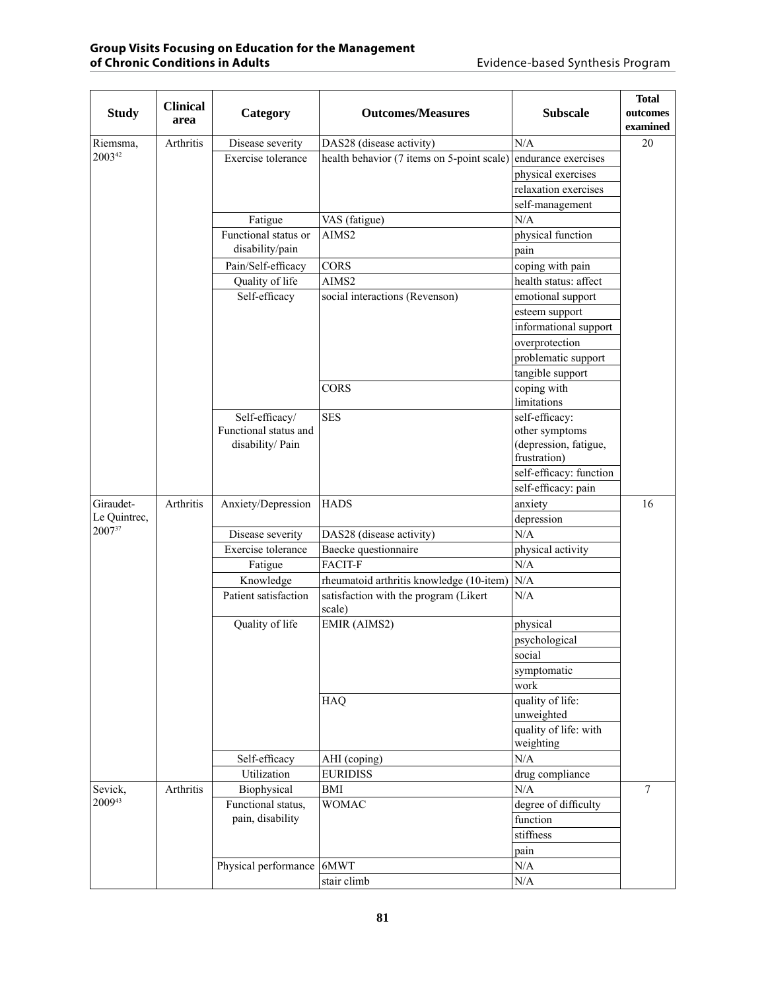| <b>Study</b>           | <b>Clinical</b><br>area | Category              | <b>Outcomes/Measures</b>                   | <b>Subscale</b>                                 | <b>Total</b><br>outcomes<br>examined |  |
|------------------------|-------------------------|-----------------------|--------------------------------------------|-------------------------------------------------|--------------------------------------|--|
| Riemsma,               | Arthritis               | Disease severity      | DAS28 (disease activity)                   | N/A                                             | 20                                   |  |
| 200342                 |                         | Exercise tolerance    | health behavior (7 items on 5-point scale) | endurance exercises                             |                                      |  |
|                        |                         |                       |                                            | physical exercises                              |                                      |  |
|                        |                         |                       |                                            | relaxation exercises                            |                                      |  |
|                        |                         |                       |                                            | self-management                                 |                                      |  |
|                        |                         | Fatigue               | VAS (fatigue)                              | N/A                                             |                                      |  |
|                        |                         | Functional status or  | AIMS2                                      | physical function                               |                                      |  |
|                        |                         | disability/pain       |                                            | pain                                            |                                      |  |
|                        |                         | Pain/Self-efficacy    | <b>CORS</b>                                | coping with pain                                |                                      |  |
|                        |                         | Quality of life       | AIMS2                                      | health status: affect                           |                                      |  |
|                        |                         | Self-efficacy         | social interactions (Revenson)             | emotional support                               |                                      |  |
|                        |                         |                       |                                            | esteem support                                  |                                      |  |
|                        |                         |                       |                                            | informational support                           |                                      |  |
|                        |                         |                       |                                            | overprotection                                  |                                      |  |
|                        |                         |                       |                                            | problematic support                             |                                      |  |
|                        |                         |                       |                                            | tangible support                                |                                      |  |
|                        |                         |                       | <b>CORS</b>                                | coping with                                     |                                      |  |
|                        |                         |                       |                                            | limitations                                     |                                      |  |
|                        |                         | Self-efficacy/        | <b>SES</b>                                 | self-efficacy:                                  |                                      |  |
|                        |                         | Functional status and |                                            | other symptoms                                  |                                      |  |
|                        |                         | disability/ Pain      |                                            | (depression, fatigue,                           |                                      |  |
|                        |                         |                       |                                            | frustration)                                    |                                      |  |
|                        |                         |                       |                                            | self-efficacy: function                         |                                      |  |
|                        |                         |                       |                                            | self-efficacy: pain                             |                                      |  |
| Giraudet-              | Arthritis               | Anxiety/Depression    | <b>HADS</b>                                | anxiety                                         | 16                                   |  |
| Le Quintrec,<br>200737 |                         |                       |                                            | depression                                      |                                      |  |
|                        |                         | Disease severity      | DAS28 (disease activity)                   | N/A                                             |                                      |  |
|                        |                         | Exercise tolerance    | Baecke questionnaire                       | physical activity                               |                                      |  |
|                        |                         | Fatigue               | <b>FACIT-F</b>                             | N/A                                             |                                      |  |
|                        |                         | Knowledge             | rheumatoid arthritis knowledge (10-item)   | N/A                                             |                                      |  |
|                        |                         |                       | Patient satisfaction                       | satisfaction with the program (Likert<br>scale) | N/A                                  |  |
|                        |                         | Quality of life       | EMIR (AIMS2)                               | physical                                        |                                      |  |
|                        |                         |                       |                                            | psychological                                   |                                      |  |
|                        |                         |                       |                                            | social                                          |                                      |  |
|                        |                         |                       |                                            | symptomatic                                     |                                      |  |
|                        |                         |                       |                                            | work                                            |                                      |  |
|                        |                         |                       | <b>HAQ</b>                                 | quality of life:                                |                                      |  |
|                        |                         |                       |                                            | unweighted                                      |                                      |  |
|                        |                         |                       |                                            | quality of life: with                           |                                      |  |
|                        |                         |                       |                                            | weighting                                       |                                      |  |
|                        |                         | Self-efficacy         | AHI (coping)                               | N/A                                             |                                      |  |
|                        |                         | Utilization           | <b>EURIDISS</b>                            | drug compliance                                 |                                      |  |
| Sevick,                | Arthritis               | Biophysical           | $\operatorname{BMI}$                       | N/A                                             | $\overline{7}$                       |  |
| 200943                 |                         | Functional status,    | <b>WOMAC</b>                               | degree of difficulty                            |                                      |  |
|                        |                         | pain, disability      |                                            | function                                        |                                      |  |
|                        |                         |                       |                                            | stiffness                                       |                                      |  |
|                        |                         |                       |                                            | pain                                            |                                      |  |
|                        |                         | Physical performance  | 6MWT                                       | $\rm N/A$                                       |                                      |  |
|                        |                         |                       | stair climb                                | $\rm N/A$                                       |                                      |  |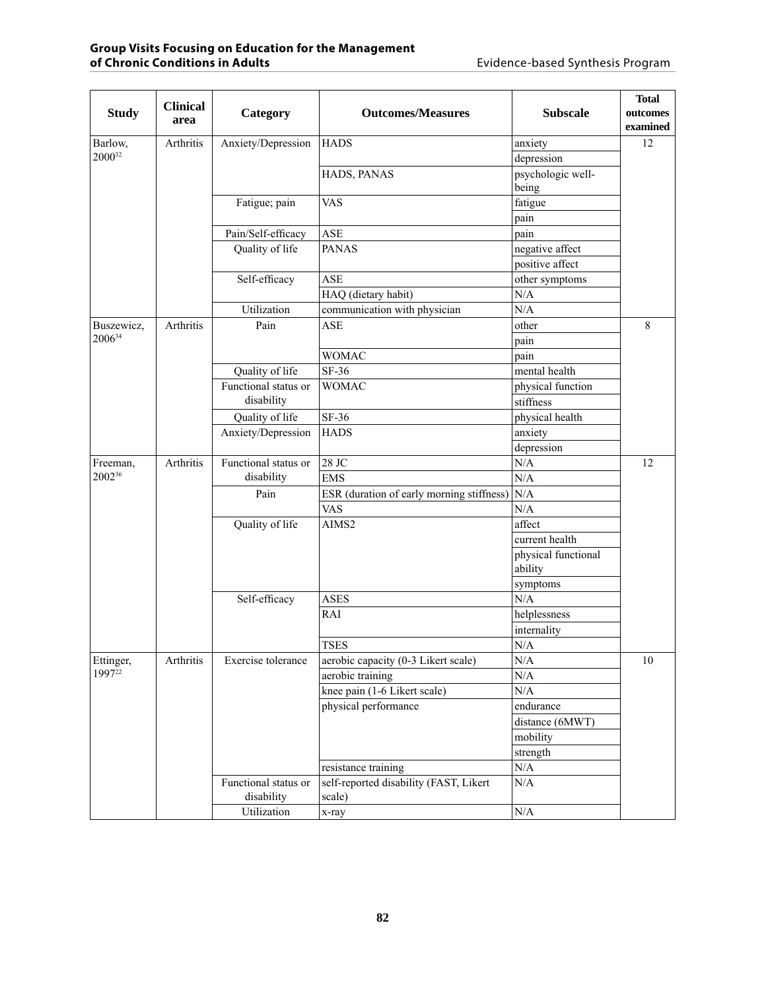|                   | <b>Clinical</b> |                      |                                           |                                | <b>Total</b> |
|-------------------|-----------------|----------------------|-------------------------------------------|--------------------------------|--------------|
| <b>Study</b>      | area            | Category             | <b>Outcomes/Measures</b>                  | <b>Subscale</b>                | outcomes     |
|                   |                 |                      |                                           |                                | examined     |
| Barlow,<br>200032 | Arthritis       | Anxiety/Depression   | <b>HADS</b>                               | anxiety                        | 12           |
|                   |                 |                      |                                           | depression                     |              |
|                   |                 |                      | HADS, PANAS                               | psychologic well-<br>being     |              |
|                   |                 | Fatigue; pain        | <b>VAS</b>                                | fatigue                        |              |
|                   |                 |                      |                                           | pain                           |              |
|                   |                 | Pain/Self-efficacy   | <b>ASE</b>                                | pain                           |              |
|                   |                 | Quality of life      | <b>PANAS</b>                              | negative affect                |              |
|                   |                 |                      |                                           | positive affect                |              |
|                   |                 | Self-efficacy        | <b>ASE</b>                                | other symptoms                 |              |
|                   |                 |                      | HAQ (dietary habit)                       | N/A                            |              |
|                   |                 | Utilization          | communication with physician              | N/A                            |              |
| Buszewicz,        | Arthritis       | Pain                 | <b>ASE</b>                                | other                          | 8            |
| 200634            |                 |                      |                                           | pain                           |              |
|                   |                 |                      | <b>WOMAC</b>                              | pain                           |              |
|                   |                 | Quality of life      | $SF-36$                                   | mental health                  |              |
|                   |                 | Functional status or | <b>WOMAC</b>                              | physical function              |              |
|                   |                 | disability           |                                           | stiffness                      |              |
|                   |                 | Quality of life      | SF-36                                     | physical health                |              |
|                   |                 | Anxiety/Depression   | <b>HADS</b>                               | anxiety                        |              |
|                   |                 |                      |                                           | depression                     |              |
| Freeman,          | Arthritis       | Functional status or | 28 JC                                     | $\rm N/A$                      | 12           |
| 200236            |                 | disability           | <b>EMS</b>                                | N/A                            |              |
|                   |                 | Pain                 | ESR (duration of early morning stiffness) | N/A                            |              |
|                   |                 |                      | <b>VAS</b>                                | N/A                            |              |
|                   |                 | Quality of life      | AIMS2                                     | affect                         |              |
|                   |                 |                      |                                           | current health                 |              |
|                   |                 |                      |                                           | physical functional<br>ability |              |
|                   |                 |                      |                                           | symptoms                       |              |
|                   |                 | Self-efficacy        | <b>ASES</b>                               | N/A                            |              |
|                   |                 |                      | RAI                                       | helplessness                   |              |
|                   |                 |                      |                                           | internality                    |              |
|                   |                 |                      | <b>TSES</b>                               | N/A                            |              |
| Ettinger,         | Arthritis       | Exercise tolerance   | aerobic capacity (0-3 Likert scale)       | N/A                            | 10           |
| $1997^{22}$       |                 |                      | aerobic training                          | N/A                            |              |
|                   |                 |                      | knee pain (1-6 Likert scale)              | $\rm N/A$                      |              |
|                   |                 |                      | physical performance                      | endurance                      |              |
|                   |                 |                      |                                           | distance (6MWT)                |              |
|                   |                 |                      |                                           | mobility                       |              |
|                   |                 |                      |                                           | strength                       |              |
|                   |                 |                      | resistance training                       | $\rm N/A$                      |              |
|                   |                 | Functional status or | self-reported disability (FAST, Likert    | $\rm N/A$                      |              |
|                   |                 | disability           | scale)                                    |                                |              |
|                   |                 | Utilization          | x-ray                                     | $\rm N/A$                      |              |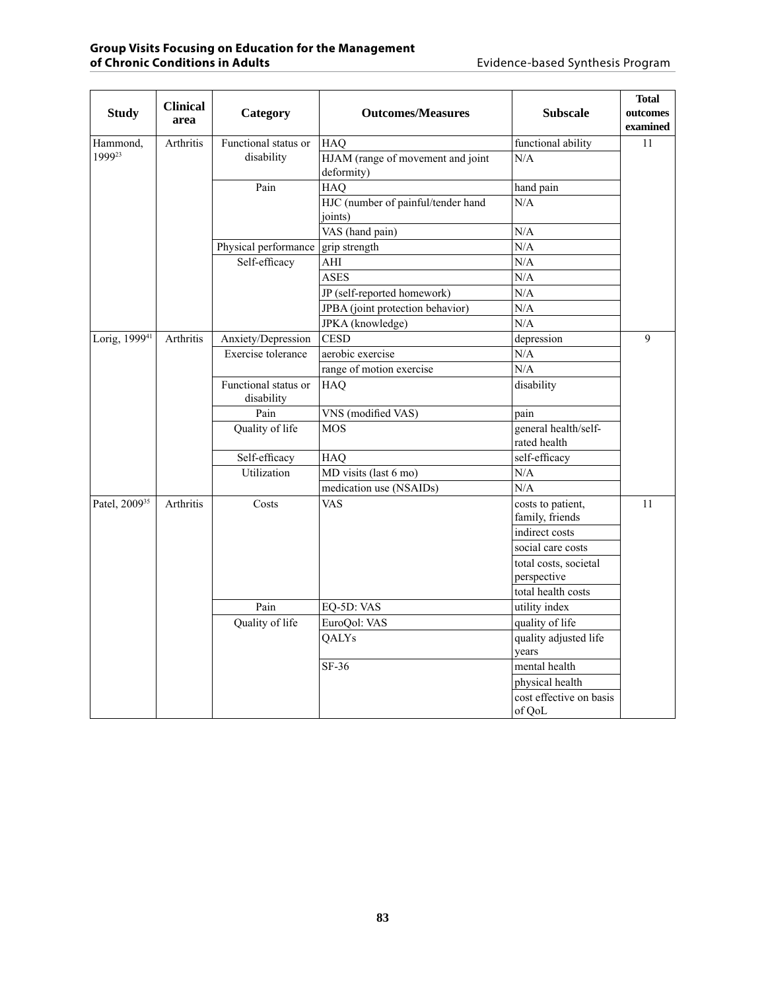| <b>Study</b>              | <b>Clinical</b><br>area | Category                           | <b>Outcomes/Measures</b>                        | <b>Subscale</b>                      | <b>Total</b><br>outcomes<br>examined |
|---------------------------|-------------------------|------------------------------------|-------------------------------------------------|--------------------------------------|--------------------------------------|
| Hammond,                  | <b>Arthritis</b>        | Functional status or               | <b>HAQ</b>                                      | functional ability                   | 11                                   |
| 199923                    |                         | disability                         | HJAM (range of movement and joint<br>deformity) | N/A                                  |                                      |
|                           |                         | Pain                               | <b>HAQ</b>                                      | hand pain                            |                                      |
|                           |                         |                                    | HJC (number of painful/tender hand<br>joints)   | N/A                                  |                                      |
|                           |                         |                                    | VAS (hand pain)                                 | N/A                                  |                                      |
|                           |                         | Physical performance grip strength |                                                 | N/A                                  |                                      |
|                           |                         | Self-efficacy                      | AHI                                             | N/A                                  |                                      |
|                           |                         |                                    | <b>ASES</b>                                     | N/A                                  |                                      |
|                           |                         |                                    | JP (self-reported homework)                     | N/A                                  |                                      |
|                           |                         |                                    | JPBA (joint protection behavior)                | N/A                                  |                                      |
|                           |                         |                                    | JPKA (knowledge)                                | N/A                                  |                                      |
| Lorig, 1999 <sup>41</sup> | Arthritis               | Anxiety/Depression                 | <b>CESD</b>                                     | depression                           | 9                                    |
|                           |                         | Exercise tolerance                 | aerobic exercise                                | N/A                                  |                                      |
|                           |                         |                                    | range of motion exercise                        | N/A                                  |                                      |
|                           |                         | Functional status or<br>disability | HAQ                                             | disability                           |                                      |
|                           |                         | Pain                               | VNS (modified VAS)                              | pain                                 |                                      |
|                           |                         | Quality of life                    | <b>MOS</b>                                      | general health/self-<br>rated health |                                      |
|                           |                         | Self-efficacy                      | HAQ                                             | self-efficacy                        |                                      |
|                           |                         | Utilization                        | MD visits (last 6 mo)                           | N/A                                  |                                      |
|                           |                         |                                    | medication use (NSAIDs)                         | N/A                                  |                                      |
| Patel, 2009 <sup>35</sup> | Arthritis               | Costs                              | <b>VAS</b>                                      | costs to patient,<br>family, friends | 11                                   |
|                           |                         |                                    |                                                 | indirect costs                       |                                      |
|                           |                         |                                    |                                                 | social care costs                    |                                      |
|                           |                         |                                    |                                                 | total costs, societal                |                                      |
|                           |                         |                                    |                                                 | perspective                          |                                      |
|                           |                         |                                    |                                                 | total health costs                   |                                      |
|                           |                         | Pain                               | EQ-5D: VAS                                      | utility index                        |                                      |
|                           |                         | Quality of life                    | EuroQol: VAS                                    | quality of life                      |                                      |
|                           |                         |                                    | QALYs                                           | quality adjusted life<br>years       |                                      |
|                           |                         |                                    | SF-36                                           | mental health                        |                                      |
|                           |                         |                                    |                                                 | physical health                      |                                      |
|                           |                         |                                    |                                                 | cost effective on basis<br>of QoL    |                                      |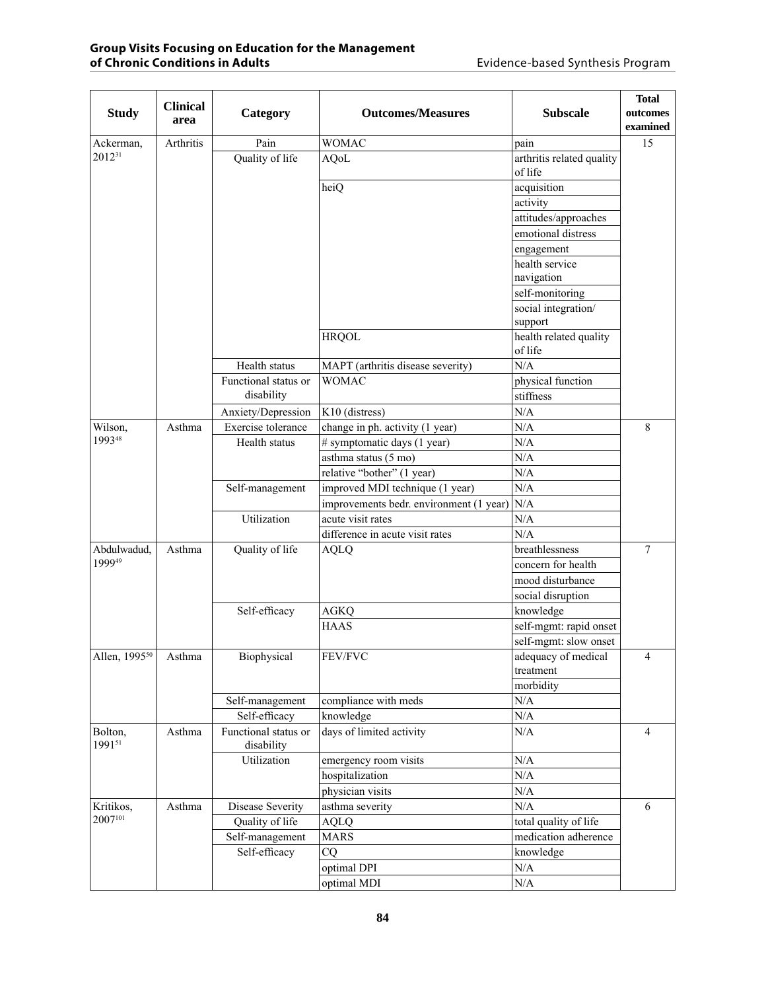| <b>Study</b>              | <b>Clinical</b><br>area | Category                           | <b>Outcomes/Measures</b>                | <b>Subscale</b>                      | <b>Total</b><br>outcomes<br>examined |
|---------------------------|-------------------------|------------------------------------|-----------------------------------------|--------------------------------------|--------------------------------------|
| Ackerman,                 | Arthritis               | Pain                               | <b>WOMAC</b>                            | pain                                 | 15                                   |
| 201231                    |                         | Quality of life                    | <b>AQoL</b>                             | arthritis related quality<br>of life |                                      |
|                           |                         |                                    | heiQ                                    | acquisition                          |                                      |
|                           |                         |                                    |                                         | activity                             |                                      |
|                           |                         |                                    |                                         | attitudes/approaches                 |                                      |
|                           |                         |                                    |                                         | emotional distress                   |                                      |
|                           |                         |                                    |                                         | engagement                           |                                      |
|                           |                         |                                    |                                         | health service                       |                                      |
|                           |                         |                                    |                                         | navigation                           |                                      |
|                           |                         |                                    |                                         | self-monitoring                      |                                      |
|                           |                         |                                    |                                         | social integration/                  |                                      |
|                           |                         |                                    |                                         | support                              |                                      |
|                           |                         |                                    | <b>HRQOL</b>                            | health related quality<br>of life    |                                      |
|                           |                         | Health status                      | MAPT (arthritis disease severity)       | N/A                                  |                                      |
|                           |                         | Functional status or               | <b>WOMAC</b>                            | physical function                    |                                      |
|                           |                         | disability                         |                                         | stiffness                            |                                      |
|                           |                         | Anxiety/Depression                 | K10 (distress)                          | N/A                                  |                                      |
| Wilson,                   | Asthma                  | Exercise tolerance                 | change in ph. activity (1 year)         | N/A                                  | 8                                    |
| 199348                    |                         | Health status                      | # symptomatic days (1 year)             | N/A                                  |                                      |
|                           |                         |                                    | asthma status (5 mo)                    | N/A                                  |                                      |
|                           |                         |                                    | relative "bother" (1 year)              | N/A                                  |                                      |
|                           |                         | Self-management                    | improved MDI technique (1 year)         | N/A                                  |                                      |
|                           |                         |                                    | improvements bedr. environment (1 year) | N/A                                  |                                      |
|                           |                         | Utilization                        | acute visit rates                       | N/A                                  |                                      |
|                           |                         |                                    | difference in acute visit rates         | N/A                                  |                                      |
| Abdulwadud,               | Asthma                  | Quality of life                    | <b>AQLQ</b>                             | breathlessness                       | $\overline{7}$                       |
| 199949                    |                         |                                    |                                         | concern for health                   |                                      |
|                           |                         |                                    |                                         | mood disturbance                     |                                      |
|                           |                         |                                    |                                         | social disruption                    |                                      |
|                           |                         | Self-efficacy                      | <b>AGKQ</b>                             | knowledge                            |                                      |
|                           |                         |                                    | <b>HAAS</b>                             | self-mgmt: rapid onset               |                                      |
|                           |                         |                                    |                                         | self-mgmt: slow onset                |                                      |
| Allen, 1995 <sup>50</sup> | Asthma                  | Biophysical                        | FEV/FVC                                 | adequacy of medical<br>treatment     | $\overline{4}$                       |
|                           |                         |                                    |                                         | morbidity                            |                                      |
|                           |                         | Self-management                    | compliance with meds                    | $\rm N/A$                            |                                      |
|                           |                         | Self-efficacy                      | knowledge                               | $\rm N/A$                            |                                      |
| Bolton,<br>199151         | Asthma                  | Functional status or<br>disability | days of limited activity                | N/A                                  | $\overline{4}$                       |
|                           |                         | Utilization                        | emergency room visits                   | $\rm N/A$                            |                                      |
|                           |                         |                                    | hospitalization                         | $\rm N/A$                            |                                      |
|                           |                         |                                    | physician visits                        | $\rm N/A$                            |                                      |
| Kritikos,                 | Asthma                  | Disease Severity                   | asthma severity                         | N/A                                  | 6                                    |
| 2007101                   |                         | Quality of life                    | <b>AQLQ</b>                             | total quality of life                |                                      |
|                           |                         | Self-management                    | <b>MARS</b>                             | medication adherence                 |                                      |
|                           |                         | Self-efficacy                      | CQ                                      | knowledge                            |                                      |
|                           |                         |                                    | optimal DPI                             | $\rm N/A$                            |                                      |
|                           |                         |                                    | optimal MDI                             | $\rm N/A$                            |                                      |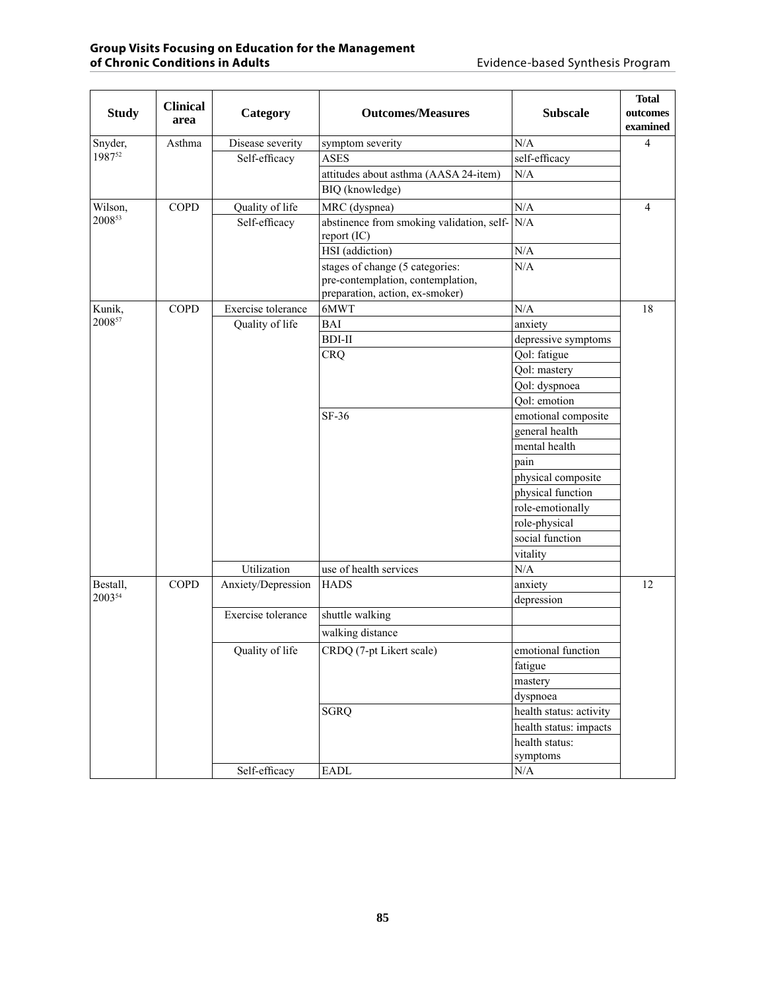| <b>Study</b> | <b>Clinical</b><br>area | Category           | <b>Outcomes/Measures</b>                                                                                | <b>Subscale</b>         | <b>Total</b><br>outcomes<br>examined |
|--------------|-------------------------|--------------------|---------------------------------------------------------------------------------------------------------|-------------------------|--------------------------------------|
| Snyder,      | Asthma                  | Disease severity   | symptom severity                                                                                        | N/A                     | $\overline{4}$                       |
| 198752       |                         | Self-efficacy      | <b>ASES</b>                                                                                             | self-efficacy           |                                      |
|              |                         |                    | attitudes about asthma (AASA 24-item)                                                                   | $\rm N/A$               |                                      |
|              |                         |                    | BIQ (knowledge)                                                                                         |                         |                                      |
| Wilson,      | <b>COPD</b>             | Quality of life    | MRC (dyspnea)                                                                                           | N/A                     | $\overline{4}$                       |
| 200853       |                         | Self-efficacy      | abstinence from smoking validation, self- $N/A$<br>report (IC)                                          |                         |                                      |
|              |                         |                    | HSI (addiction)                                                                                         | N/A                     |                                      |
|              |                         |                    | stages of change (5 categories:<br>pre-contemplation, contemplation,<br>preparation, action, ex-smoker) | N/A                     |                                      |
| Kunik,       | <b>COPD</b>             | Exercise tolerance | 6MWT                                                                                                    | N/A                     | 18                                   |
| 200857       |                         | Quality of life    | BAI                                                                                                     | anxiety                 |                                      |
|              |                         |                    | <b>BDI-II</b>                                                                                           | depressive symptoms     |                                      |
|              |                         |                    | <b>CRQ</b>                                                                                              | Qol: fatigue            |                                      |
|              |                         |                    |                                                                                                         | Qol: mastery            |                                      |
|              |                         |                    |                                                                                                         | Qol: dyspnoea           |                                      |
|              |                         |                    |                                                                                                         | Qol: emotion            |                                      |
|              |                         |                    | $SF-36$                                                                                                 | emotional composite     |                                      |
|              |                         |                    |                                                                                                         | general health          |                                      |
|              |                         |                    |                                                                                                         | mental health           |                                      |
|              |                         |                    |                                                                                                         | pain                    |                                      |
|              |                         |                    |                                                                                                         | physical composite      |                                      |
|              |                         |                    |                                                                                                         | physical function       |                                      |
|              |                         |                    |                                                                                                         | role-emotionally        |                                      |
|              |                         |                    |                                                                                                         | role-physical           |                                      |
|              |                         |                    |                                                                                                         | social function         |                                      |
|              |                         |                    |                                                                                                         | vitality                |                                      |
|              |                         | Utilization        | use of health services                                                                                  | N/A                     |                                      |
| Bestall,     | <b>COPD</b>             | Anxiety/Depression | <b>HADS</b>                                                                                             | anxiety                 | 12                                   |
| 200354       |                         |                    |                                                                                                         | depression              |                                      |
|              |                         | Exercise tolerance | shuttle walking                                                                                         |                         |                                      |
|              |                         |                    | walking distance                                                                                        |                         |                                      |
|              |                         | Quality of life    | CRDQ (7-pt Likert scale)                                                                                | emotional function      |                                      |
|              |                         |                    |                                                                                                         | fatigue                 |                                      |
|              |                         |                    |                                                                                                         | mastery                 |                                      |
|              |                         |                    |                                                                                                         | dyspnoea                |                                      |
|              |                         |                    | <b>SGRQ</b>                                                                                             | health status: activity |                                      |
|              |                         |                    |                                                                                                         | health status: impacts  |                                      |
|              |                         |                    |                                                                                                         | health status:          |                                      |
|              |                         |                    |                                                                                                         | symptoms                |                                      |
|              |                         | Self-efficacy      | ${\rm EADL}$                                                                                            | $\rm N/A$               |                                      |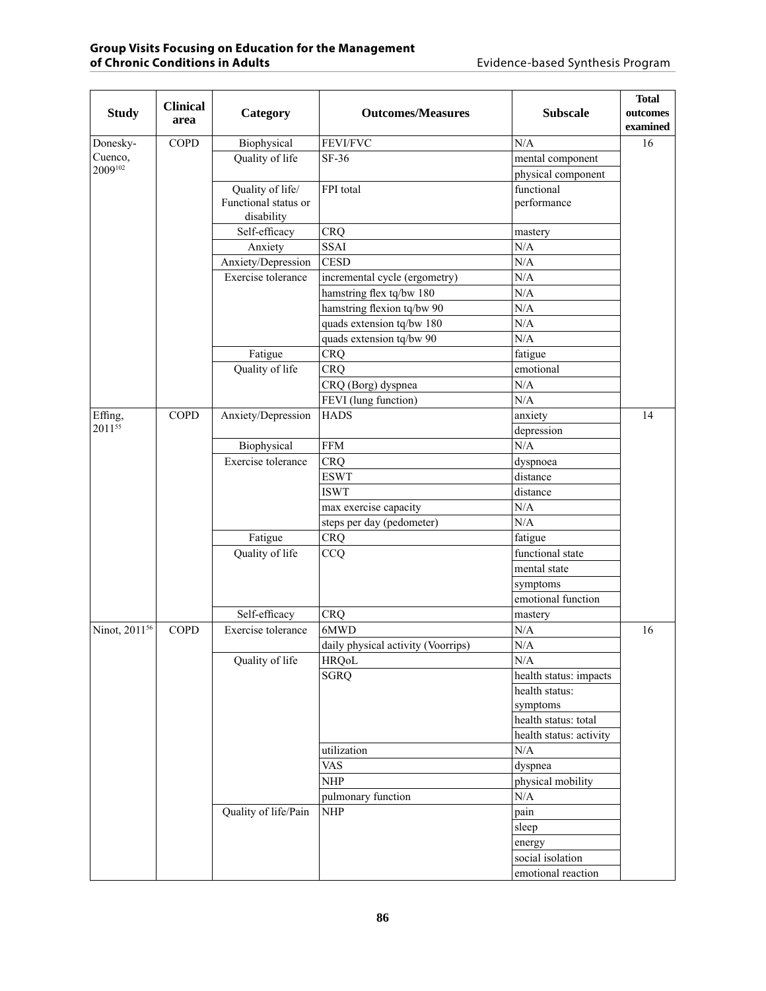| <b>Study</b>              | <b>Clinical</b><br>area | Category                           | <b>Outcomes/Measures</b>           | <b>Subscale</b>         | <b>Total</b><br>outcomes<br>examined |
|---------------------------|-------------------------|------------------------------------|------------------------------------|-------------------------|--------------------------------------|
| Donesky-                  | <b>COPD</b>             | Biophysical                        | FEVI/FVC                           | N/A                     | 16                                   |
| Cuenco,                   |                         | Quality of life                    | SF-36                              | mental component        |                                      |
| 2009102                   |                         |                                    |                                    | physical component      |                                      |
|                           |                         | Quality of life/                   | FPI total                          | functional              |                                      |
|                           |                         | Functional status or<br>disability |                                    | performance             |                                      |
|                           |                         | Self-efficacy                      | <b>CRQ</b>                         | mastery                 |                                      |
|                           |                         | Anxiety                            | <b>SSAI</b>                        | N/A                     |                                      |
|                           |                         | Anxiety/Depression                 | <b>CESD</b>                        | N/A                     |                                      |
|                           |                         | Exercise tolerance                 | incremental cycle (ergometry)      | N/A                     |                                      |
|                           |                         |                                    | hamstring flex tq/bw 180           | N/A                     |                                      |
|                           |                         |                                    | hamstring flexion tq/bw 90         | N/A                     |                                      |
|                           |                         |                                    | quads extension tq/bw 180          | N/A                     |                                      |
|                           |                         |                                    | quads extension tq/bw 90           | N/A                     |                                      |
|                           |                         | Fatigue                            | <b>CRQ</b>                         | fatigue                 |                                      |
|                           |                         | Quality of life                    | <b>CRQ</b>                         | emotional               |                                      |
|                           |                         |                                    | CRQ (Borg) dyspnea                 | N/A                     |                                      |
|                           |                         |                                    | FEVI (lung function)               | N/A                     |                                      |
| Effing,                   | <b>COPD</b>             | Anxiety/Depression                 | <b>HADS</b>                        | anxiety                 | 14                                   |
| 201155                    |                         |                                    |                                    | depression              |                                      |
|                           |                         | Biophysical                        | <b>FFM</b>                         | N/A                     |                                      |
|                           |                         | Exercise tolerance                 | <b>CRQ</b>                         | dyspnoea                |                                      |
|                           |                         |                                    | <b>ESWT</b>                        | distance                |                                      |
|                           |                         |                                    | <b>ISWT</b>                        | distance                |                                      |
|                           |                         |                                    | max exercise capacity              | N/A                     |                                      |
|                           |                         |                                    | steps per day (pedometer)          | N/A                     |                                      |
|                           |                         | Fatigue                            | <b>CRQ</b>                         | fatigue                 |                                      |
|                           |                         | Quality of life                    | CCQ                                | functional state        |                                      |
|                           |                         |                                    |                                    | mental state            |                                      |
|                           |                         |                                    |                                    | symptoms                |                                      |
|                           |                         |                                    |                                    | emotional function      |                                      |
|                           |                         | Self-efficacy                      | <b>CRQ</b>                         |                         |                                      |
| Ninot, 2011 <sup>56</sup> | <b>COPD</b>             | Exercise tolerance                 | 6MWD                               | mastery<br>N/A          | 16                                   |
|                           |                         |                                    | daily physical activity (Voorrips) | N/A                     |                                      |
|                           |                         | Quality of life                    | <b>HRQoL</b>                       | $\rm N/A$               |                                      |
|                           |                         |                                    | <b>SGRQ</b>                        | health status: impacts  |                                      |
|                           |                         |                                    |                                    | health status:          |                                      |
|                           |                         |                                    |                                    | symptoms                |                                      |
|                           |                         |                                    |                                    | health status: total    |                                      |
|                           |                         |                                    |                                    | health status: activity |                                      |
|                           |                         |                                    | utilization                        | $\rm N/A$               |                                      |
|                           |                         |                                    | <b>VAS</b>                         | dyspnea                 |                                      |
|                           |                         |                                    | <b>NHP</b>                         | physical mobility       |                                      |
|                           |                         |                                    |                                    |                         |                                      |
|                           |                         |                                    | pulmonary function                 | $\rm N/A$               |                                      |
|                           |                         | Quality of life/Pain               | <b>NHP</b>                         | pain                    |                                      |
|                           |                         |                                    |                                    | sleep                   |                                      |
|                           |                         |                                    |                                    | energy                  |                                      |
|                           |                         |                                    |                                    | social isolation        |                                      |
|                           |                         |                                    |                                    | emotional reaction      |                                      |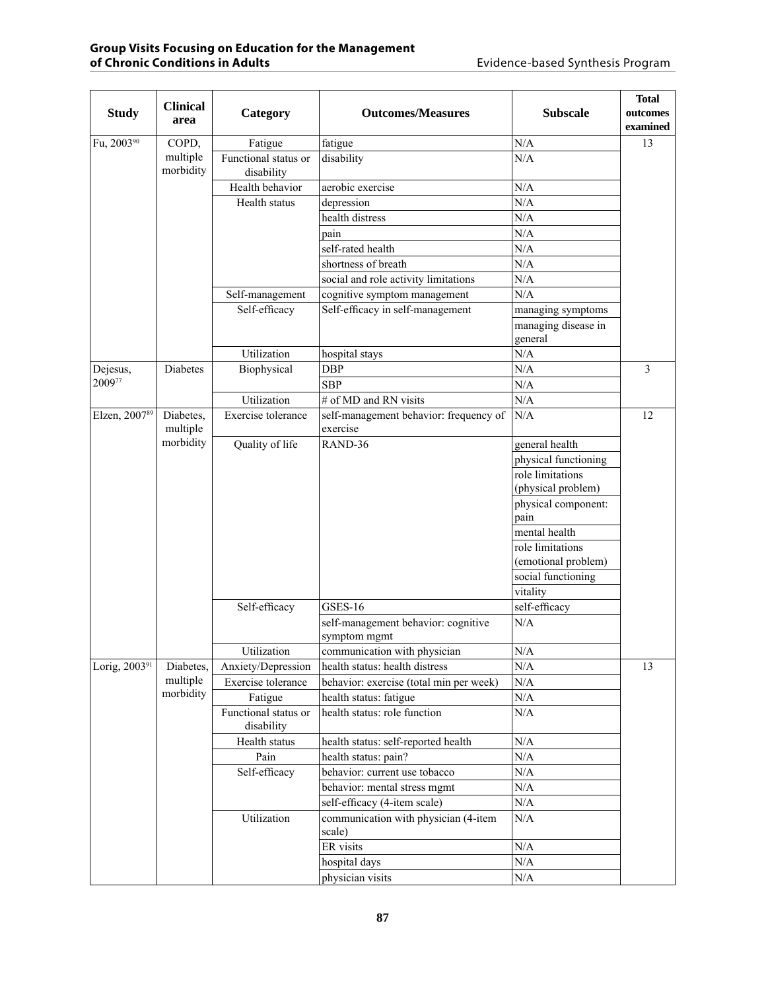| <b>Study</b>              | <b>Clinical</b><br>area | Category                           | <b>Outcomes/Measures</b>                            | <b>Subscale</b>                | <b>Total</b><br>outcomes<br>examined |
|---------------------------|-------------------------|------------------------------------|-----------------------------------------------------|--------------------------------|--------------------------------------|
| Fu, 2003 <sup>90</sup>    | COPD,                   | Fatigue                            | fatigue                                             | N/A                            | 13                                   |
|                           | multiple<br>morbidity   | Functional status or<br>disability | disability                                          | N/A                            |                                      |
|                           |                         | Health behavior                    | aerobic exercise                                    | N/A                            |                                      |
|                           |                         | Health status                      | depression                                          | N/A                            |                                      |
|                           |                         |                                    | health distress                                     | N/A                            |                                      |
|                           |                         |                                    | pain                                                | N/A                            |                                      |
|                           |                         |                                    | self-rated health                                   | N/A                            |                                      |
|                           |                         |                                    | shortness of breath                                 | N/A                            |                                      |
|                           |                         |                                    | social and role activity limitations                | N/A                            |                                      |
|                           |                         | Self-management                    | cognitive symptom management                        | N/A                            |                                      |
|                           |                         | Self-efficacy                      | Self-efficacy in self-management                    | managing symptoms              |                                      |
|                           |                         |                                    |                                                     | managing disease in<br>general |                                      |
|                           |                         | Utilization                        | hospital stays                                      | N/A                            |                                      |
| Dejesus,                  | Diabetes                | Biophysical                        | <b>DBP</b>                                          | N/A                            | 3                                    |
| 200977                    |                         |                                    | <b>SBP</b>                                          | N/A                            |                                      |
|                           |                         | Utilization                        | # of MD and RN visits                               | N/A                            |                                      |
| Elzen, 200789             | Diabetes,               | Exercise tolerance                 | self-management behavior: frequency of              | N/A                            | 12                                   |
|                           | multiple                |                                    | exercise                                            |                                |                                      |
|                           | morbidity               | Quality of life                    | RAND-36                                             | general health                 |                                      |
|                           |                         |                                    |                                                     | physical functioning           |                                      |
|                           |                         |                                    |                                                     | role limitations               |                                      |
|                           |                         |                                    |                                                     | (physical problem)             |                                      |
|                           |                         |                                    |                                                     | physical component:<br>pain    |                                      |
|                           |                         |                                    |                                                     | mental health                  |                                      |
|                           |                         |                                    |                                                     | role limitations               |                                      |
|                           |                         |                                    |                                                     | (emotional problem)            |                                      |
|                           |                         |                                    |                                                     | social functioning             |                                      |
|                           |                         |                                    |                                                     | vitality                       |                                      |
|                           |                         | Self-efficacy                      | <b>GSES-16</b>                                      | self-efficacy                  |                                      |
|                           |                         |                                    | self-management behavior: cognitive<br>symptom mgmt | N/A                            |                                      |
|                           |                         | Utilization                        | communication with physician                        | N/A                            |                                      |
| Lorig, 2003 <sup>91</sup> | Diabetes,               | Anxiety/Depression                 | health status: health distress                      | N/A                            | 13                                   |
|                           | multiple                | Exercise tolerance                 | behavior: exercise (total min per week)             | $\rm N/A$                      |                                      |
|                           | morbidity               | Fatigue                            | health status: fatigue                              | $\rm N/A$                      |                                      |
|                           |                         | Functional status or<br>disability | health status: role function                        | $\rm N/A$                      |                                      |
|                           |                         | Health status                      | health status: self-reported health                 | $\rm N/A$                      |                                      |
|                           |                         | Pain                               | health status: pain?                                | $\rm N/A$                      |                                      |
|                           |                         | Self-efficacy                      | behavior: current use tobacco                       | $\rm N/A$                      |                                      |
|                           |                         |                                    | behavior: mental stress mgmt                        | $\rm N/A$                      |                                      |
|                           |                         |                                    | self-efficacy (4-item scale)                        | N/A                            |                                      |
|                           |                         | Utilization                        | communication with physician (4-item<br>scale)      | $\rm N/A$                      |                                      |
|                           |                         |                                    | ER visits                                           | $\rm N/A$                      |                                      |
|                           |                         |                                    | hospital days                                       | N/A                            |                                      |
|                           |                         |                                    | physician visits                                    | $\rm N/A$                      |                                      |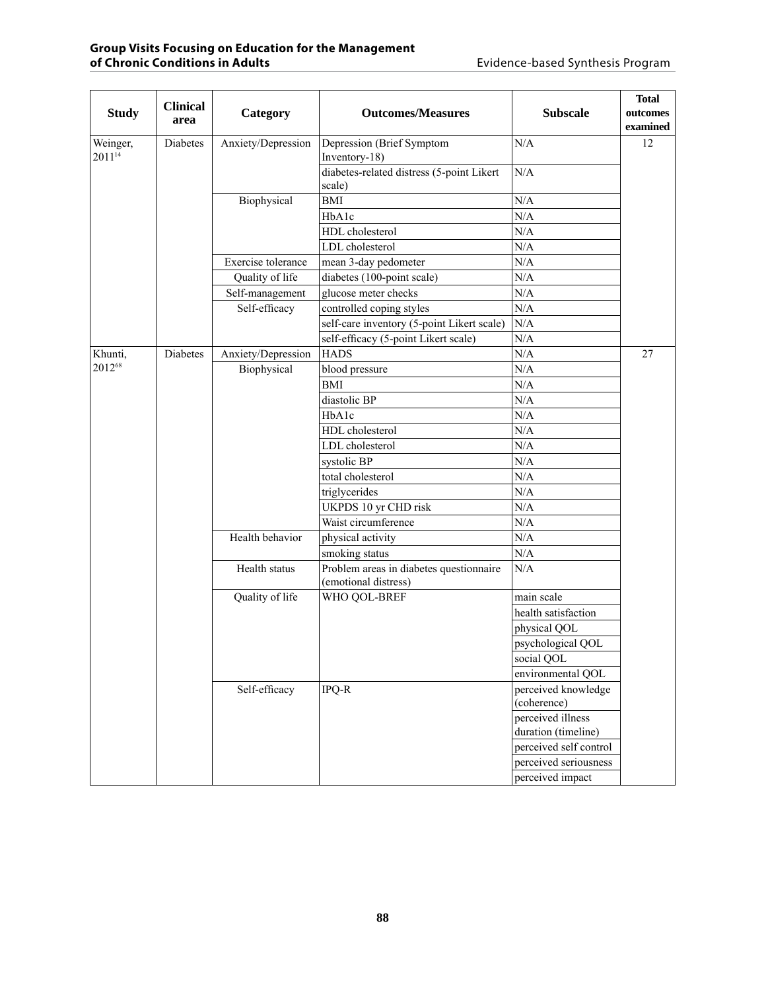|                                | <b>Clinical</b> |                    |                                            |                                          | <b>Total</b>  |                                                                 |     |  |
|--------------------------------|-----------------|--------------------|--------------------------------------------|------------------------------------------|---------------|-----------------------------------------------------------------|-----|--|
| <b>Study</b>                   | area            | Category           | <b>Outcomes/Measures</b>                   | <b>Subscale</b>                          | outcomes      |                                                                 |     |  |
|                                |                 |                    |                                            |                                          | examined      |                                                                 |     |  |
| Weinger,<br>2011 <sup>14</sup> | Diabetes        | Anxiety/Depression | Depression (Brief Symptom<br>Inventory-18) | N/A                                      | 12            |                                                                 |     |  |
|                                |                 | Biophysical        | diabetes-related distress (5-point Likert  | N/A                                      |               |                                                                 |     |  |
|                                |                 |                    | scale)                                     |                                          |               |                                                                 |     |  |
|                                |                 |                    | <b>BMI</b>                                 | N/A                                      |               |                                                                 |     |  |
|                                |                 |                    | HbA1c                                      | N/A                                      |               |                                                                 |     |  |
|                                |                 |                    | HDL cholesterol                            | N/A                                      |               |                                                                 |     |  |
|                                |                 |                    | LDL cholesterol                            | N/A                                      |               |                                                                 |     |  |
|                                |                 | Exercise tolerance | mean 3-day pedometer                       | N/A                                      |               |                                                                 |     |  |
|                                |                 | Quality of life    | diabetes (100-point scale)                 | N/A                                      |               |                                                                 |     |  |
|                                |                 | Self-management    | glucose meter checks                       | $\rm N/A$                                |               |                                                                 |     |  |
|                                |                 | Self-efficacy      | controlled coping styles                   | N/A                                      |               |                                                                 |     |  |
|                                |                 |                    | self-care inventory (5-point Likert scale) | N/A                                      |               |                                                                 |     |  |
|                                |                 |                    | self-efficacy (5-point Likert scale)       | N/A                                      |               |                                                                 |     |  |
| Khunti,                        | <b>Diabetes</b> | Anxiety/Depression | <b>HADS</b>                                | $\rm N/A$                                | 27            |                                                                 |     |  |
| 201268                         |                 | Biophysical        | blood pressure                             | $\rm N/A$                                |               |                                                                 |     |  |
|                                |                 |                    | <b>BMI</b>                                 | $\rm N/A$                                |               |                                                                 |     |  |
|                                |                 |                    | diastolic BP                               | N/A                                      |               |                                                                 |     |  |
|                                |                 |                    | HbA1c                                      | N/A                                      |               |                                                                 |     |  |
|                                |                 |                    | HDL cholesterol                            | N/A                                      |               |                                                                 |     |  |
|                                |                 |                    | LDL cholesterol                            | N/A                                      |               |                                                                 |     |  |
|                                |                 |                    | systolic BP                                | N/A                                      |               |                                                                 |     |  |
|                                |                 |                    | total cholesterol                          | N/A                                      |               |                                                                 |     |  |
|                                |                 |                    | triglycerides                              | N/A                                      |               |                                                                 |     |  |
|                                |                 |                    | UKPDS 10 yr CHD risk                       | N/A                                      |               |                                                                 |     |  |
|                                |                 |                    | Waist circumference                        | N/A                                      |               |                                                                 |     |  |
|                                |                 | Health behavior    | physical activity                          | N/A                                      |               |                                                                 |     |  |
|                                |                 |                    | smoking status                             | N/A                                      |               |                                                                 |     |  |
|                                |                 |                    |                                            |                                          | Health status | Problem areas in diabetes questionnaire<br>(emotional distress) | N/A |  |
|                                |                 | Quality of life    | WHO QOL-BREF                               | main scale                               |               |                                                                 |     |  |
|                                |                 |                    |                                            | health satisfaction                      |               |                                                                 |     |  |
|                                |                 |                    |                                            |                                          |               |                                                                 |     |  |
|                                |                 |                    |                                            | physical QOL                             |               |                                                                 |     |  |
|                                |                 |                    |                                            | psychological QOL                        |               |                                                                 |     |  |
|                                |                 |                    |                                            | social QOL                               |               |                                                                 |     |  |
|                                |                 |                    |                                            | environmental QOL                        |               |                                                                 |     |  |
|                                |                 | Self-efficacy      | $IPQ-R$                                    | perceived knowledge                      |               |                                                                 |     |  |
|                                |                 |                    |                                            | (coherence)                              |               |                                                                 |     |  |
|                                |                 |                    |                                            | perceived illness<br>duration (timeline) |               |                                                                 |     |  |
|                                |                 |                    |                                            | perceived self control                   |               |                                                                 |     |  |
|                                |                 |                    |                                            | perceived seriousness                    |               |                                                                 |     |  |
|                                |                 |                    |                                            | perceived impact                         |               |                                                                 |     |  |
|                                |                 |                    |                                            |                                          |               |                                                                 |     |  |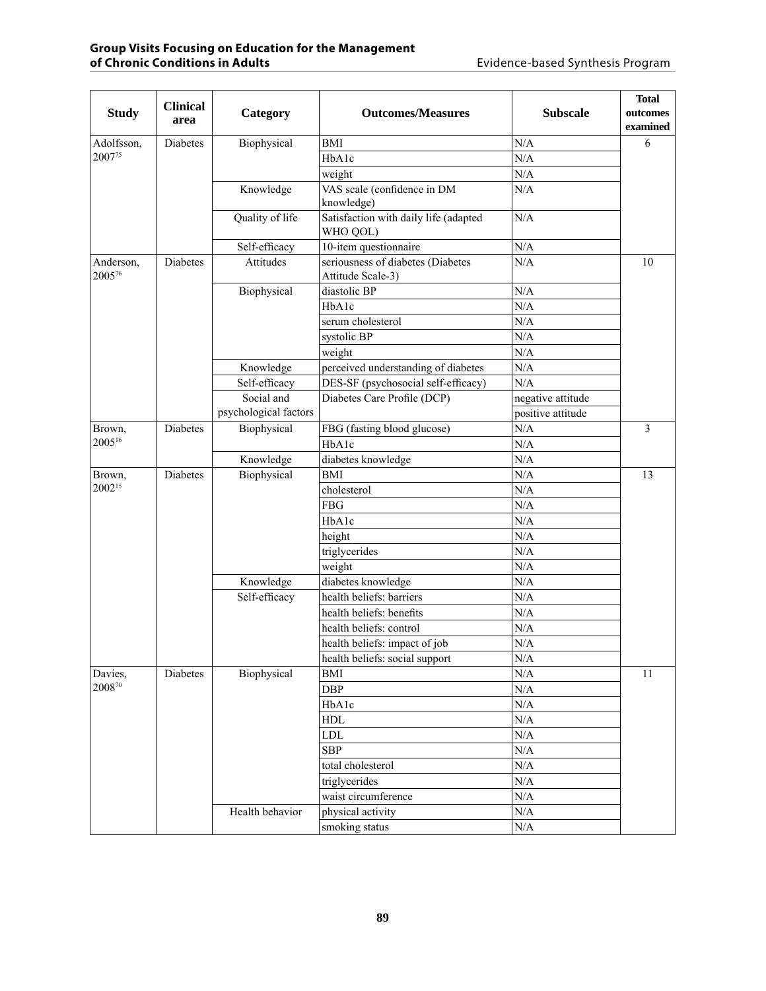| <b>Study</b>        | <b>Clinical</b>                                     | Category              | <b>Outcomes/Measures</b>                               | <b>Subscale</b>   | <b>Total</b><br>outcomes |  |
|---------------------|-----------------------------------------------------|-----------------------|--------------------------------------------------------|-------------------|--------------------------|--|
|                     | area                                                |                       |                                                        |                   | examined                 |  |
| Adolfsson,          | <b>Diabetes</b>                                     | Biophysical           | <b>BMI</b>                                             | N/A               | 6                        |  |
| 2007 <sup>75</sup>  |                                                     |                       | HbA1c                                                  | N/A               |                          |  |
|                     |                                                     |                       | weight                                                 | N/A               |                          |  |
|                     |                                                     | Knowledge             | VAS scale (confidence in DM<br>knowledge)              | N/A               |                          |  |
|                     |                                                     | Quality of life       | Satisfaction with daily life (adapted<br>WHO QOL)      | N/A               |                          |  |
|                     |                                                     | Self-efficacy         | 10-item questionnaire                                  | $\rm N/A$         |                          |  |
| Anderson,<br>200576 | <b>Diabetes</b>                                     | Attitudes             | seriousness of diabetes (Diabetes<br>Attitude Scale-3) | N/A               | 10                       |  |
|                     |                                                     | Biophysical           | diastolic BP                                           | N/A               |                          |  |
|                     |                                                     |                       | HbA1c                                                  | N/A               |                          |  |
|                     |                                                     |                       | serum cholesterol                                      | N/A               |                          |  |
|                     |                                                     |                       | systolic BP                                            | N/A               |                          |  |
|                     |                                                     |                       | weight                                                 | N/A               |                          |  |
|                     |                                                     | Knowledge             | perceived understanding of diabetes                    | N/A               |                          |  |
|                     |                                                     | Self-efficacy         | DES-SF (psychosocial self-efficacy)                    | N/A               |                          |  |
|                     |                                                     | Social and            | Diabetes Care Profile (DCP)                            | negative attitude |                          |  |
|                     |                                                     | psychological factors |                                                        | positive attitude |                          |  |
| Brown,              | <b>Diabetes</b>                                     | Biophysical           | FBG (fasting blood glucose)                            | N/A               | 3                        |  |
| 200516              |                                                     |                       | HbA1c                                                  | N/A               |                          |  |
|                     |                                                     | Knowledge             | diabetes knowledge                                     | N/A               |                          |  |
| Brown,              | Diabetes                                            | Biophysical           | <b>BMI</b>                                             | N/A               | 13                       |  |
| 2002 <sup>15</sup>  |                                                     |                       |                                                        | cholesterol       | N/A                      |  |
|                     |                                                     |                       |                                                        | ${\rm FBG}$       | N/A                      |  |
|                     |                                                     |                       |                                                        | HbA1c             | $\rm N/A$                |  |
|                     |                                                     |                       | height                                                 | N/A               |                          |  |
|                     |                                                     | Knowledge             | triglycerides                                          | N/A               |                          |  |
|                     |                                                     |                       | weight                                                 | N/A               |                          |  |
|                     |                                                     |                       | diabetes knowledge                                     | N/A               |                          |  |
|                     |                                                     | Self-efficacy         | health beliefs: barriers                               | N/A               |                          |  |
|                     | health beliefs: benefits<br>health beliefs: control |                       | N/A                                                    |                   |                          |  |
|                     |                                                     |                       | N/A                                                    |                   |                          |  |
|                     |                                                     |                       | health beliefs: impact of job                          | N/A               |                          |  |
|                     |                                                     |                       | health beliefs: social support                         | $\rm N/A$         |                          |  |
| Davies,             | Diabetes                                            | Biophysical           | $\mathop{\rm BMI}\nolimits$                            | $\rm N/A$         | 11                       |  |
| 200870              |                                                     |                       | <b>DBP</b>                                             | $\rm N/A$         |                          |  |
|                     |                                                     |                       | HbA1c                                                  | $\rm N/A$         |                          |  |
|                     |                                                     |                       | <b>HDL</b>                                             | $\rm N/A$         |                          |  |
|                     |                                                     |                       | <b>LDL</b>                                             | N/A               |                          |  |
|                     |                                                     |                       | <b>SBP</b>                                             | $\rm N/A$         |                          |  |
|                     |                                                     |                       | total cholesterol                                      | N/A               |                          |  |
|                     |                                                     |                       | triglycerides                                          | N/A               |                          |  |
|                     |                                                     |                       | waist circumference                                    | N/A               |                          |  |
|                     |                                                     | Health behavior       | physical activity                                      | $\rm N/A$         |                          |  |
|                     |                                                     |                       | smoking status                                         | N/A               |                          |  |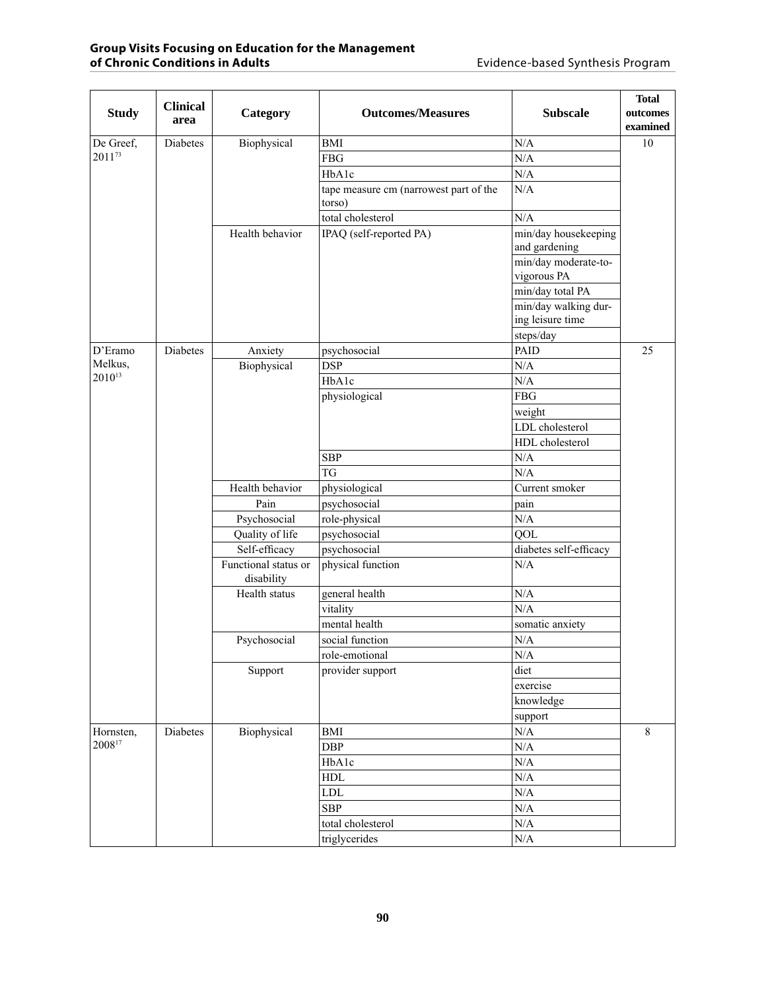| <b>Study</b>           | <b>Clinical</b><br>area | Category                           | <b>Outcomes/Measures</b>               | <b>Subscale</b>                       | <b>Total</b><br>outcomes<br>examined |
|------------------------|-------------------------|------------------------------------|----------------------------------------|---------------------------------------|--------------------------------------|
| De Greef,              | Diabetes                | Biophysical                        | <b>BMI</b>                             | N/A                                   | 10                                   |
| 201173                 |                         |                                    | <b>FBG</b>                             | N/A                                   |                                      |
|                        |                         |                                    | HbA1c                                  | N/A                                   |                                      |
|                        |                         |                                    | tape measure cm (narrowest part of the | N/A                                   |                                      |
|                        |                         |                                    | torso)                                 |                                       |                                      |
|                        |                         |                                    | total cholesterol                      | N/A                                   |                                      |
|                        |                         | Health behavior                    | IPAQ (self-reported PA)                | min/day housekeeping<br>and gardening |                                      |
|                        |                         |                                    |                                        | min/day moderate-to-<br>vigorous PA   |                                      |
|                        |                         |                                    |                                        | min/day total PA                      |                                      |
|                        |                         |                                    |                                        | min/day walking dur-                  |                                      |
|                        |                         |                                    |                                        | ing leisure time                      |                                      |
|                        |                         |                                    |                                        | steps/day                             |                                      |
| D'Eramo                | <b>Diabetes</b>         | Anxiety                            | psychosocial                           | <b>PAID</b>                           | 25                                   |
| Melkus,<br>$2010^{13}$ |                         | Biophysical                        | <b>DSP</b>                             | N/A                                   |                                      |
|                        |                         |                                    | HbA1c                                  | N/A                                   |                                      |
|                        |                         |                                    | physiological                          | <b>FBG</b>                            |                                      |
|                        |                         |                                    |                                        | weight                                |                                      |
|                        |                         |                                    |                                        | LDL cholesterol                       |                                      |
|                        |                         |                                    |                                        | HDL cholesterol                       |                                      |
|                        |                         |                                    | <b>SBP</b>                             | N/A                                   |                                      |
|                        |                         |                                    | <b>TG</b>                              | N/A                                   |                                      |
|                        |                         | Health behavior                    | physiological                          | Current smoker                        |                                      |
|                        |                         | Pain                               | psychosocial                           | pain                                  |                                      |
|                        |                         | Psychosocial                       | role-physical                          | N/A                                   |                                      |
|                        |                         | Quality of life                    | psychosocial                           | QOL                                   |                                      |
|                        |                         | Self-efficacy                      | psychosocial                           | diabetes self-efficacy                |                                      |
|                        |                         | Functional status or<br>disability | physical function                      | N/A                                   |                                      |
|                        |                         | Health status                      | general health                         | N/A                                   |                                      |
|                        |                         |                                    | vitality                               | N/A                                   |                                      |
|                        |                         |                                    | mental health                          | somatic anxiety                       |                                      |
|                        |                         | Psychosocial                       | social function                        | N/A                                   |                                      |
|                        |                         |                                    | role-emotional                         | N/A                                   |                                      |
|                        |                         | Support                            | provider support                       | diet                                  |                                      |
|                        |                         |                                    |                                        | exercise                              |                                      |
|                        |                         |                                    |                                        | knowledge                             |                                      |
|                        |                         |                                    |                                        | support                               |                                      |
| Hornsten,              | Diabetes                | Biophysical                        | <b>BMI</b>                             | $\rm N/A$                             | $8\,$                                |
| 200817                 |                         |                                    | DBP                                    | $\rm N/A$                             |                                      |
|                        |                         |                                    | HbA1c                                  | $\rm N/A$                             |                                      |
|                        |                         |                                    | HDL                                    | $\rm N/A$                             |                                      |
|                        |                         |                                    | ${\rm LDL}$                            | N/A                                   |                                      |
|                        |                         |                                    | <b>SBP</b>                             | $\rm N/A$                             |                                      |
|                        |                         |                                    | total cholesterol                      | $\rm N/A$                             |                                      |
|                        |                         |                                    | triglycerides                          | $\rm N/A$                             |                                      |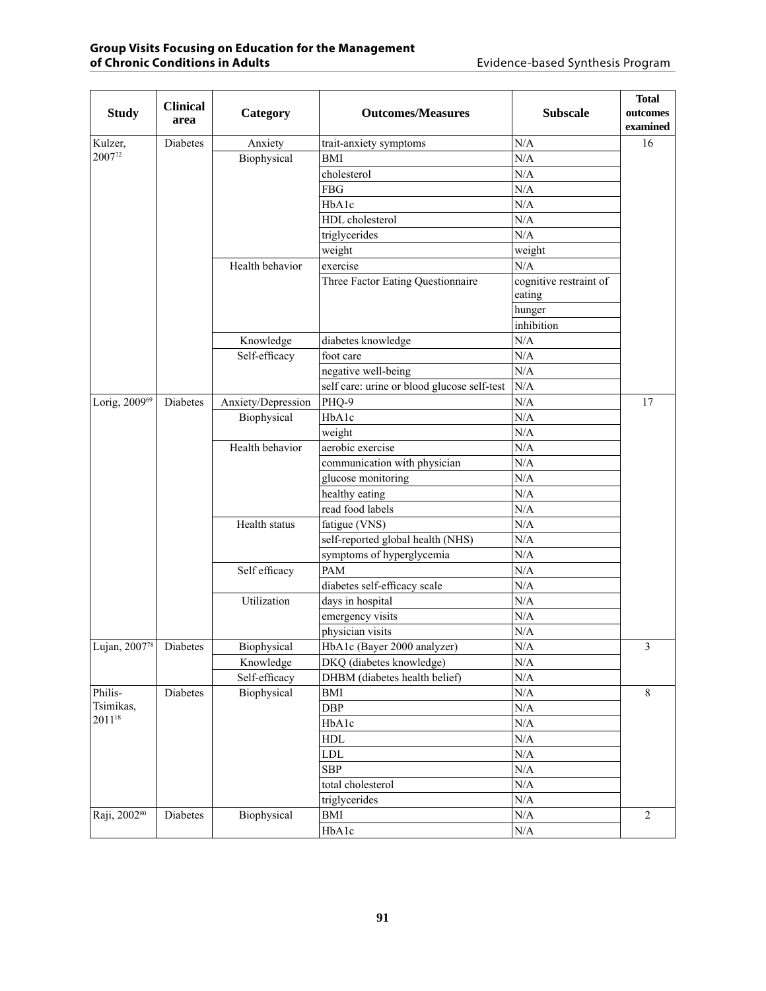| <b>Study</b>  | <b>Clinical</b><br>area | Category           | <b>Outcomes/Measures</b>                    | <b>Subscale</b>                  | <b>Total</b><br>outcomes |
|---------------|-------------------------|--------------------|---------------------------------------------|----------------------------------|--------------------------|
|               |                         |                    |                                             |                                  | examined                 |
| Kulzer,       | Diabetes                | Anxiety            | trait-anxiety symptoms                      | N/A                              | 16                       |
| 200772        |                         | Biophysical        | <b>BMI</b>                                  | N/A                              |                          |
|               |                         |                    | cholesterol                                 | N/A                              |                          |
|               |                         |                    | <b>FBG</b>                                  | N/A                              |                          |
|               |                         |                    | HbA1c                                       | N/A                              |                          |
|               |                         |                    | HDL cholesterol                             | N/A                              |                          |
|               |                         |                    | triglycerides                               | N/A                              |                          |
|               |                         |                    | weight                                      | weight                           |                          |
|               |                         | Health behavior    | exercise                                    | N/A                              |                          |
|               |                         |                    | Three Factor Eating Questionnaire           | cognitive restraint of<br>eating |                          |
|               |                         |                    |                                             | hunger                           |                          |
|               |                         |                    |                                             | inhibition                       |                          |
|               |                         | Knowledge          | diabetes knowledge                          | N/A                              |                          |
|               |                         | Self-efficacy      | foot care                                   | N/A                              |                          |
|               |                         |                    | negative well-being                         | N/A                              |                          |
|               |                         |                    | self care: urine or blood glucose self-test | N/A                              |                          |
| Lorig, 200969 | <b>Diabetes</b>         | Anxiety/Depression | PHQ-9                                       | N/A                              | 17                       |
|               |                         | Biophysical        | HbA1c                                       | N/A                              |                          |
|               |                         |                    | weight                                      | N/A                              |                          |
|               |                         | Health behavior    | aerobic exercise                            | N/A                              |                          |
|               |                         |                    | communication with physician                | N/A                              |                          |
|               |                         |                    | glucose monitoring                          | N/A                              |                          |
|               |                         |                    | healthy eating                              | N/A                              |                          |
|               |                         |                    | read food labels                            | N/A                              |                          |
|               |                         | Health status      | fatigue (VNS)                               | N/A                              |                          |
|               |                         |                    | self-reported global health (NHS)           | N/A                              |                          |
|               |                         |                    | symptoms of hyperglycemia                   | N/A                              |                          |
|               |                         | Self efficacy      | PAM                                         | N/A                              |                          |
|               |                         |                    | diabetes self-efficacy scale                | N/A                              |                          |
|               |                         | Utilization        | days in hospital                            | N/A                              |                          |
|               |                         |                    | emergency visits                            | N/A                              |                          |
|               |                         |                    | physician visits                            | N/A                              |                          |
| Lujan, 200778 | Diabetes                | <b>Biophysical</b> | HbA1c (Bayer 2000 analyzer)                 | $\rm N/A$                        | 3                        |
|               |                         | Knowledge          | DKQ (diabetes knowledge)                    | N/A                              |                          |
|               |                         | Self-efficacy      | DHBM (diabetes health belief)               | $\rm N/A$                        |                          |
| Philis-       | Diabetes                | Biophysical        | $\operatorname{BMI}$                        | $\rm N/A$                        | 8                        |
| Tsimikas,     |                         |                    | DBP                                         | $\rm N/A$                        |                          |
| 201118        |                         |                    | HbA1c                                       | $\rm N/A$                        |                          |
|               |                         |                    | <b>HDL</b>                                  | $\rm N/A$                        |                          |
|               |                         |                    | ${\rm LDL}$                                 | $\rm N/A$                        |                          |
|               |                         |                    | <b>SBP</b>                                  | $\rm N/A$                        |                          |
|               |                         |                    | total cholesterol                           | N/A                              |                          |
|               |                         |                    | triglycerides                               | $\rm N/A$                        |                          |
| Raji, 200280  | Diabetes                | Biophysical        | $\operatorname{BMI}$                        | $\rm N/A$                        | $\overline{2}$           |
|               |                         |                    | HbA1c                                       | $\rm N/A$                        |                          |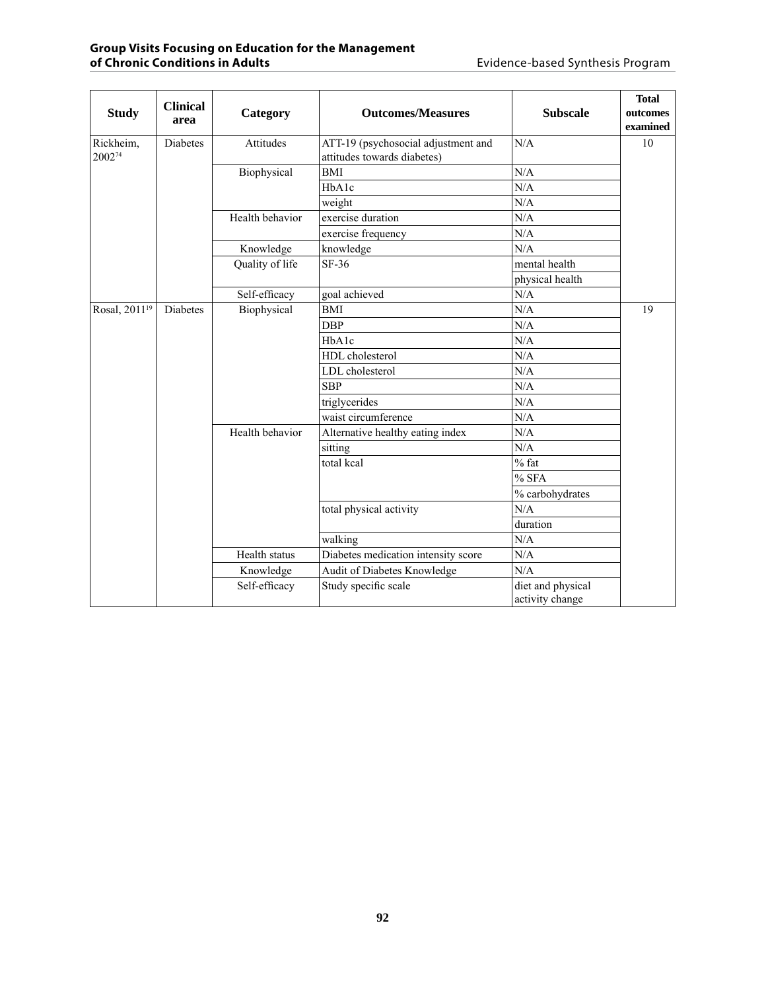| <b>Study</b>              | <b>Clinical</b><br>area | Category        | <b>Outcomes/Measures</b>                                           | <b>Subscale</b>                      | <b>Total</b><br>outcomes<br>examined |
|---------------------------|-------------------------|-----------------|--------------------------------------------------------------------|--------------------------------------|--------------------------------------|
| Rickheim,<br>200274       | <b>Diabetes</b>         | Attitudes       | ATT-19 (psychosocial adjustment and<br>attitudes towards diabetes) | N/A                                  | 10                                   |
|                           |                         | Biophysical     | <b>BMI</b>                                                         | N/A                                  |                                      |
|                           |                         |                 | H <sub>b</sub> A <sub>1c</sub>                                     | N/A                                  |                                      |
|                           |                         |                 | weight                                                             | N/A                                  |                                      |
|                           |                         | Health behavior | exercise duration                                                  | N/A                                  |                                      |
|                           |                         |                 | exercise frequency                                                 | N/A                                  |                                      |
|                           |                         | Knowledge       | knowledge                                                          | N/A                                  |                                      |
|                           |                         | Quality of life | SF-36                                                              | mental health                        |                                      |
|                           |                         |                 |                                                                    | physical health                      |                                      |
|                           |                         | Self-efficacy   | goal achieved                                                      | N/A                                  |                                      |
| Rosal, 2011 <sup>19</sup> | <b>Diabetes</b>         | Biophysical     | <b>BMI</b>                                                         | N/A                                  | 19                                   |
|                           |                         |                 | <b>DBP</b>                                                         | N/A                                  |                                      |
|                           |                         |                 | HbA1c                                                              | N/A                                  |                                      |
|                           |                         |                 | HDL cholesterol                                                    | N/A                                  |                                      |
|                           |                         |                 | LDL cholesterol                                                    | N/A                                  |                                      |
|                           |                         |                 | <b>SBP</b>                                                         | N/A                                  |                                      |
|                           |                         |                 | triglycerides                                                      | N/A                                  |                                      |
|                           |                         |                 | waist circumference                                                | N/A                                  |                                      |
|                           |                         | Health behavior | Alternative healthy eating index                                   | N/A                                  |                                      |
|                           |                         |                 | sitting                                                            | N/A                                  |                                      |
|                           |                         |                 | total kcal                                                         | $%$ fat                              |                                      |
|                           |                         |                 |                                                                    | % SFA                                |                                      |
|                           |                         |                 |                                                                    | % carbohydrates                      |                                      |
|                           |                         |                 | total physical activity                                            | N/A                                  |                                      |
|                           |                         |                 |                                                                    | duration                             |                                      |
|                           |                         |                 | walking                                                            | N/A                                  |                                      |
|                           |                         | Health status   | Diabetes medication intensity score                                | N/A                                  |                                      |
|                           |                         | Knowledge       | Audit of Diabetes Knowledge                                        | N/A                                  |                                      |
|                           |                         | Self-efficacy   | Study specific scale                                               | diet and physical<br>activity change |                                      |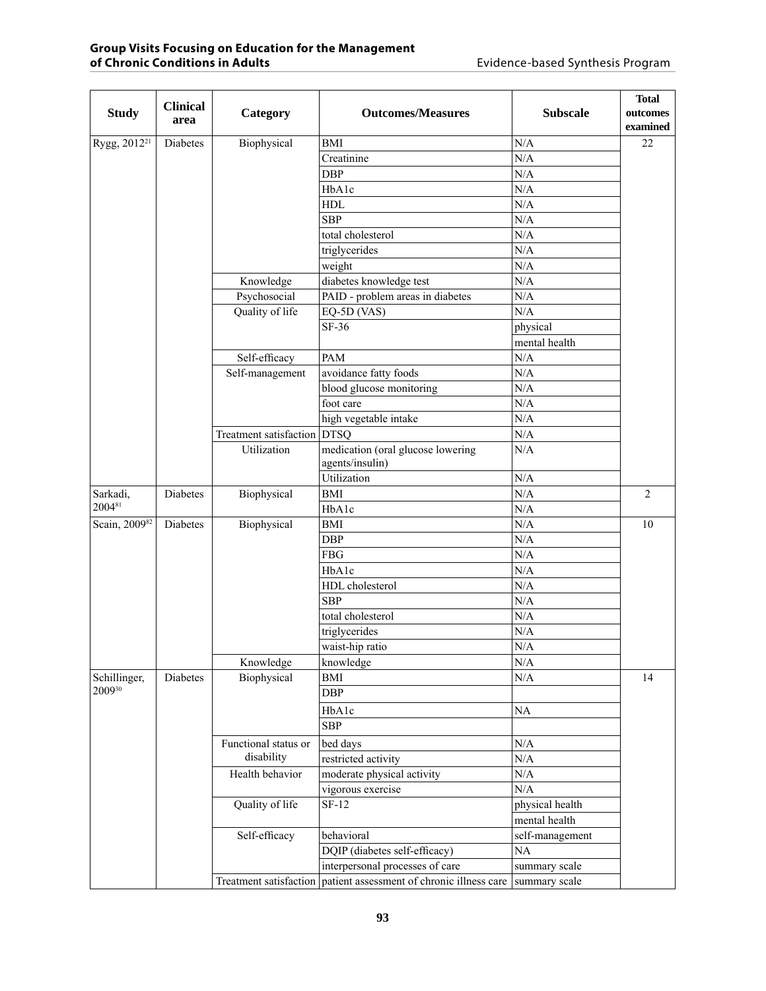| <b>Study</b>             | <b>Clinical</b><br>area | Category                    | <b>Outcomes/Measures</b>                                          | <b>Subscale</b> | <b>Total</b><br>outcomes<br>examined |
|--------------------------|-------------------------|-----------------------------|-------------------------------------------------------------------|-----------------|--------------------------------------|
| Rygg, 2012 <sup>21</sup> | Diabetes                | Biophysical                 | <b>BMI</b>                                                        | N/A             | 22                                   |
|                          |                         |                             | Creatinine                                                        | N/A             |                                      |
|                          |                         |                             | <b>DBP</b>                                                        | N/A             |                                      |
|                          |                         |                             | HbA1c                                                             | N/A             |                                      |
|                          |                         |                             | <b>HDL</b>                                                        | N/A             |                                      |
|                          |                         |                             | <b>SBP</b>                                                        | N/A             |                                      |
|                          |                         |                             | total cholesterol                                                 | N/A             |                                      |
|                          |                         |                             | triglycerides                                                     | N/A             |                                      |
|                          |                         |                             | weight                                                            | N/A             |                                      |
|                          |                         | Knowledge                   | diabetes knowledge test                                           | $\rm N/A$       |                                      |
|                          |                         | Psychosocial                | PAID - problem areas in diabetes                                  | N/A             |                                      |
|                          |                         | Quality of life             | EQ-5D (VAS)                                                       | N/A             |                                      |
|                          |                         |                             | $SF-36$                                                           | physical        |                                      |
|                          |                         |                             |                                                                   | mental health   |                                      |
|                          |                         | Self-efficacy               | <b>PAM</b>                                                        | N/A             |                                      |
|                          |                         | Self-management             | avoidance fatty foods                                             | N/A             |                                      |
|                          |                         |                             | blood glucose monitoring                                          | N/A             |                                      |
|                          |                         |                             | foot care                                                         | N/A             |                                      |
|                          |                         |                             | high vegetable intake                                             | N/A             |                                      |
|                          |                         | Treatment satisfaction DTSQ |                                                                   | N/A             |                                      |
|                          |                         | Utilization                 | medication (oral glucose lowering                                 | N/A             |                                      |
|                          |                         |                             | agents/insulin)                                                   |                 |                                      |
|                          |                         |                             | Utilization                                                       | N/A             |                                      |
| Sarkadi,                 | Diabetes                | Biophysical                 | <b>BMI</b>                                                        | N/A             | $\overline{2}$                       |
| 200481                   |                         |                             | HbA1c                                                             | N/A             |                                      |
| Scain, 200982            | Diabetes                |                             | <b>BMI</b>                                                        | N/A             | 10                                   |
|                          |                         | Biophysical                 | <b>DBP</b>                                                        | N/A             |                                      |
|                          |                         |                             |                                                                   |                 |                                      |
|                          |                         |                             | <b>FBG</b>                                                        | N/A             |                                      |
|                          |                         |                             | HbA1c                                                             | N/A             |                                      |
|                          |                         |                             | HDL cholesterol                                                   | N/A             |                                      |
|                          |                         |                             | <b>SBP</b>                                                        | N/A             |                                      |
|                          |                         |                             | total cholesterol                                                 | N/A             |                                      |
|                          |                         |                             | triglycerides                                                     | N/A             |                                      |
|                          |                         |                             | waist-hip ratio                                                   | N/A             |                                      |
|                          |                         | Knowledge                   | knowledge                                                         | N/A             |                                      |
| Schillinger,<br>200930   | Diabetes                | Biophysical                 | <b>BMI</b><br><b>DBP</b>                                          | N/A             | 14                                   |
|                          |                         |                             |                                                                   |                 |                                      |
|                          |                         |                             | HbA1c                                                             | NA              |                                      |
|                          |                         |                             | <b>SBP</b>                                                        |                 |                                      |
|                          |                         | Functional status or        | bed days                                                          | N/A             |                                      |
|                          |                         | disability                  | restricted activity                                               | N/A             |                                      |
|                          |                         | Health behavior             | moderate physical activity                                        | $\rm N/A$       |                                      |
|                          |                         |                             | vigorous exercise                                                 | N/A             |                                      |
|                          |                         | Quality of life             | $SF-12$                                                           | physical health |                                      |
|                          |                         |                             |                                                                   | mental health   |                                      |
|                          |                         | Self-efficacy               | behavioral                                                        | self-management |                                      |
|                          |                         |                             | DQIP (diabetes self-efficacy)                                     | $\rm NA$        |                                      |
|                          |                         |                             | interpersonal processes of care                                   | summary scale   |                                      |
|                          |                         |                             | Treatment satisfaction patient assessment of chronic illness care | summary scale   |                                      |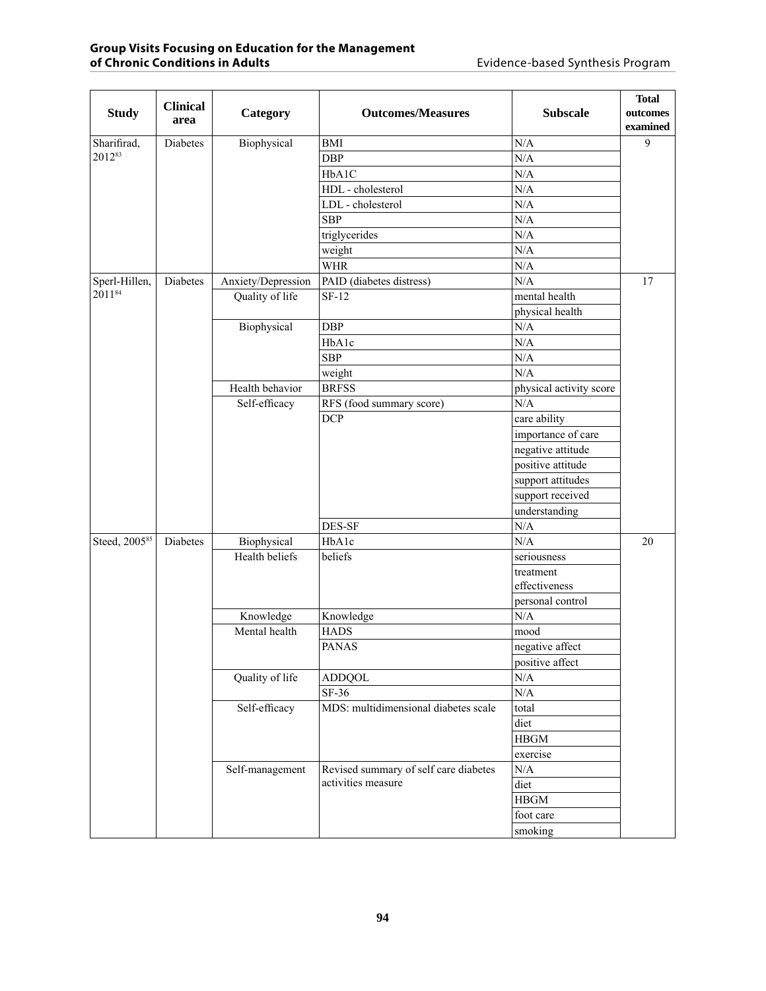| <b>Study</b>  | <b>Clinical</b><br>area | Category           | <b>Outcomes/Measures</b>              | <b>Subscale</b>         | <b>Total</b><br>outcomes |
|---------------|-------------------------|--------------------|---------------------------------------|-------------------------|--------------------------|
|               |                         |                    |                                       |                         | examined                 |
| Sharifirad,   | Diabetes                | Biophysical        | <b>BMI</b>                            | N/A                     | 9                        |
| 201283        |                         |                    | <b>DBP</b>                            | N/A                     |                          |
|               |                         |                    | HbA1C                                 | N/A                     |                          |
|               |                         |                    | HDL - cholesterol                     | N/A                     |                          |
|               |                         |                    | LDL - cholesterol                     | N/A                     |                          |
|               |                         |                    | <b>SBP</b>                            | N/A                     |                          |
|               |                         |                    | triglycerides                         | N/A                     |                          |
|               |                         |                    | weight                                | N/A                     |                          |
|               |                         |                    | <b>WHR</b>                            | N/A                     |                          |
| Sperl-Hillen, | Diabetes                | Anxiety/Depression | PAID (diabetes distress)              | N/A                     | 17                       |
| 201184        |                         | Quality of life    | $SF-12$                               | mental health           |                          |
|               |                         |                    |                                       | physical health         |                          |
|               |                         | Biophysical        | <b>DBP</b>                            | N/A                     |                          |
|               |                         |                    | HbA1c                                 | N/A                     |                          |
|               |                         |                    | <b>SBP</b>                            | N/A                     |                          |
|               |                         |                    | weight                                | N/A                     |                          |
|               |                         | Health behavior    | <b>BRFSS</b>                          | physical activity score |                          |
|               |                         | Self-efficacy      | RFS (food summary score)              | N/A                     |                          |
|               |                         |                    | <b>DCP</b>                            | care ability            |                          |
|               |                         |                    |                                       | importance of care      |                          |
|               |                         |                    |                                       | negative attitude       |                          |
|               |                         |                    |                                       | positive attitude       |                          |
|               |                         |                    |                                       | support attitudes       |                          |
|               |                         |                    |                                       | support received        |                          |
|               |                         |                    |                                       | understanding           |                          |
|               |                         |                    | DES-SF                                | N/A                     |                          |
| Steed, 200585 | Diabetes                | Biophysical        | HbA1c                                 | N/A                     | 20                       |
|               |                         | Health beliefs     | beliefs                               | seriousness             |                          |
|               |                         |                    |                                       | treatment               |                          |
|               |                         |                    |                                       | effectiveness           |                          |
|               |                         |                    |                                       | personal control        |                          |
|               |                         | Knowledge          | Knowledge                             | N/A                     |                          |
|               |                         | Mental health      | <b>HADS</b>                           | mood                    |                          |
|               |                         |                    | <b>PANAS</b>                          | negative affect         |                          |
|               |                         |                    |                                       | positive affect         |                          |
|               |                         | Quality of life    | <b>ADDQOL</b>                         | $\rm N/A$               |                          |
|               |                         |                    | SF-36                                 | $\rm N/A$               |                          |
|               |                         | Self-efficacy      | MDS: multidimensional diabetes scale  | total                   |                          |
|               |                         |                    |                                       | diet                    |                          |
|               |                         |                    |                                       | <b>HBGM</b>             |                          |
|               |                         |                    |                                       | exercise                |                          |
|               |                         | Self-management    | Revised summary of self care diabetes | N/A                     |                          |
|               |                         |                    | activities measure                    | diet                    |                          |
|               |                         |                    |                                       | <b>HBGM</b>             |                          |
|               |                         |                    |                                       | foot care               |                          |
|               |                         |                    |                                       | smoking                 |                          |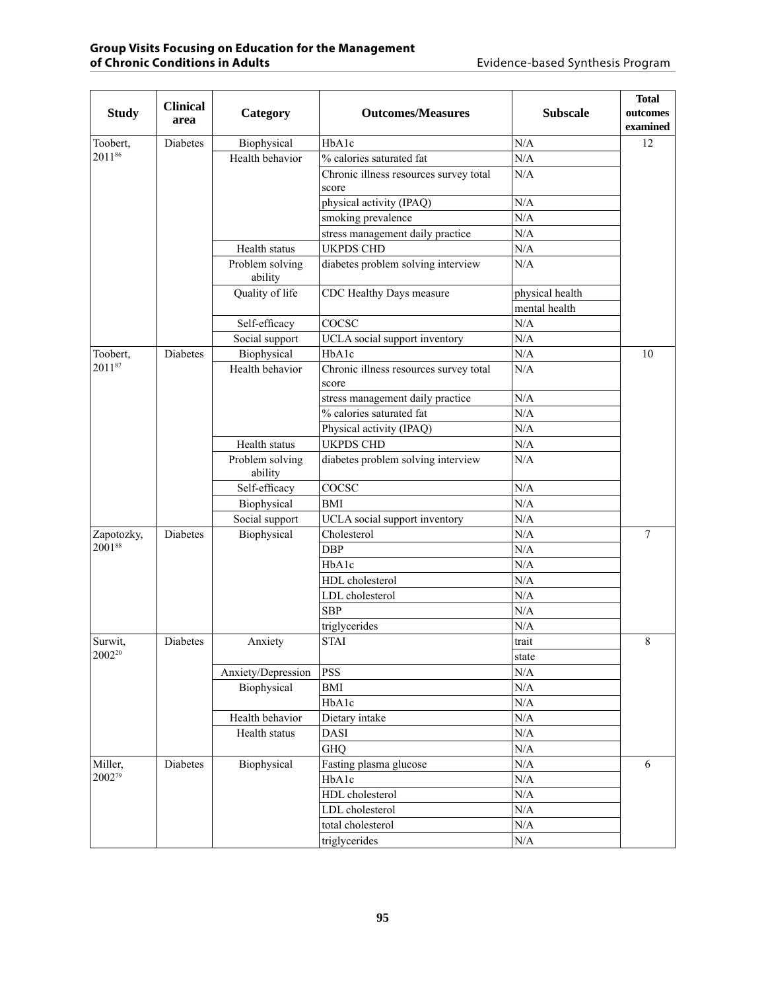| <b>Study</b>                  | <b>Clinical</b><br>area | Category                          | <b>Outcomes/Measures</b>                        | <b>Subscale</b>  | <b>Total</b><br>outcomes<br>examined |
|-------------------------------|-------------------------|-----------------------------------|-------------------------------------------------|------------------|--------------------------------------|
| Toobert,                      | Diabetes                | Biophysical                       | HbA1c                                           | N/A              | 12                                   |
| 201186                        |                         | Health behavior                   | % calories saturated fat                        | N/A              |                                      |
|                               |                         |                                   | Chronic illness resources survey total<br>score | N/A              |                                      |
|                               |                         |                                   | physical activity (IPAQ)                        | N/A              |                                      |
|                               |                         |                                   | smoking prevalence                              | N/A              |                                      |
|                               |                         |                                   | stress management daily practice                | N/A              |                                      |
|                               |                         | Health status                     | <b>UKPDS CHD</b>                                | N/A              |                                      |
|                               |                         | Problem solving<br>ability        | diabetes problem solving interview              | N/A              |                                      |
|                               |                         | Quality of life                   | CDC Healthy Days measure                        | physical health  |                                      |
|                               |                         |                                   |                                                 | mental health    |                                      |
|                               |                         | Self-efficacy                     | COCSC                                           | N/A              |                                      |
|                               |                         | Social support                    | UCLA social support inventory                   | N/A              |                                      |
| Toobert,                      | Diabetes                | Biophysical                       | HbA1c                                           | N/A              | 10                                   |
| 201187                        |                         | Health behavior                   | Chronic illness resources survey total<br>score | N/A              |                                      |
|                               |                         |                                   | stress management daily practice                | N/A              |                                      |
|                               |                         |                                   | % calories saturated fat                        | N/A              |                                      |
|                               |                         |                                   | Physical activity (IPAQ)                        | N/A              |                                      |
|                               |                         | Health status                     | <b>UKPDS CHD</b>                                | N/A              |                                      |
|                               |                         | Problem solving<br>ability        | diabetes problem solving interview              | N/A              |                                      |
|                               |                         | Self-efficacy                     | COCSC                                           | N/A              |                                      |
|                               |                         | Biophysical                       | <b>BMI</b>                                      | N/A              |                                      |
|                               |                         | Social support                    | UCLA social support inventory                   | N/A              |                                      |
| Zapotozky,                    | Diabetes                | Biophysical                       | Cholesterol                                     | N/A              | 7                                    |
| 200188                        |                         |                                   | <b>DBP</b>                                      | N/A              |                                      |
|                               |                         |                                   | HbA1c                                           | N/A              |                                      |
|                               |                         |                                   | HDL cholesterol                                 | N/A              |                                      |
|                               |                         |                                   | LDL cholesterol                                 | N/A              |                                      |
|                               |                         |                                   | <b>SBP</b>                                      | N/A              |                                      |
|                               |                         |                                   | triglycerides                                   | N/A              |                                      |
| Surwit,<br>2002 <sup>20</sup> | Diabetes                | Anxiety                           | <b>STAI</b>                                     | trait            | 8                                    |
|                               |                         |                                   |                                                 | state            |                                      |
|                               |                         | Anxiety/Depression<br>Biophysical | <b>PSS</b><br>$\operatorname{BMI}$              | N/A<br>$\rm N/A$ |                                      |
|                               |                         |                                   | HbA1c                                           | $\rm N/A$        |                                      |
|                               |                         | Health behavior                   |                                                 | $\rm N/A$        |                                      |
|                               |                         | Health status                     | Dietary intake<br><b>DASI</b>                   | $\rm N/A$        |                                      |
|                               |                         |                                   | <b>GHQ</b>                                      | $\rm N/A$        |                                      |
| Miller,                       | Diabetes                | Biophysical                       | Fasting plasma glucose                          | $\rm N/A$        | 6                                    |
| 200279                        |                         |                                   | HbA1c                                           | $\rm N/A$        |                                      |
|                               |                         |                                   | HDL cholesterol                                 | $\rm N/A$        |                                      |
|                               |                         |                                   | LDL cholesterol                                 | $\rm N/A$        |                                      |
|                               |                         |                                   | total cholesterol                               | $\rm N/A$        |                                      |
|                               |                         |                                   | triglycerides                                   | $\rm N/A$        |                                      |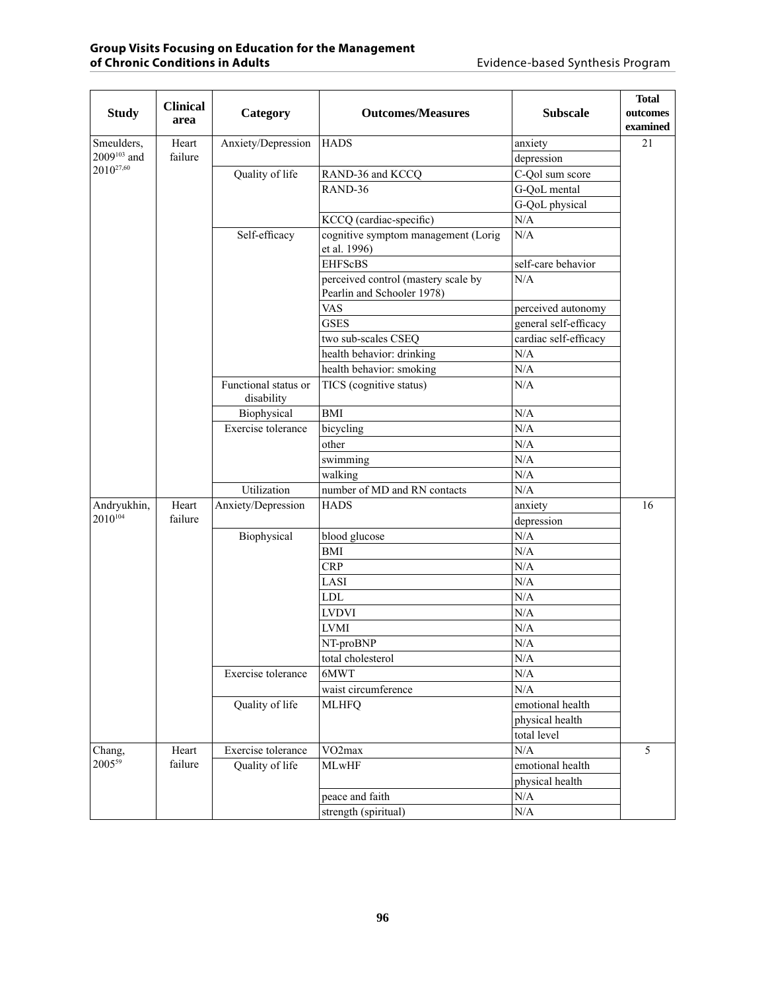|                                | <b>Clinical</b>  |                      |                                                                   |                       | <b>Total</b> |
|--------------------------------|------------------|----------------------|-------------------------------------------------------------------|-----------------------|--------------|
| <b>Study</b>                   | area             | Category             | <b>Outcomes/Measures</b>                                          | <b>Subscale</b>       | outcomes     |
|                                |                  |                      |                                                                   |                       | examined     |
| Smeulders,<br>$2009^{103}$ and | Heart<br>failure | Anxiety/Depression   | <b>HADS</b>                                                       | anxiety               | 21           |
| $2010^{27,60}$                 |                  |                      |                                                                   | depression            |              |
|                                |                  | Quality of life      | RAND-36 and KCCQ                                                  | C-Qol sum score       |              |
|                                |                  |                      | RAND-36                                                           | G-QoL mental          |              |
|                                |                  |                      |                                                                   | G-QoL physical        |              |
|                                |                  |                      | KCCQ (cardiac-specific)                                           | N/A                   |              |
|                                |                  | Self-efficacy        | cognitive symptom management (Lorig<br>et al. 1996)               | N/A                   |              |
|                                |                  |                      | <b>EHFScBS</b>                                                    | self-care behavior    |              |
|                                |                  |                      | perceived control (mastery scale by<br>Pearlin and Schooler 1978) | N/A                   |              |
|                                |                  |                      | <b>VAS</b>                                                        | perceived autonomy    |              |
|                                |                  |                      | <b>GSES</b>                                                       | general self-efficacy |              |
|                                |                  |                      | two sub-scales CSEQ                                               | cardiac self-efficacy |              |
|                                |                  |                      | health behavior: drinking                                         | N/A                   |              |
|                                |                  |                      | health behavior: smoking                                          | N/A                   |              |
|                                |                  | Functional status or | TICS (cognitive status)                                           | N/A                   |              |
|                                |                  | disability           |                                                                   |                       |              |
|                                |                  | Biophysical          | <b>BMI</b>                                                        | N/A                   |              |
|                                |                  | Exercise tolerance   | bicycling                                                         | N/A                   |              |
|                                |                  |                      | other                                                             | N/A                   |              |
|                                |                  |                      | swimming                                                          | N/A                   |              |
|                                |                  |                      | walking                                                           | $\rm N/A$             |              |
|                                |                  | Utilization          | number of MD and RN contacts                                      | N/A                   |              |
| Andryukhin,                    | Heart            | Anxiety/Depression   | <b>HADS</b>                                                       | anxiety               | 16           |
| $2010^{104}$                   | failure          |                      |                                                                   | depression            |              |
|                                |                  | Biophysical          | blood glucose                                                     | N/A                   |              |
|                                |                  |                      | <b>BMI</b>                                                        | $\rm N/A$             |              |
|                                |                  |                      | <b>CRP</b>                                                        | N/A                   |              |
|                                |                  |                      | LASI                                                              | N/A                   |              |
|                                |                  |                      | <b>LDL</b>                                                        | N/A                   |              |
|                                |                  |                      | <b>LVDVI</b>                                                      | N/A                   |              |
|                                |                  |                      | <b>LVMI</b>                                                       | N/A                   |              |
|                                |                  |                      | NT-proBNP                                                         | N/A                   |              |
|                                |                  |                      | total cholesterol                                                 | $\rm N/A$             |              |
|                                |                  | Exercise tolerance   | 6MWT                                                              | N/A                   |              |
|                                |                  |                      | waist circumference                                               | N/A                   |              |
|                                |                  | Quality of life      | <b>MLHFQ</b>                                                      | emotional health      |              |
|                                |                  |                      |                                                                   | physical health       |              |
|                                |                  |                      |                                                                   | total level           |              |
| Chang,                         | Heart            | Exercise tolerance   | VO <sub>2</sub> max                                               | N/A                   | 5            |
| $2005^{59}$                    | failure          | Quality of life      | <b>MLwHF</b>                                                      | emotional health      |              |
|                                |                  |                      |                                                                   | physical health       |              |
|                                |                  |                      | peace and faith                                                   | N/A                   |              |
|                                |                  |                      | strength (spiritual)                                              | N/A                   |              |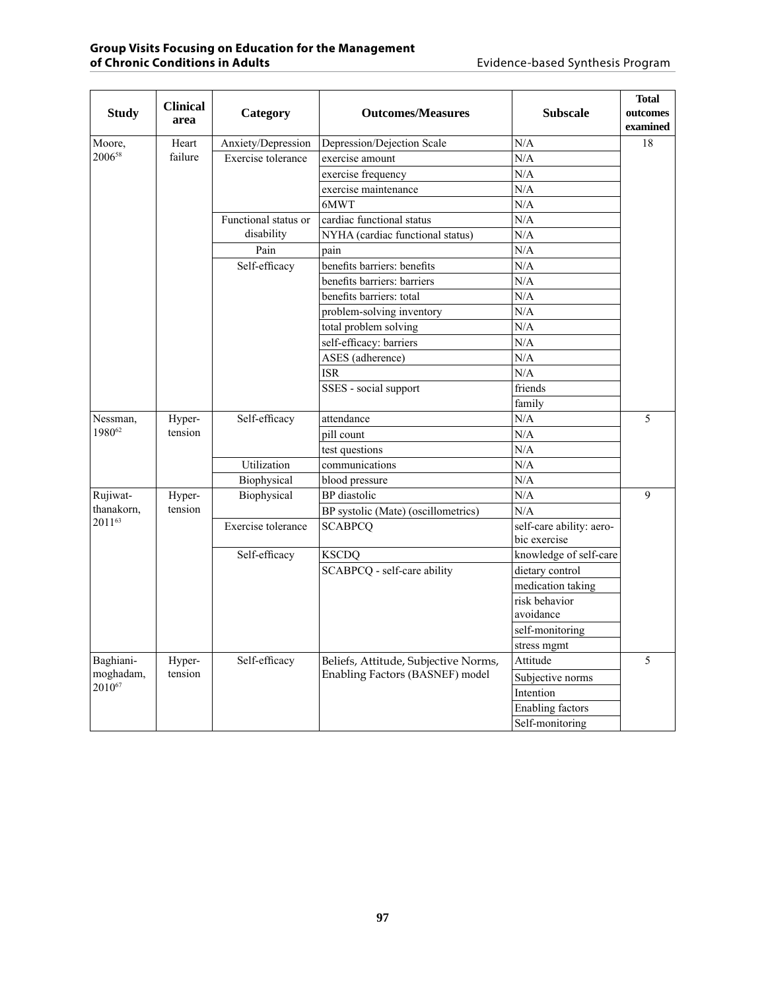| <b>Study</b> | <b>Clinical</b><br>area | Category             | <b>Outcomes/Measures</b>             | <b>Subscale</b>                          | <b>Total</b><br>outcomes<br>examined |
|--------------|-------------------------|----------------------|--------------------------------------|------------------------------------------|--------------------------------------|
| Moore,       | Heart                   | Anxiety/Depression   | Depression/Dejection Scale           | N/A                                      | 18                                   |
| 200658       | failure                 | Exercise tolerance   | exercise amount                      | N/A                                      |                                      |
|              |                         |                      | exercise frequency                   | N/A                                      |                                      |
|              |                         |                      | exercise maintenance                 | N/A                                      |                                      |
|              |                         |                      | 6MWT                                 | N/A                                      |                                      |
|              |                         | Functional status or | cardiac functional status            | N/A                                      |                                      |
|              |                         | disability           | NYHA (cardiac functional status)     | N/A                                      |                                      |
|              |                         | Pain                 | pain                                 | N/A                                      |                                      |
|              |                         | Self-efficacy        | benefits barriers: benefits          | N/A                                      |                                      |
|              |                         |                      | benefits barriers: barriers          | N/A                                      |                                      |
|              |                         |                      | benefits barriers: total             | N/A                                      |                                      |
|              |                         |                      | problem-solving inventory            | N/A                                      |                                      |
|              |                         |                      | total problem solving                | N/A                                      |                                      |
|              |                         |                      | self-efficacy: barriers              | N/A                                      |                                      |
|              |                         |                      | ASES (adherence)                     | N/A                                      |                                      |
|              |                         |                      | <b>ISR</b>                           | N/A                                      |                                      |
|              |                         |                      | SSES - social support                | friends                                  |                                      |
|              |                         |                      |                                      | family                                   |                                      |
| Nessman,     | Hyper-                  | Self-efficacy        | attendance                           | N/A                                      | 5                                    |
| 198062       | tension                 |                      | pill count                           | N/A                                      |                                      |
|              |                         |                      | test questions                       | N/A                                      |                                      |
|              |                         | Utilization          | communications                       | N/A                                      |                                      |
|              |                         | Biophysical          | blood pressure                       | N/A                                      |                                      |
| Rujiwat-     | Hyper-                  | Biophysical          | BP diastolic                         | N/A                                      | $\mathbf{Q}$                         |
| thanakorn,   | tension                 |                      | BP systolic (Mate) (oscillometrics)  | N/A                                      |                                      |
| 201163       |                         | Exercise tolerance   | <b>SCABPCQ</b>                       | self-care ability: aero-<br>bic exercise |                                      |
|              |                         | Self-efficacy        | <b>KSCDQ</b>                         | knowledge of self-care                   |                                      |
|              |                         |                      | SCABPCQ - self-care ability          | dietary control                          |                                      |
|              |                         |                      |                                      | medication taking                        |                                      |
|              |                         |                      |                                      | risk behavior                            |                                      |
|              |                         |                      |                                      | avoidance                                |                                      |
|              |                         |                      |                                      | self-monitoring                          |                                      |
|              |                         |                      |                                      | stress mgmt                              |                                      |
| Baghiani-    | Hyper-                  | Self-efficacy        | Beliefs, Attitude, Subjective Norms, | Attitude                                 | 5                                    |
| moghadam,    | tension                 |                      | Enabling Factors (BASNEF) model      | Subjective norms                         |                                      |
| 201067       |                         |                      |                                      | Intention                                |                                      |
|              |                         |                      |                                      | Enabling factors                         |                                      |
|              |                         |                      |                                      | Self-monitoring                          |                                      |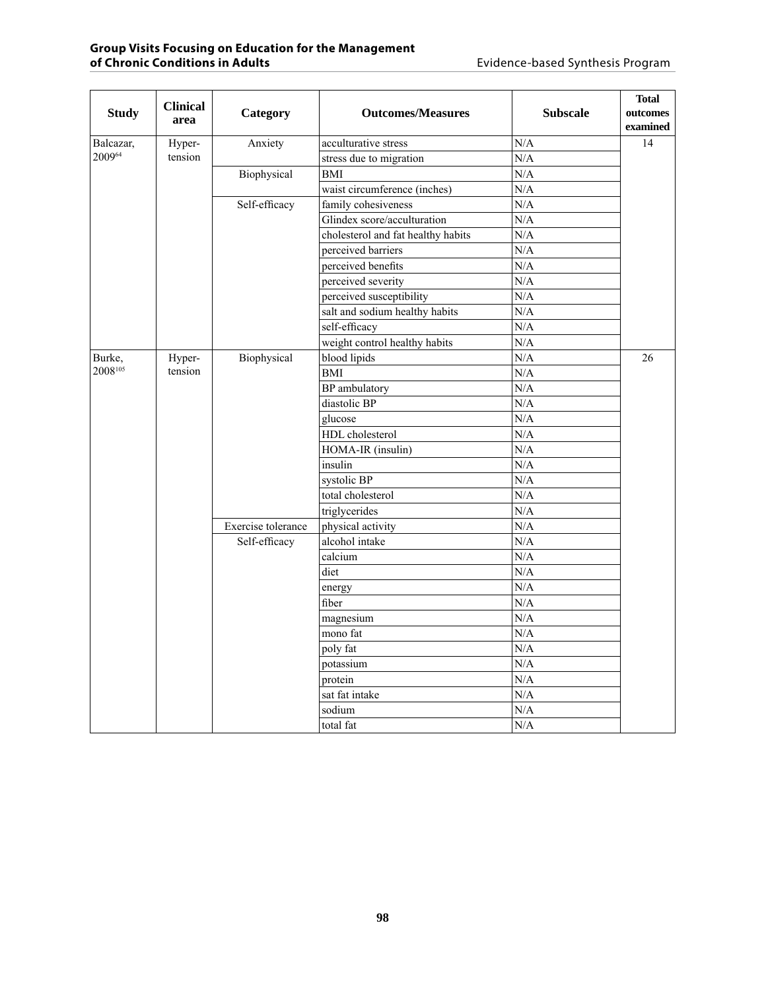| <b>Study</b> | <b>Clinical</b><br>area | Category           | <b>Outcomes/Measures</b>           | <b>Subscale</b> | <b>Total</b><br>outcomes<br>examined |
|--------------|-------------------------|--------------------|------------------------------------|-----------------|--------------------------------------|
| Balcazar,    | Hyper-                  | Anxiety            | acculturative stress               | N/A             | 14                                   |
| 200964       | tension                 |                    | stress due to migration            | N/A             |                                      |
|              |                         | Biophysical        | <b>BMI</b>                         | N/A             |                                      |
|              |                         |                    | waist circumference (inches)       | N/A             |                                      |
|              |                         | Self-efficacy      | family cohesiveness                | N/A             |                                      |
|              |                         |                    | Glindex score/acculturation        | N/A             |                                      |
|              |                         |                    | cholesterol and fat healthy habits | N/A             |                                      |
|              |                         |                    | perceived barriers                 | N/A             |                                      |
|              |                         |                    | perceived benefits                 | N/A             |                                      |
|              |                         |                    | perceived severity                 | N/A             |                                      |
|              |                         |                    | perceived susceptibility           | N/A             |                                      |
|              |                         |                    | salt and sodium healthy habits     | N/A             |                                      |
|              |                         |                    | self-efficacy                      | N/A             |                                      |
|              |                         |                    | weight control healthy habits      | N/A             |                                      |
| Burke,       | Biophysical<br>Hyper-   | blood lipids       | N/A                                | 26              |                                      |
| 2008105      | tension                 |                    | <b>BMI</b>                         | N/A             |                                      |
|              |                         |                    | <b>BP</b> ambulatory               | N/A             |                                      |
|              |                         |                    | diastolic BP                       | N/A             |                                      |
|              |                         |                    | glucose                            | N/A             |                                      |
|              |                         |                    | HDL cholesterol                    | N/A             |                                      |
|              |                         |                    | HOMA-IR (insulin)                  | N/A             |                                      |
|              |                         |                    | insulin                            | N/A             |                                      |
|              |                         |                    | systolic BP                        | N/A             |                                      |
|              |                         |                    | total cholesterol                  | N/A             |                                      |
|              |                         |                    | triglycerides                      | N/A             |                                      |
|              |                         | Exercise tolerance | physical activity                  | N/A             |                                      |
|              |                         | Self-efficacy      | alcohol intake                     | N/A             |                                      |
|              |                         |                    | calcium                            | N/A             |                                      |
|              |                         |                    | diet                               | N/A             |                                      |
|              |                         |                    | energy                             | N/A             |                                      |
|              |                         |                    | fiber                              | N/A             |                                      |
|              |                         |                    | magnesium                          | N/A             |                                      |
|              |                         |                    | mono fat                           | N/A             |                                      |
|              |                         |                    | poly fat                           | N/A             |                                      |
|              |                         |                    | potassium                          | N/A             |                                      |
|              |                         |                    | protein                            | N/A             |                                      |
|              |                         |                    | sat fat intake                     | N/A             |                                      |
|              |                         |                    | sodium                             | N/A             |                                      |
|              |                         |                    | total fat                          | N/A             |                                      |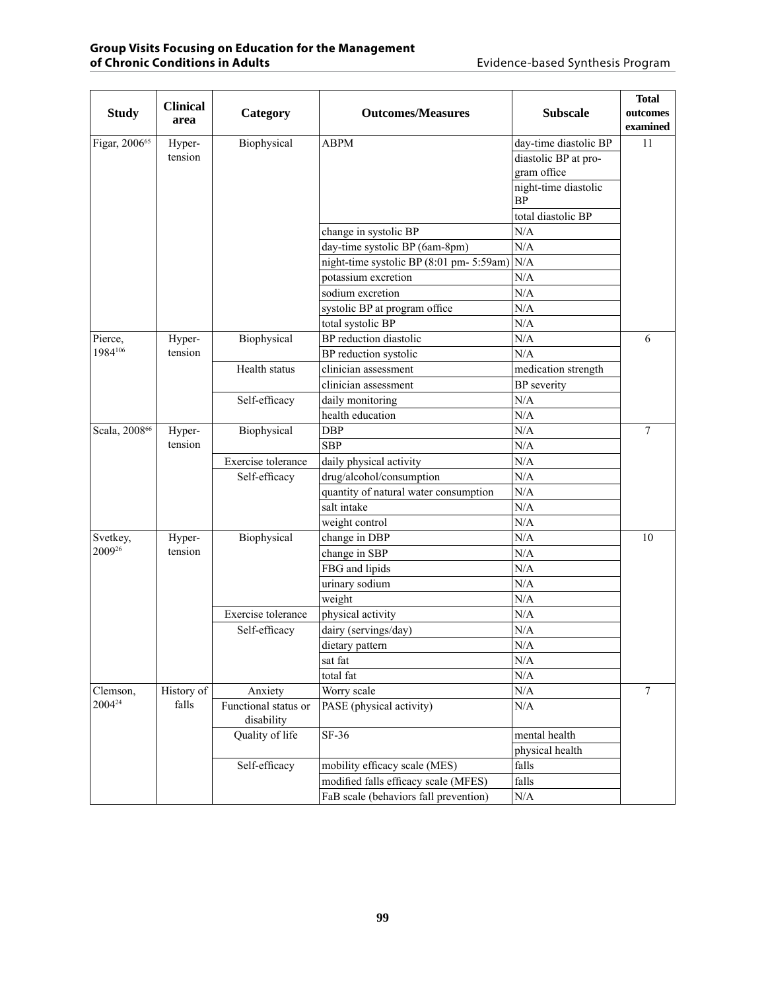| <b>Study</b>              | <b>Clinical</b><br>area | Category                           | <b>Outcomes/Measures</b>                 | <b>Subscale</b>                   | <b>Total</b><br>outcomes<br>examined |
|---------------------------|-------------------------|------------------------------------|------------------------------------------|-----------------------------------|--------------------------------------|
| Figar, 2006 <sup>65</sup> | Hyper-                  | Biophysical                        | <b>ABPM</b>                              | day-time diastolic BP             | 11                                   |
|                           | tension                 |                                    |                                          | diastolic BP at pro-              |                                      |
|                           |                         |                                    |                                          | gram office                       |                                      |
|                           |                         |                                    |                                          | night-time diastolic<br><b>BP</b> |                                      |
|                           |                         |                                    |                                          | total diastolic BP                |                                      |
|                           |                         |                                    | change in systolic BP                    | N/A                               |                                      |
|                           |                         |                                    | day-time systolic BP (6am-8pm)           | N/A                               |                                      |
|                           |                         |                                    | night-time systolic BP (8:01 pm- 5:59am) | N/A                               |                                      |
|                           |                         |                                    | potassium excretion                      | N/A                               |                                      |
|                           |                         |                                    | sodium excretion                         | N/A                               |                                      |
|                           |                         |                                    | systolic BP at program office            | N/A                               |                                      |
|                           |                         |                                    | total systolic BP                        | N/A                               |                                      |
| Pierce,                   | Hyper-                  | Biophysical                        | BP reduction diastolic                   | N/A                               | 6                                    |
| 1984106                   | tension                 |                                    | BP reduction systolic                    | N/A                               |                                      |
|                           |                         | Health status                      | clinician assessment                     | medication strength               |                                      |
|                           |                         |                                    | clinician assessment                     | <b>BP</b> severity                |                                      |
|                           |                         | Self-efficacy                      | daily monitoring                         | N/A                               |                                      |
|                           |                         |                                    | health education                         | N/A                               |                                      |
| Scala, 2008 <sup>66</sup> | Hyper-                  | Biophysical                        | <b>DBP</b>                               | N/A                               | $\overline{7}$                       |
|                           | tension                 |                                    | <b>SBP</b>                               | N/A                               |                                      |
|                           |                         | Exercise tolerance                 | daily physical activity                  | N/A                               |                                      |
|                           |                         | Self-efficacy                      | drug/alcohol/consumption                 | N/A                               |                                      |
|                           |                         |                                    | quantity of natural water consumption    | N/A                               |                                      |
|                           |                         |                                    | salt intake                              | N/A                               |                                      |
|                           |                         |                                    | weight control                           | N/A                               |                                      |
| Svetkey,                  | Hyper-                  | Biophysical                        | change in DBP                            | N/A                               | 10                                   |
| 200926                    | tension                 |                                    | change in SBP                            | N/A                               |                                      |
|                           |                         |                                    | FBG and lipids                           | N/A                               |                                      |
|                           |                         |                                    | urinary sodium                           | N/A                               |                                      |
|                           |                         |                                    | weight                                   | N/A                               |                                      |
|                           |                         | Exercise tolerance                 | physical activity                        | N/A                               |                                      |
|                           |                         | Self-efficacy                      | dairy (servings/day)                     | N/A                               |                                      |
|                           |                         |                                    | dietary pattern                          | N/A                               |                                      |
|                           |                         |                                    | sat fat                                  | N/A                               |                                      |
|                           |                         |                                    | total fat                                | $\rm N/A$                         |                                      |
| Clemson,                  | History of              | Anxiety                            | Worry scale                              | $\rm N/A$                         | $\tau$                               |
| 2004 <sup>24</sup>        | falls                   | Functional status or<br>disability | PASE (physical activity)                 | $\rm N/A$                         |                                      |
|                           |                         | Quality of life                    | SF-36                                    | mental health                     |                                      |
|                           |                         |                                    |                                          | physical health                   |                                      |
|                           |                         | Self-efficacy                      | mobility efficacy scale (MES)            | falls                             |                                      |
|                           |                         |                                    | modified falls efficacy scale (MFES)     | falls                             |                                      |
|                           |                         |                                    | FaB scale (behaviors fall prevention)    | $\rm N/A$                         |                                      |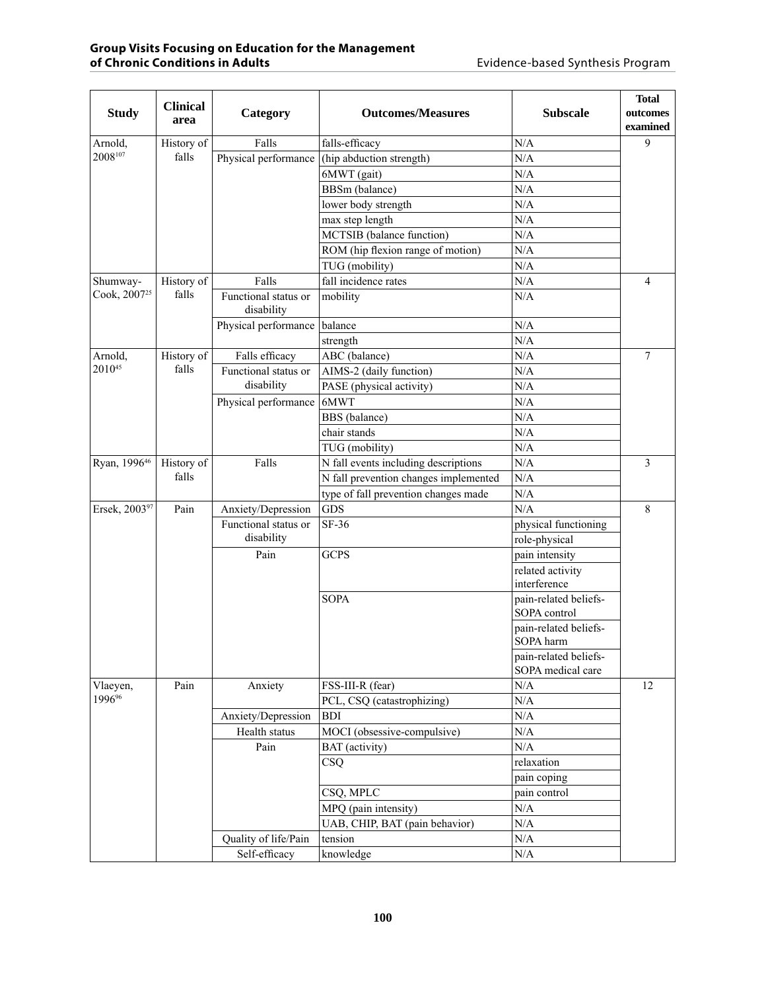| N/A<br>9<br>Arnold,<br>History of<br>Falls<br>falls-efficacy<br>$2008^{107}$<br>falls<br>N/A<br>Physical performance<br>(hip abduction strength)<br>N/A<br>6MWT (gait)<br>N/A<br>BBSm (balance)<br>N/A<br>lower body strength<br>N/A<br>max step length<br>MCTSIB (balance function)<br>N/A<br>ROM (hip flexion range of motion)<br>N/A<br>N/A<br>TUG (mobility)<br>fall incidence rates<br>N/A<br>History of<br>Falls<br>Shumway-<br>4<br>Cook, 2007 <sup>25</sup><br>falls<br>Functional status or<br>mobility<br>N/A<br>disability<br>balance<br>N/A<br>Physical performance<br>N/A<br>strength<br>N/A<br>History of<br>Falls efficacy<br>ABC (balance)<br>$7\phantom{.0}$<br>Arnold,<br>201045<br>falls<br>N/A<br>Functional status or<br>AIMS-2 (daily function)<br>disability<br>N/A<br>PASE (physical activity)<br>N/A<br>6MWT<br>Physical performance<br>N/A<br>BBS (balance)<br>N/A<br>chair stands<br>N/A<br>TUG (mobility)<br>N/A<br>Ryan, 199646<br>Falls<br>N fall events including descriptions<br>3<br>History of<br>falls<br>N fall prevention changes implemented<br>N/A<br>N/A<br>type of fall prevention changes made<br>Ersek, 200397<br><b>GDS</b><br>N/A<br>8<br>Pain<br>Anxiety/Depression<br>SF-36<br>Functional status or<br>physical functioning | <b>Study</b> | <b>Clinical</b><br>area | Category | <b>Outcomes/Measures</b> | <b>Subscale</b> | <b>Total</b><br>outcomes<br>examined |
|----------------------------------------------------------------------------------------------------------------------------------------------------------------------------------------------------------------------------------------------------------------------------------------------------------------------------------------------------------------------------------------------------------------------------------------------------------------------------------------------------------------------------------------------------------------------------------------------------------------------------------------------------------------------------------------------------------------------------------------------------------------------------------------------------------------------------------------------------------------------------------------------------------------------------------------------------------------------------------------------------------------------------------------------------------------------------------------------------------------------------------------------------------------------------------------------------------------------------------------------------------------------------|--------------|-------------------------|----------|--------------------------|-----------------|--------------------------------------|
|                                                                                                                                                                                                                                                                                                                                                                                                                                                                                                                                                                                                                                                                                                                                                                                                                                                                                                                                                                                                                                                                                                                                                                                                                                                                            |              |                         |          |                          |                 |                                      |
|                                                                                                                                                                                                                                                                                                                                                                                                                                                                                                                                                                                                                                                                                                                                                                                                                                                                                                                                                                                                                                                                                                                                                                                                                                                                            |              |                         |          |                          |                 |                                      |
|                                                                                                                                                                                                                                                                                                                                                                                                                                                                                                                                                                                                                                                                                                                                                                                                                                                                                                                                                                                                                                                                                                                                                                                                                                                                            |              |                         |          |                          |                 |                                      |
|                                                                                                                                                                                                                                                                                                                                                                                                                                                                                                                                                                                                                                                                                                                                                                                                                                                                                                                                                                                                                                                                                                                                                                                                                                                                            |              |                         |          |                          |                 |                                      |
|                                                                                                                                                                                                                                                                                                                                                                                                                                                                                                                                                                                                                                                                                                                                                                                                                                                                                                                                                                                                                                                                                                                                                                                                                                                                            |              |                         |          |                          |                 |                                      |
|                                                                                                                                                                                                                                                                                                                                                                                                                                                                                                                                                                                                                                                                                                                                                                                                                                                                                                                                                                                                                                                                                                                                                                                                                                                                            |              |                         |          |                          |                 |                                      |
|                                                                                                                                                                                                                                                                                                                                                                                                                                                                                                                                                                                                                                                                                                                                                                                                                                                                                                                                                                                                                                                                                                                                                                                                                                                                            |              |                         |          |                          |                 |                                      |
|                                                                                                                                                                                                                                                                                                                                                                                                                                                                                                                                                                                                                                                                                                                                                                                                                                                                                                                                                                                                                                                                                                                                                                                                                                                                            |              |                         |          |                          |                 |                                      |
|                                                                                                                                                                                                                                                                                                                                                                                                                                                                                                                                                                                                                                                                                                                                                                                                                                                                                                                                                                                                                                                                                                                                                                                                                                                                            |              |                         |          |                          |                 |                                      |
|                                                                                                                                                                                                                                                                                                                                                                                                                                                                                                                                                                                                                                                                                                                                                                                                                                                                                                                                                                                                                                                                                                                                                                                                                                                                            |              |                         |          |                          |                 |                                      |
|                                                                                                                                                                                                                                                                                                                                                                                                                                                                                                                                                                                                                                                                                                                                                                                                                                                                                                                                                                                                                                                                                                                                                                                                                                                                            |              |                         |          |                          |                 |                                      |
|                                                                                                                                                                                                                                                                                                                                                                                                                                                                                                                                                                                                                                                                                                                                                                                                                                                                                                                                                                                                                                                                                                                                                                                                                                                                            |              |                         |          |                          |                 |                                      |
|                                                                                                                                                                                                                                                                                                                                                                                                                                                                                                                                                                                                                                                                                                                                                                                                                                                                                                                                                                                                                                                                                                                                                                                                                                                                            |              |                         |          |                          |                 |                                      |
|                                                                                                                                                                                                                                                                                                                                                                                                                                                                                                                                                                                                                                                                                                                                                                                                                                                                                                                                                                                                                                                                                                                                                                                                                                                                            |              |                         |          |                          |                 |                                      |
|                                                                                                                                                                                                                                                                                                                                                                                                                                                                                                                                                                                                                                                                                                                                                                                                                                                                                                                                                                                                                                                                                                                                                                                                                                                                            |              |                         |          |                          |                 |                                      |
|                                                                                                                                                                                                                                                                                                                                                                                                                                                                                                                                                                                                                                                                                                                                                                                                                                                                                                                                                                                                                                                                                                                                                                                                                                                                            |              |                         |          |                          |                 |                                      |
|                                                                                                                                                                                                                                                                                                                                                                                                                                                                                                                                                                                                                                                                                                                                                                                                                                                                                                                                                                                                                                                                                                                                                                                                                                                                            |              |                         |          |                          |                 |                                      |
|                                                                                                                                                                                                                                                                                                                                                                                                                                                                                                                                                                                                                                                                                                                                                                                                                                                                                                                                                                                                                                                                                                                                                                                                                                                                            |              |                         |          |                          |                 |                                      |
|                                                                                                                                                                                                                                                                                                                                                                                                                                                                                                                                                                                                                                                                                                                                                                                                                                                                                                                                                                                                                                                                                                                                                                                                                                                                            |              |                         |          |                          |                 |                                      |
|                                                                                                                                                                                                                                                                                                                                                                                                                                                                                                                                                                                                                                                                                                                                                                                                                                                                                                                                                                                                                                                                                                                                                                                                                                                                            |              |                         |          |                          |                 |                                      |
|                                                                                                                                                                                                                                                                                                                                                                                                                                                                                                                                                                                                                                                                                                                                                                                                                                                                                                                                                                                                                                                                                                                                                                                                                                                                            |              |                         |          |                          |                 |                                      |
|                                                                                                                                                                                                                                                                                                                                                                                                                                                                                                                                                                                                                                                                                                                                                                                                                                                                                                                                                                                                                                                                                                                                                                                                                                                                            |              |                         |          |                          |                 |                                      |
|                                                                                                                                                                                                                                                                                                                                                                                                                                                                                                                                                                                                                                                                                                                                                                                                                                                                                                                                                                                                                                                                                                                                                                                                                                                                            |              |                         |          |                          |                 |                                      |
|                                                                                                                                                                                                                                                                                                                                                                                                                                                                                                                                                                                                                                                                                                                                                                                                                                                                                                                                                                                                                                                                                                                                                                                                                                                                            |              |                         |          |                          |                 |                                      |
|                                                                                                                                                                                                                                                                                                                                                                                                                                                                                                                                                                                                                                                                                                                                                                                                                                                                                                                                                                                                                                                                                                                                                                                                                                                                            |              |                         |          |                          |                 |                                      |
| disability<br>role-physical                                                                                                                                                                                                                                                                                                                                                                                                                                                                                                                                                                                                                                                                                                                                                                                                                                                                                                                                                                                                                                                                                                                                                                                                                                                |              |                         |          |                          |                 |                                      |
| Pain<br><b>GCPS</b><br>pain intensity                                                                                                                                                                                                                                                                                                                                                                                                                                                                                                                                                                                                                                                                                                                                                                                                                                                                                                                                                                                                                                                                                                                                                                                                                                      |              |                         |          |                          |                 |                                      |
| related activity                                                                                                                                                                                                                                                                                                                                                                                                                                                                                                                                                                                                                                                                                                                                                                                                                                                                                                                                                                                                                                                                                                                                                                                                                                                           |              |                         |          |                          |                 |                                      |
| interference                                                                                                                                                                                                                                                                                                                                                                                                                                                                                                                                                                                                                                                                                                                                                                                                                                                                                                                                                                                                                                                                                                                                                                                                                                                               |              |                         |          |                          |                 |                                      |
| <b>SOPA</b><br>pain-related beliefs-                                                                                                                                                                                                                                                                                                                                                                                                                                                                                                                                                                                                                                                                                                                                                                                                                                                                                                                                                                                                                                                                                                                                                                                                                                       |              |                         |          |                          |                 |                                      |
| SOPA control                                                                                                                                                                                                                                                                                                                                                                                                                                                                                                                                                                                                                                                                                                                                                                                                                                                                                                                                                                                                                                                                                                                                                                                                                                                               |              |                         |          |                          |                 |                                      |
| pain-related beliefs-<br>SOPA harm                                                                                                                                                                                                                                                                                                                                                                                                                                                                                                                                                                                                                                                                                                                                                                                                                                                                                                                                                                                                                                                                                                                                                                                                                                         |              |                         |          |                          |                 |                                      |
| pain-related beliefs-<br>SOPA medical care                                                                                                                                                                                                                                                                                                                                                                                                                                                                                                                                                                                                                                                                                                                                                                                                                                                                                                                                                                                                                                                                                                                                                                                                                                 |              |                         |          |                          |                 |                                      |
| Pain<br>12<br>Vlaeyen,<br>Anxiety<br>FSS-III-R (fear)<br>$\rm N/A$                                                                                                                                                                                                                                                                                                                                                                                                                                                                                                                                                                                                                                                                                                                                                                                                                                                                                                                                                                                                                                                                                                                                                                                                         |              |                         |          |                          |                 |                                      |
| 1996%<br>$\rm N/A$<br>PCL, CSQ (catastrophizing)                                                                                                                                                                                                                                                                                                                                                                                                                                                                                                                                                                                                                                                                                                                                                                                                                                                                                                                                                                                                                                                                                                                                                                                                                           |              |                         |          |                          |                 |                                      |
| N/A<br>Anxiety/Depression<br><b>BDI</b>                                                                                                                                                                                                                                                                                                                                                                                                                                                                                                                                                                                                                                                                                                                                                                                                                                                                                                                                                                                                                                                                                                                                                                                                                                    |              |                         |          |                          |                 |                                      |
| MOCI (obsessive-compulsive)<br>N/A<br>Health status                                                                                                                                                                                                                                                                                                                                                                                                                                                                                                                                                                                                                                                                                                                                                                                                                                                                                                                                                                                                                                                                                                                                                                                                                        |              |                         |          |                          |                 |                                      |
| N/A<br>Pain<br>BAT (activity)                                                                                                                                                                                                                                                                                                                                                                                                                                                                                                                                                                                                                                                                                                                                                                                                                                                                                                                                                                                                                                                                                                                                                                                                                                              |              |                         |          |                          |                 |                                      |
| CSQ<br>relaxation                                                                                                                                                                                                                                                                                                                                                                                                                                                                                                                                                                                                                                                                                                                                                                                                                                                                                                                                                                                                                                                                                                                                                                                                                                                          |              |                         |          |                          |                 |                                      |
| pain coping                                                                                                                                                                                                                                                                                                                                                                                                                                                                                                                                                                                                                                                                                                                                                                                                                                                                                                                                                                                                                                                                                                                                                                                                                                                                |              |                         |          |                          |                 |                                      |
| CSQ, MPLC<br>pain control                                                                                                                                                                                                                                                                                                                                                                                                                                                                                                                                                                                                                                                                                                                                                                                                                                                                                                                                                                                                                                                                                                                                                                                                                                                  |              |                         |          |                          |                 |                                      |
| N/A<br>MPQ (pain intensity)                                                                                                                                                                                                                                                                                                                                                                                                                                                                                                                                                                                                                                                                                                                                                                                                                                                                                                                                                                                                                                                                                                                                                                                                                                                |              |                         |          |                          |                 |                                      |
| $\rm N/A$<br>UAB, CHIP, BAT (pain behavior)                                                                                                                                                                                                                                                                                                                                                                                                                                                                                                                                                                                                                                                                                                                                                                                                                                                                                                                                                                                                                                                                                                                                                                                                                                |              |                         |          |                          |                 |                                      |
| Quality of life/Pain<br>N/A<br>tension                                                                                                                                                                                                                                                                                                                                                                                                                                                                                                                                                                                                                                                                                                                                                                                                                                                                                                                                                                                                                                                                                                                                                                                                                                     |              |                         |          |                          |                 |                                      |
| $\rm N/A$<br>Self-efficacy<br>knowledge                                                                                                                                                                                                                                                                                                                                                                                                                                                                                                                                                                                                                                                                                                                                                                                                                                                                                                                                                                                                                                                                                                                                                                                                                                    |              |                         |          |                          |                 |                                      |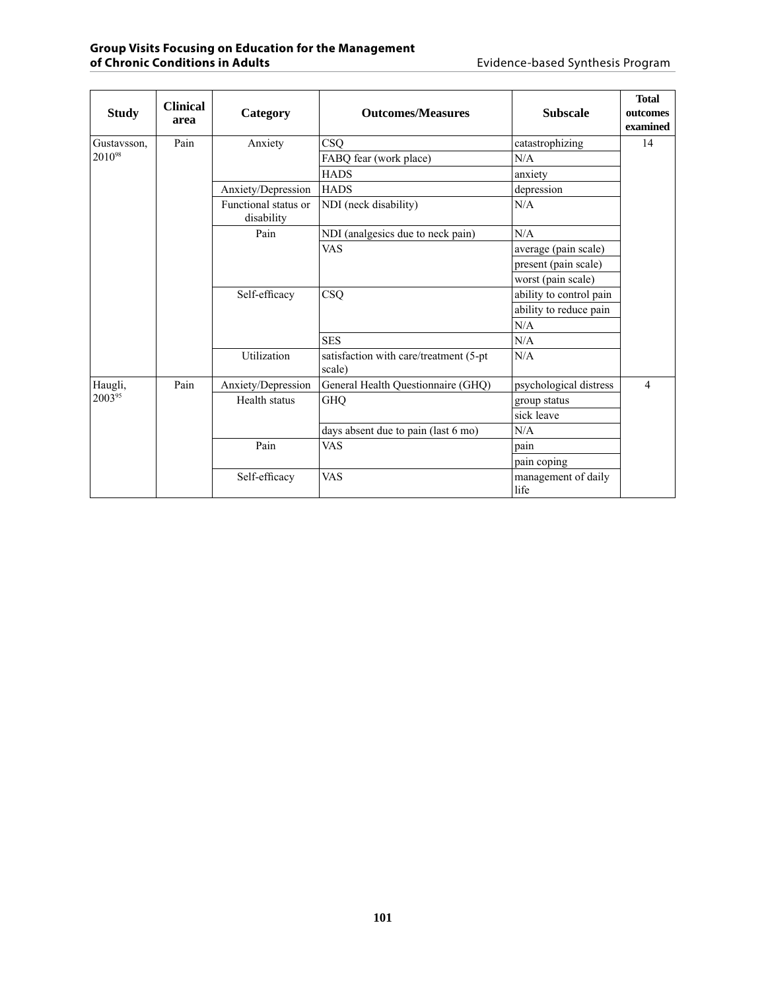| <b>Study</b> | <b>Clinical</b><br>area | Category                           | <b>Outcomes/Measures</b>            | <b>Subscale</b>                                  | <b>Total</b><br>outcomes<br>examined |  |
|--------------|-------------------------|------------------------------------|-------------------------------------|--------------------------------------------------|--------------------------------------|--|
| Gustavsson,  | Pain                    | Anxiety                            | CSQ                                 | catastrophizing                                  | 14                                   |  |
| 201098       |                         |                                    | FABQ fear (work place)              | N/A                                              |                                      |  |
|              |                         |                                    | <b>HADS</b>                         | anxiety                                          |                                      |  |
|              |                         | Anxiety/Depression                 | <b>HADS</b>                         | depression                                       |                                      |  |
|              |                         | Functional status or<br>disability | NDI (neck disability)               | N/A                                              |                                      |  |
|              |                         | Pain                               | NDI (analgesics due to neck pain)   | N/A                                              |                                      |  |
|              |                         |                                    | <b>VAS</b>                          | average (pain scale)                             |                                      |  |
|              |                         |                                    |                                     | present (pain scale)                             |                                      |  |
|              |                         |                                    |                                     | worst (pain scale)                               |                                      |  |
|              |                         | Self-efficacy                      | CSQ                                 | ability to control pain                          |                                      |  |
|              |                         |                                    |                                     | ability to reduce pain                           |                                      |  |
|              |                         |                                    |                                     | N/A                                              |                                      |  |
|              |                         |                                    | <b>SES</b>                          | N/A                                              |                                      |  |
|              |                         |                                    | Utilization                         | satisfaction with care/treatment (5-pt<br>scale) | N/A                                  |  |
| Haugli,      | Pain                    | Anxiety/Depression                 | General Health Questionnaire (GHQ)  | psychological distress                           | $\overline{4}$                       |  |
| 200395       |                         | Health status                      | <b>GHQ</b>                          | group status                                     |                                      |  |
|              |                         |                                    |                                     | sick leave                                       |                                      |  |
|              |                         |                                    | days absent due to pain (last 6 mo) | N/A                                              |                                      |  |
|              |                         | Pain                               | <b>VAS</b>                          | pain                                             |                                      |  |
|              |                         |                                    |                                     | pain coping                                      |                                      |  |
|              |                         | Self-efficacy                      | <b>VAS</b>                          | management of daily<br>life                      |                                      |  |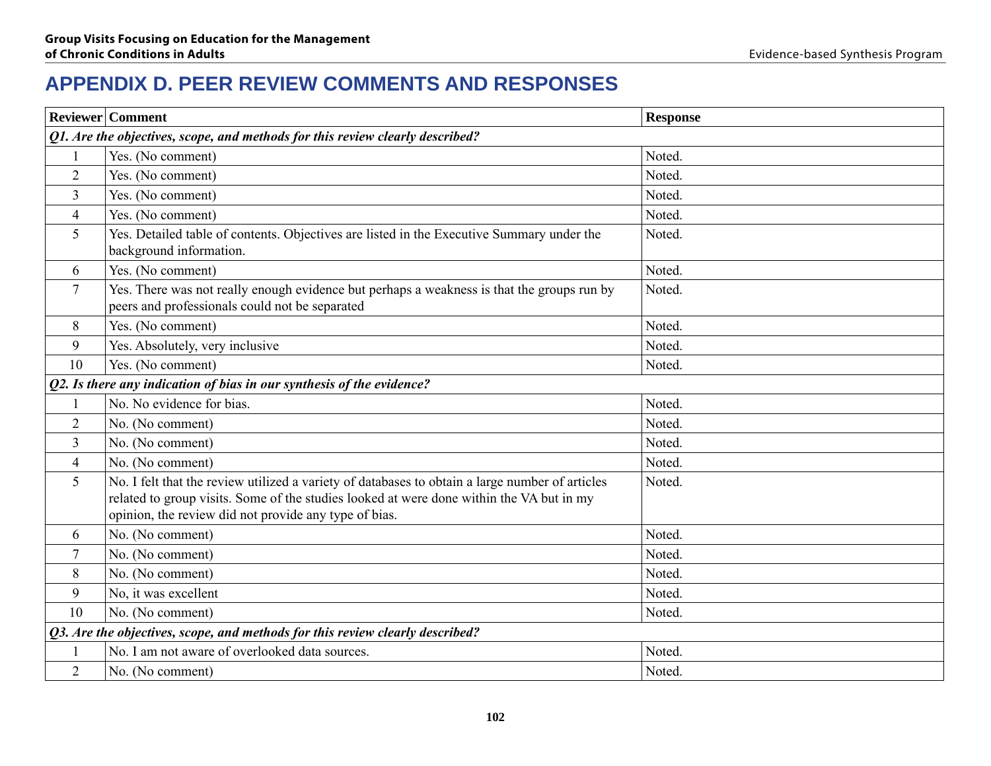## **APPENDIX D. Peer review comments and responses**

|                | <b>Reviewer</b> Comment                                                                                                                                                                                                                              | <b>Response</b> |
|----------------|------------------------------------------------------------------------------------------------------------------------------------------------------------------------------------------------------------------------------------------------------|-----------------|
|                | Q1. Are the objectives, scope, and methods for this review clearly described?                                                                                                                                                                        |                 |
|                | Yes. (No comment)                                                                                                                                                                                                                                    | Noted.          |
| $\overline{2}$ | Yes. (No comment)                                                                                                                                                                                                                                    | Noted.          |
| $\overline{3}$ | Yes. (No comment)                                                                                                                                                                                                                                    | Noted.          |
| 4              | Yes. (No comment)                                                                                                                                                                                                                                    | Noted.          |
| 5              | Yes. Detailed table of contents. Objectives are listed in the Executive Summary under the<br>background information.                                                                                                                                 | Noted.          |
| 6              | Yes. (No comment)                                                                                                                                                                                                                                    | Noted.          |
| $\overline{7}$ | Yes. There was not really enough evidence but perhaps a weakness is that the groups run by<br>peers and professionals could not be separated                                                                                                         | Noted.          |
| 8              | Yes. (No comment)                                                                                                                                                                                                                                    | Noted.          |
| 9              | Yes. Absolutely, very inclusive                                                                                                                                                                                                                      | Noted.          |
| 10             | Yes. (No comment)                                                                                                                                                                                                                                    | Noted.          |
|                | Q2. Is there any indication of bias in our synthesis of the evidence?                                                                                                                                                                                |                 |
|                | No. No evidence for bias.                                                                                                                                                                                                                            | Noted.          |
| $\overline{2}$ | No. (No comment)                                                                                                                                                                                                                                     | Noted.          |
| $\overline{3}$ | No. (No comment)                                                                                                                                                                                                                                     | Noted.          |
| $\overline{4}$ | No. (No comment)                                                                                                                                                                                                                                     | Noted.          |
| 5              | No. I felt that the review utilized a variety of databases to obtain a large number of articles<br>related to group visits. Some of the studies looked at were done within the VA but in my<br>opinion, the review did not provide any type of bias. | Noted.          |
| 6              | No. (No comment)                                                                                                                                                                                                                                     | Noted.          |
| 7              | No. (No comment)                                                                                                                                                                                                                                     | Noted.          |
| 8              | No. (No comment)                                                                                                                                                                                                                                     | Noted.          |
| 9              | No, it was excellent                                                                                                                                                                                                                                 | Noted.          |
| 10             | No. (No comment)                                                                                                                                                                                                                                     | Noted.          |
|                | Q3. Are the objectives, scope, and methods for this review clearly described?                                                                                                                                                                        |                 |
|                | No. I am not aware of overlooked data sources.                                                                                                                                                                                                       | Noted.          |
| $\overline{2}$ | No. (No comment)                                                                                                                                                                                                                                     | Noted.          |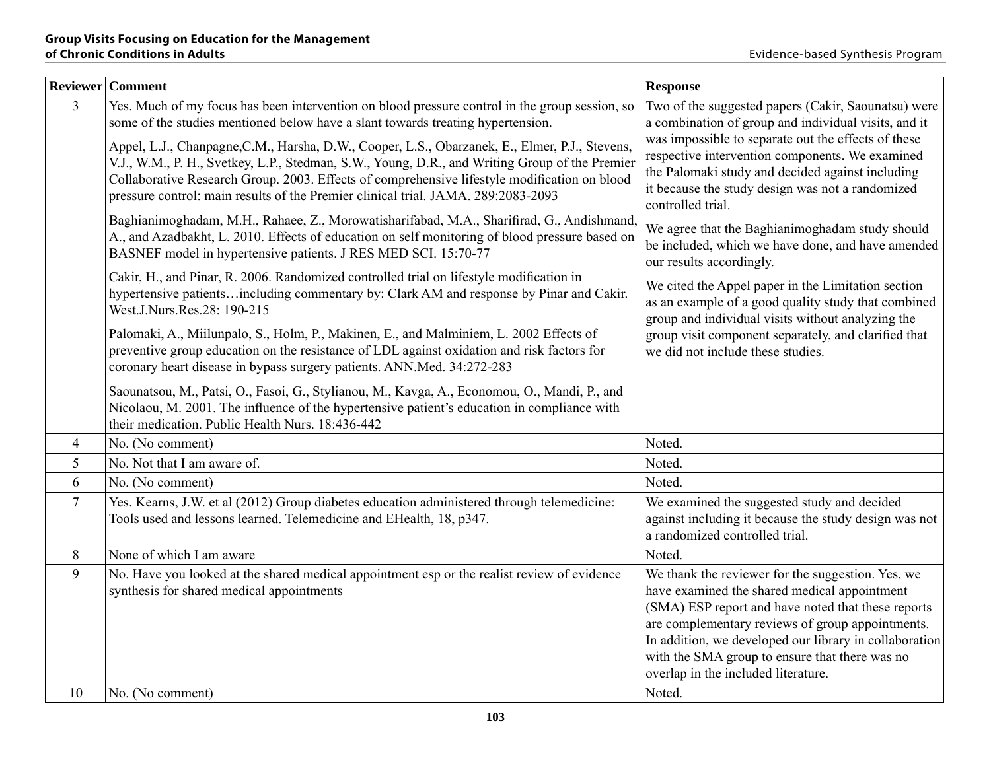|                | Reviewer   Comment                                                                                                                                                                                                                                                                                                                                                                    | <b>Response</b>                                                                                                                                                                                                                                                                                                                                                |
|----------------|---------------------------------------------------------------------------------------------------------------------------------------------------------------------------------------------------------------------------------------------------------------------------------------------------------------------------------------------------------------------------------------|----------------------------------------------------------------------------------------------------------------------------------------------------------------------------------------------------------------------------------------------------------------------------------------------------------------------------------------------------------------|
| $\overline{3}$ | Yes. Much of my focus has been intervention on blood pressure control in the group session, so<br>some of the studies mentioned below have a slant towards treating hypertension.                                                                                                                                                                                                     | Two of the suggested papers (Cakir, Saounatsu) were<br>a combination of group and individual visits, and it                                                                                                                                                                                                                                                    |
|                | Appel, L.J., Chanpagne, C.M., Harsha, D.W., Cooper, L.S., Obarzanek, E., Elmer, P.J., Stevens,<br>V.J., W.M., P. H., Svetkey, L.P., Stedman, S.W., Young, D.R., and Writing Group of the Premier<br>Collaborative Research Group. 2003. Effects of comprehensive lifestyle modification on blood<br>pressure control: main results of the Premier clinical trial. JAMA. 289:2083-2093 | was impossible to separate out the effects of these<br>respective intervention components. We examined<br>the Palomaki study and decided against including<br>it because the study design was not a randomized<br>controlled trial.                                                                                                                            |
|                | Baghianimoghadam, M.H., Rahaee, Z., Morowatisharifabad, M.A., Sharifirad, G., Andishmand,<br>A., and Azadbakht, L. 2010. Effects of education on self monitoring of blood pressure based on<br>BASNEF model in hypertensive patients. J RES MED SCI. 15:70-77                                                                                                                         | We agree that the Baghianimoghadam study should<br>be included, which we have done, and have amended<br>our results accordingly.                                                                                                                                                                                                                               |
|                | Cakir, H., and Pinar, R. 2006. Randomized controlled trial on lifestyle modification in<br>hypertensive patientsincluding commentary by: Clark AM and response by Pinar and Cakir.<br>West.J.Nurs.Res.28: 190-215                                                                                                                                                                     | We cited the Appel paper in the Limitation section<br>as an example of a good quality study that combined<br>group and individual visits without analyzing the                                                                                                                                                                                                 |
|                | Palomaki, A., Miilunpalo, S., Holm, P., Makinen, E., and Malminiem, L. 2002 Effects of<br>preventive group education on the resistance of LDL against oxidation and risk factors for<br>coronary heart disease in bypass surgery patients. ANN.Med. 34:272-283                                                                                                                        | group visit component separately, and clarified that<br>we did not include these studies.                                                                                                                                                                                                                                                                      |
|                | Saounatsou, M., Patsi, O., Fasoi, G., Stylianou, M., Kavga, A., Economou, O., Mandi, P., and<br>Nicolaou, M. 2001. The influence of the hypertensive patient's education in compliance with<br>their medication. Public Health Nurs. 18:436-442                                                                                                                                       |                                                                                                                                                                                                                                                                                                                                                                |
| 4              | No. (No comment)                                                                                                                                                                                                                                                                                                                                                                      | Noted.                                                                                                                                                                                                                                                                                                                                                         |
| 5              | No. Not that I am aware of.                                                                                                                                                                                                                                                                                                                                                           | Noted.                                                                                                                                                                                                                                                                                                                                                         |
| 6              | No. (No comment)                                                                                                                                                                                                                                                                                                                                                                      | Noted.                                                                                                                                                                                                                                                                                                                                                         |
| $\overline{7}$ | Yes. Kearns, J.W. et al (2012) Group diabetes education administered through telemedicine:<br>Tools used and lessons learned. Telemedicine and EHealth, 18, p347.                                                                                                                                                                                                                     | We examined the suggested study and decided<br>against including it because the study design was not<br>a randomized controlled trial.                                                                                                                                                                                                                         |
| 8              | None of which I am aware                                                                                                                                                                                                                                                                                                                                                              | Noted.                                                                                                                                                                                                                                                                                                                                                         |
| 9              | No. Have you looked at the shared medical appointment esp or the realist review of evidence<br>synthesis for shared medical appointments                                                                                                                                                                                                                                              | We thank the reviewer for the suggestion. Yes, we<br>have examined the shared medical appointment<br>(SMA) ESP report and have noted that these reports<br>are complementary reviews of group appointments.<br>In addition, we developed our library in collaboration<br>with the SMA group to ensure that there was no<br>overlap in the included literature. |
| 10             | No. (No comment)                                                                                                                                                                                                                                                                                                                                                                      | Noted.                                                                                                                                                                                                                                                                                                                                                         |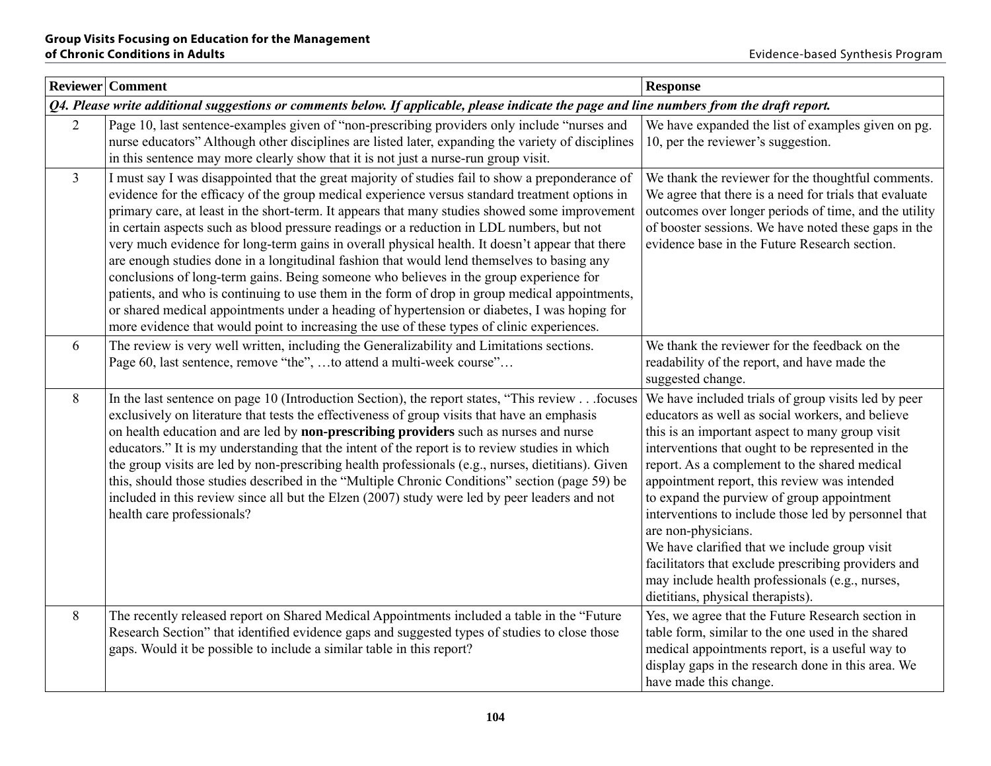|                                                                                                                                            | <b>Reviewer</b> Comment                                                                                                                                                                                                                                                                                                                                                                                                                                                                                                                                                                                                                                                                                                                                                                                                                                                                                                                                                                      | <b>Response</b>                                                                                                                                                                                                                                                                                                                                                                                                                                                                                                                                                                                                                               |  |
|--------------------------------------------------------------------------------------------------------------------------------------------|----------------------------------------------------------------------------------------------------------------------------------------------------------------------------------------------------------------------------------------------------------------------------------------------------------------------------------------------------------------------------------------------------------------------------------------------------------------------------------------------------------------------------------------------------------------------------------------------------------------------------------------------------------------------------------------------------------------------------------------------------------------------------------------------------------------------------------------------------------------------------------------------------------------------------------------------------------------------------------------------|-----------------------------------------------------------------------------------------------------------------------------------------------------------------------------------------------------------------------------------------------------------------------------------------------------------------------------------------------------------------------------------------------------------------------------------------------------------------------------------------------------------------------------------------------------------------------------------------------------------------------------------------------|--|
| Q4. Please write additional suggestions or comments below. If applicable, please indicate the page and line numbers from the draft report. |                                                                                                                                                                                                                                                                                                                                                                                                                                                                                                                                                                                                                                                                                                                                                                                                                                                                                                                                                                                              |                                                                                                                                                                                                                                                                                                                                                                                                                                                                                                                                                                                                                                               |  |
| 2                                                                                                                                          | Page 10, last sentence-examples given of "non-prescribing providers only include "nurses and<br>nurse educators" Although other disciplines are listed later, expanding the variety of disciplines<br>in this sentence may more clearly show that it is not just a nurse-run group visit.                                                                                                                                                                                                                                                                                                                                                                                                                                                                                                                                                                                                                                                                                                    | We have expanded the list of examples given on pg.<br>10, per the reviewer's suggestion.                                                                                                                                                                                                                                                                                                                                                                                                                                                                                                                                                      |  |
| $\overline{3}$                                                                                                                             | I must say I was disappointed that the great majority of studies fail to show a preponderance of<br>evidence for the efficacy of the group medical experience versus standard treatment options in<br>primary care, at least in the short-term. It appears that many studies showed some improvement<br>in certain aspects such as blood pressure readings or a reduction in LDL numbers, but not<br>very much evidence for long-term gains in overall physical health. It doesn't appear that there<br>are enough studies done in a longitudinal fashion that would lend themselves to basing any<br>conclusions of long-term gains. Being someone who believes in the group experience for<br>patients, and who is continuing to use them in the form of drop in group medical appointments,<br>or shared medical appointments under a heading of hypertension or diabetes, I was hoping for<br>more evidence that would point to increasing the use of these types of clinic experiences. | We thank the reviewer for the thoughtful comments.<br>We agree that there is a need for trials that evaluate<br>outcomes over longer periods of time, and the utility<br>of booster sessions. We have noted these gaps in the<br>evidence base in the Future Research section.                                                                                                                                                                                                                                                                                                                                                                |  |
| 6                                                                                                                                          | The review is very well written, including the Generalizability and Limitations sections.<br>Page 60, last sentence, remove "the", to attend a multi-week course"                                                                                                                                                                                                                                                                                                                                                                                                                                                                                                                                                                                                                                                                                                                                                                                                                            | We thank the reviewer for the feedback on the<br>readability of the report, and have made the<br>suggested change.                                                                                                                                                                                                                                                                                                                                                                                                                                                                                                                            |  |
| 8                                                                                                                                          | In the last sentence on page 10 (Introduction Section), the report states, "This review focuses<br>exclusively on literature that tests the effectiveness of group visits that have an emphasis<br>on health education and are led by non-prescribing providers such as nurses and nurse<br>educators." It is my understanding that the intent of the report is to review studies in which<br>the group visits are led by non-prescribing health professionals (e.g., nurses, dietitians). Given<br>this, should those studies described in the "Multiple Chronic Conditions" section (page 59) be<br>included in this review since all but the Elzen (2007) study were led by peer leaders and not<br>health care professionals?                                                                                                                                                                                                                                                            | We have included trials of group visits led by peer<br>educators as well as social workers, and believe<br>this is an important aspect to many group visit<br>interventions that ought to be represented in the<br>report. As a complement to the shared medical<br>appointment report, this review was intended<br>to expand the purview of group appointment<br>interventions to include those led by personnel that<br>are non-physicians.<br>We have clarified that we include group visit<br>facilitators that exclude prescribing providers and<br>may include health professionals (e.g., nurses,<br>dietitians, physical therapists). |  |
| 8                                                                                                                                          | The recently released report on Shared Medical Appointments included a table in the "Future<br>Research Section" that identified evidence gaps and suggested types of studies to close those<br>gaps. Would it be possible to include a similar table in this report?                                                                                                                                                                                                                                                                                                                                                                                                                                                                                                                                                                                                                                                                                                                        | Yes, we agree that the Future Research section in<br>table form, similar to the one used in the shared<br>medical appointments report, is a useful way to<br>display gaps in the research done in this area. We<br>have made this change.                                                                                                                                                                                                                                                                                                                                                                                                     |  |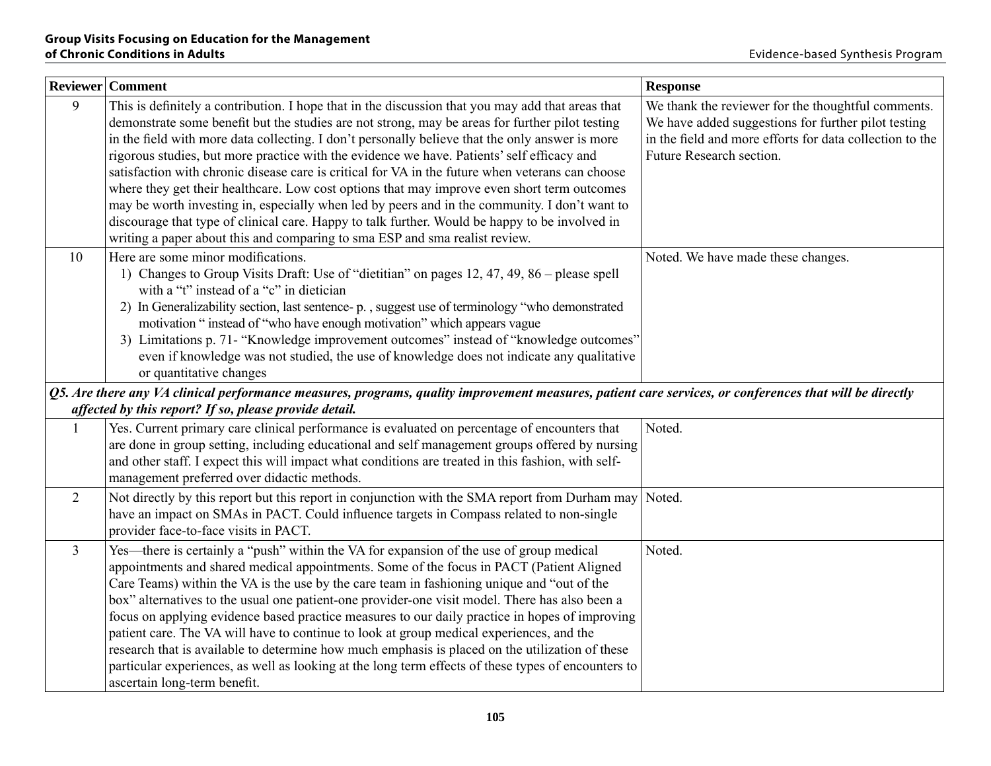|                | Reviewer Comment                                                                                                                                        | <b>Response</b>                                          |
|----------------|---------------------------------------------------------------------------------------------------------------------------------------------------------|----------------------------------------------------------|
| 9              | This is definitely a contribution. I hope that in the discussion that you may add that areas that                                                       | We thank the reviewer for the thoughtful comments.       |
|                | demonstrate some benefit but the studies are not strong, may be areas for further pilot testing                                                         | We have added suggestions for further pilot testing      |
|                | in the field with more data collecting. I don't personally believe that the only answer is more                                                         | in the field and more efforts for data collection to the |
|                | rigorous studies, but more practice with the evidence we have. Patients' self efficacy and                                                              | Future Research section.                                 |
|                | satisfaction with chronic disease care is critical for VA in the future when veterans can choose                                                        |                                                          |
|                | where they get their healthcare. Low cost options that may improve even short term outcomes                                                             |                                                          |
|                | may be worth investing in, especially when led by peers and in the community. I don't want to                                                           |                                                          |
|                | discourage that type of clinical care. Happy to talk further. Would be happy to be involved in                                                          |                                                          |
|                | writing a paper about this and comparing to sma ESP and sma realist review.                                                                             |                                                          |
| 10             | Here are some minor modifications.                                                                                                                      | Noted. We have made these changes.                       |
|                | 1) Changes to Group Visits Draft: Use of "dietitian" on pages 12, 47, 49, 86 – please spell                                                             |                                                          |
|                | with a "t" instead of a "c" in dietician                                                                                                                |                                                          |
|                | 2) In Generalizability section, last sentence-p., suggest use of terminology "who demonstrated                                                          |                                                          |
|                | motivation "instead of "who have enough motivation" which appears vague                                                                                 |                                                          |
|                | 3) Limitations p. 71- "Knowledge improvement outcomes" instead of "knowledge outcomes"                                                                  |                                                          |
|                | even if knowledge was not studied, the use of knowledge does not indicate any qualitative                                                               |                                                          |
|                | or quantitative changes                                                                                                                                 |                                                          |
|                | Q5. Are there any VA clinical performance measures, programs, quality improvement measures, patient care services, or conferences that will be directly |                                                          |
|                | affected by this report? If so, please provide detail.                                                                                                  |                                                          |
| $\mathbf{1}$   | Yes. Current primary care clinical performance is evaluated on percentage of encounters that                                                            | Noted.                                                   |
|                | are done in group setting, including educational and self management groups offered by nursing                                                          |                                                          |
|                | and other staff. I expect this will impact what conditions are treated in this fashion, with self-                                                      |                                                          |
|                | management preferred over didactic methods.                                                                                                             |                                                          |
| 2              | Not directly by this report but this report in conjunction with the SMA report from Durham may Noted.                                                   |                                                          |
|                | have an impact on SMAs in PACT. Could influence targets in Compass related to non-single                                                                |                                                          |
|                | provider face-to-face visits in PACT.                                                                                                                   |                                                          |
| $\mathfrak{Z}$ | Yes—there is certainly a "push" within the VA for expansion of the use of group medical                                                                 | Noted.                                                   |
|                | appointments and shared medical appointments. Some of the focus in PACT (Patient Aligned                                                                |                                                          |
|                | Care Teams) within the VA is the use by the care team in fashioning unique and "out of the                                                              |                                                          |
|                | box" alternatives to the usual one patient-one provider-one visit model. There has also been a                                                          |                                                          |
|                | focus on applying evidence based practice measures to our daily practice in hopes of improving                                                          |                                                          |
|                | patient care. The VA will have to continue to look at group medical experiences, and the                                                                |                                                          |
|                | research that is available to determine how much emphasis is placed on the utilization of these                                                         |                                                          |
|                | particular experiences, as well as looking at the long term effects of these types of encounters to                                                     |                                                          |
|                | ascertain long-term benefit.                                                                                                                            |                                                          |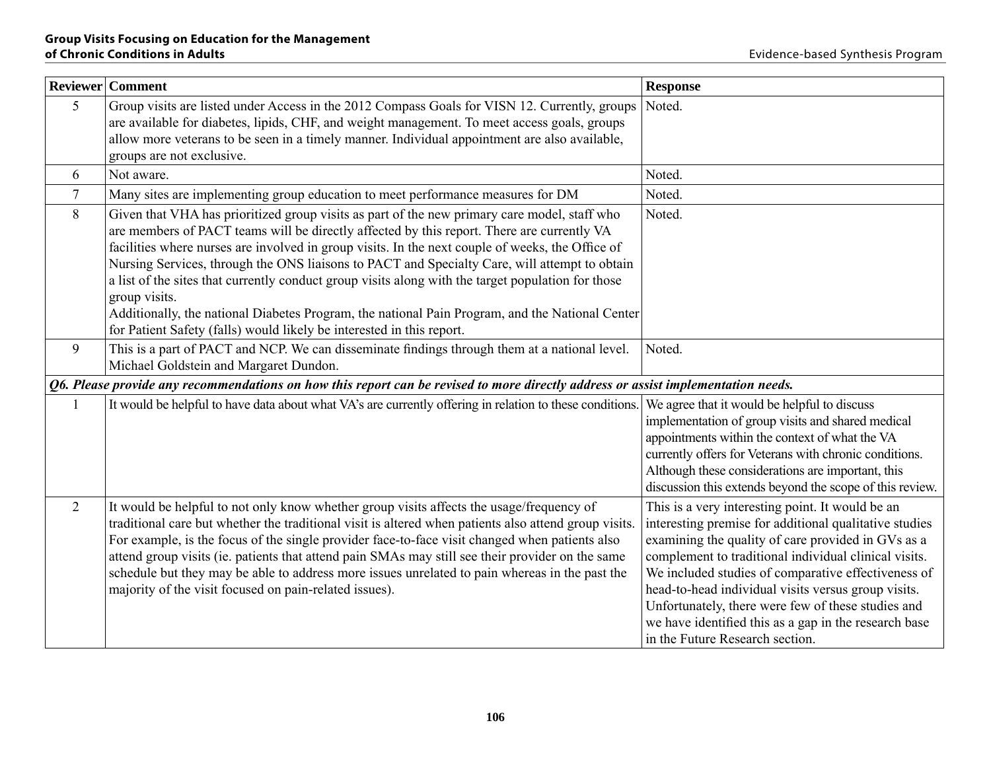|        | <b>Reviewer</b> Comment                                                                                                                                                                                                                                                                                                                                                                                                                                                                                                                                                                                                                                                                            | <b>Response</b>                                                                                                                                                                                                                                                                                                                                                                                                                                                                           |  |
|--------|----------------------------------------------------------------------------------------------------------------------------------------------------------------------------------------------------------------------------------------------------------------------------------------------------------------------------------------------------------------------------------------------------------------------------------------------------------------------------------------------------------------------------------------------------------------------------------------------------------------------------------------------------------------------------------------------------|-------------------------------------------------------------------------------------------------------------------------------------------------------------------------------------------------------------------------------------------------------------------------------------------------------------------------------------------------------------------------------------------------------------------------------------------------------------------------------------------|--|
| 5      | Group visits are listed under Access in the 2012 Compass Goals for VISN 12. Currently, groups<br>are available for diabetes, lipids, CHF, and weight management. To meet access goals, groups<br>allow more veterans to be seen in a timely manner. Individual appointment are also available,<br>groups are not exclusive.                                                                                                                                                                                                                                                                                                                                                                        | Noted.                                                                                                                                                                                                                                                                                                                                                                                                                                                                                    |  |
| 6      | Not aware.                                                                                                                                                                                                                                                                                                                                                                                                                                                                                                                                                                                                                                                                                         | Noted.                                                                                                                                                                                                                                                                                                                                                                                                                                                                                    |  |
| $\tau$ | Many sites are implementing group education to meet performance measures for DM                                                                                                                                                                                                                                                                                                                                                                                                                                                                                                                                                                                                                    | Noted.                                                                                                                                                                                                                                                                                                                                                                                                                                                                                    |  |
| 8      | Given that VHA has prioritized group visits as part of the new primary care model, staff who<br>are members of PACT teams will be directly affected by this report. There are currently VA<br>facilities where nurses are involved in group visits. In the next couple of weeks, the Office of<br>Nursing Services, through the ONS liaisons to PACT and Specialty Care, will attempt to obtain<br>a list of the sites that currently conduct group visits along with the target population for those<br>group visits.<br>Additionally, the national Diabetes Program, the national Pain Program, and the National Center<br>for Patient Safety (falls) would likely be interested in this report. | Noted.                                                                                                                                                                                                                                                                                                                                                                                                                                                                                    |  |
| 9      | This is a part of PACT and NCP. We can disseminate findings through them at a national level.<br>Michael Goldstein and Margaret Dundon.                                                                                                                                                                                                                                                                                                                                                                                                                                                                                                                                                            | Noted.                                                                                                                                                                                                                                                                                                                                                                                                                                                                                    |  |
|        | Q6. Please provide any recommendations on how this report can be revised to more directly address or assist implementation needs.                                                                                                                                                                                                                                                                                                                                                                                                                                                                                                                                                                  |                                                                                                                                                                                                                                                                                                                                                                                                                                                                                           |  |
|        | It would be helpful to have data about what VA's are currently offering in relation to these conditions.                                                                                                                                                                                                                                                                                                                                                                                                                                                                                                                                                                                           | We agree that it would be helpful to discuss<br>implementation of group visits and shared medical<br>appointments within the context of what the VA<br>currently offers for Veterans with chronic conditions.<br>Although these considerations are important, this<br>discussion this extends beyond the scope of this review.                                                                                                                                                            |  |
| 2      | It would be helpful to not only know whether group visits affects the usage/frequency of<br>traditional care but whether the traditional visit is altered when patients also attend group visits.<br>For example, is the focus of the single provider face-to-face visit changed when patients also<br>attend group visits (ie. patients that attend pain SMAs may still see their provider on the same<br>schedule but they may be able to address more issues unrelated to pain whereas in the past the<br>majority of the visit focused on pain-related issues).                                                                                                                                | This is a very interesting point. It would be an<br>interesting premise for additional qualitative studies<br>examining the quality of care provided in GVs as a<br>complement to traditional individual clinical visits.<br>We included studies of comparative effectiveness of<br>head-to-head individual visits versus group visits.<br>Unfortunately, there were few of these studies and<br>we have identified this as a gap in the research base<br>in the Future Research section. |  |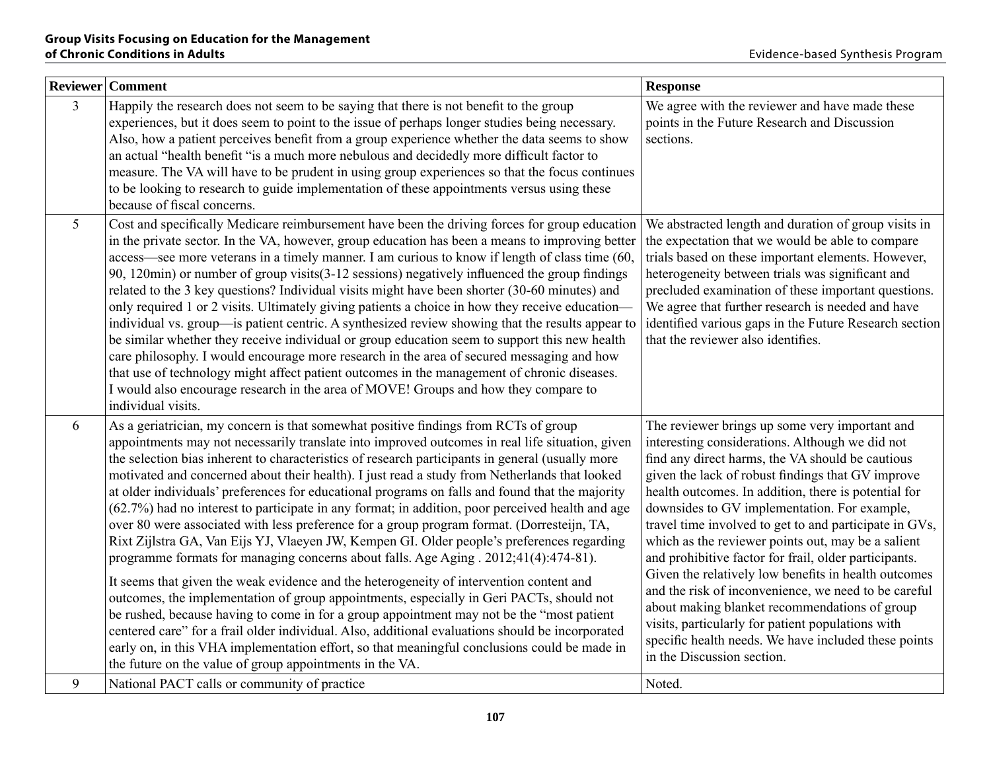|                | Reviewer Comment                                                                                                                                                                                                                                                                                                                                                                                                                                                                                                                                                                                                                                                                                                                                                                                                                                                                                                                                                                                                                                                                                                                                                                                                                                                                                                                                                                                                                            | <b>Response</b>                                                                                                                                                                                                                                                                                                                                                                                                                                                                                                                                                                                                                                                                                                                                                                                         |
|----------------|---------------------------------------------------------------------------------------------------------------------------------------------------------------------------------------------------------------------------------------------------------------------------------------------------------------------------------------------------------------------------------------------------------------------------------------------------------------------------------------------------------------------------------------------------------------------------------------------------------------------------------------------------------------------------------------------------------------------------------------------------------------------------------------------------------------------------------------------------------------------------------------------------------------------------------------------------------------------------------------------------------------------------------------------------------------------------------------------------------------------------------------------------------------------------------------------------------------------------------------------------------------------------------------------------------------------------------------------------------------------------------------------------------------------------------------------|---------------------------------------------------------------------------------------------------------------------------------------------------------------------------------------------------------------------------------------------------------------------------------------------------------------------------------------------------------------------------------------------------------------------------------------------------------------------------------------------------------------------------------------------------------------------------------------------------------------------------------------------------------------------------------------------------------------------------------------------------------------------------------------------------------|
| $\overline{3}$ | Happily the research does not seem to be saying that there is not benefit to the group<br>experiences, but it does seem to point to the issue of perhaps longer studies being necessary.<br>Also, how a patient perceives benefit from a group experience whether the data seems to show<br>an actual "health benefit "is a much more nebulous and decidedly more difficult factor to<br>measure. The VA will have to be prudent in using group experiences so that the focus continues<br>to be looking to research to guide implementation of these appointments versus using these<br>because of fiscal concerns.                                                                                                                                                                                                                                                                                                                                                                                                                                                                                                                                                                                                                                                                                                                                                                                                                        | We agree with the reviewer and have made these<br>points in the Future Research and Discussion<br>sections.                                                                                                                                                                                                                                                                                                                                                                                                                                                                                                                                                                                                                                                                                             |
| 5 <sup>5</sup> | Cost and specifically Medicare reimbursement have been the driving forces for group education<br>in the private sector. In the VA, however, group education has been a means to improving better<br>access—see more veterans in a timely manner. I am curious to know if length of class time (60,<br>90, 120min) or number of group visits (3-12 sessions) negatively influenced the group findings<br>related to the 3 key questions? Individual visits might have been shorter (30-60 minutes) and<br>only required 1 or 2 visits. Ultimately giving patients a choice in how they receive education—<br>individual vs. group—is patient centric. A synthesized review showing that the results appear to<br>be similar whether they receive individual or group education seem to support this new health<br>care philosophy. I would encourage more research in the area of secured messaging and how<br>that use of technology might affect patient outcomes in the management of chronic diseases.<br>I would also encourage research in the area of MOVE! Groups and how they compare to<br>individual visits.                                                                                                                                                                                                                                                                                                                      | We abstracted length and duration of group visits in<br>the expectation that we would be able to compare<br>trials based on these important elements. However,<br>heterogeneity between trials was significant and<br>precluded examination of these important questions.<br>We agree that further research is needed and have<br>identified various gaps in the Future Research section<br>that the reviewer also identifies.                                                                                                                                                                                                                                                                                                                                                                          |
| 6              | As a geriatrician, my concern is that somewhat positive findings from RCTs of group<br>appointments may not necessarily translate into improved outcomes in real life situation, given<br>the selection bias inherent to characteristics of research participants in general (usually more<br>motivated and concerned about their health). I just read a study from Netherlands that looked<br>at older individuals' preferences for educational programs on falls and found that the majority<br>(62.7%) had no interest to participate in any format; in addition, poor perceived health and age<br>over 80 were associated with less preference for a group program format. (Dorresteijn, TA,<br>Rixt Zijlstra GA, Van Eijs YJ, Vlaeyen JW, Kempen GI. Older people's preferences regarding<br>programme formats for managing concerns about falls. Age Aging . 2012;41(4):474-81).<br>It seems that given the weak evidence and the heterogeneity of intervention content and<br>outcomes, the implementation of group appointments, especially in Geri PACTs, should not<br>be rushed, because having to come in for a group appointment may not be the "most patient"<br>centered care" for a frail older individual. Also, additional evaluations should be incorporated<br>early on, in this VHA implementation effort, so that meaningful conclusions could be made in<br>the future on the value of group appointments in the VA. | The reviewer brings up some very important and<br>interesting considerations. Although we did not<br>find any direct harms, the VA should be cautious<br>given the lack of robust findings that GV improve<br>health outcomes. In addition, there is potential for<br>downsides to GV implementation. For example,<br>travel time involved to get to and participate in GVs,<br>which as the reviewer points out, may be a salient<br>and prohibitive factor for frail, older participants.<br>Given the relatively low benefits in health outcomes<br>and the risk of inconvenience, we need to be careful<br>about making blanket recommendations of group<br>visits, particularly for patient populations with<br>specific health needs. We have included these points<br>in the Discussion section. |
| 9              | National PACT calls or community of practice                                                                                                                                                                                                                                                                                                                                                                                                                                                                                                                                                                                                                                                                                                                                                                                                                                                                                                                                                                                                                                                                                                                                                                                                                                                                                                                                                                                                | Noted.                                                                                                                                                                                                                                                                                                                                                                                                                                                                                                                                                                                                                                                                                                                                                                                                  |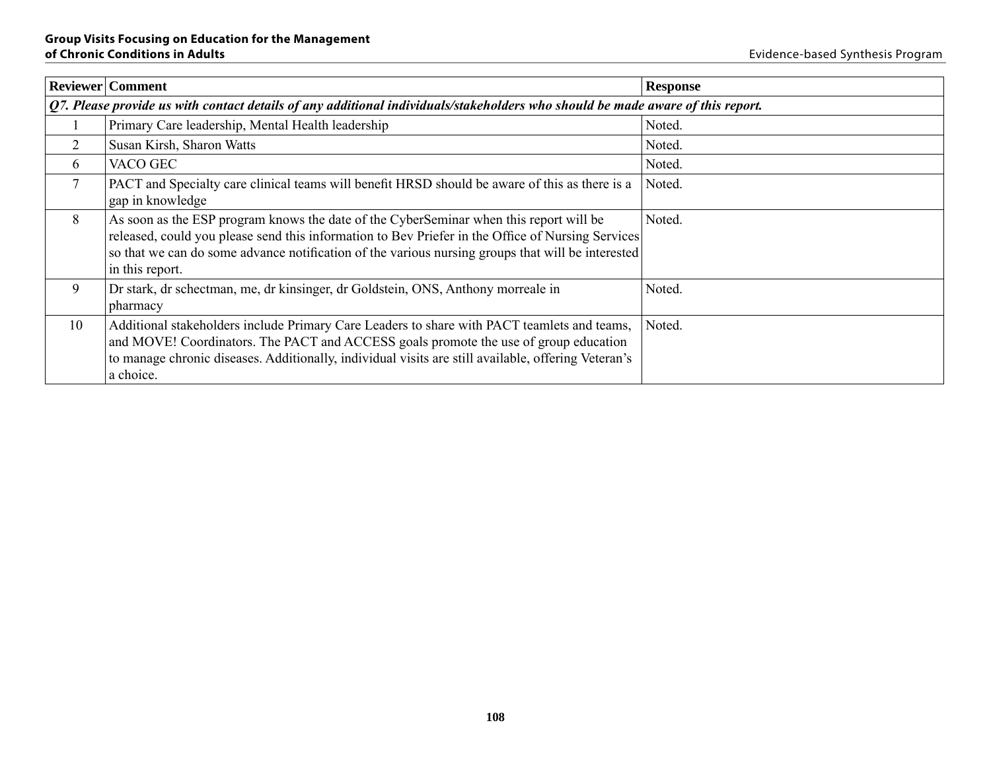|                | <b>Reviewer</b> Comment                                                                                                                                                                                                                                                                                             | <b>Response</b> |  |
|----------------|---------------------------------------------------------------------------------------------------------------------------------------------------------------------------------------------------------------------------------------------------------------------------------------------------------------------|-----------------|--|
|                | Q7. Please provide us with contact details of any additional individuals/stakeholders who should be made aware of this report.                                                                                                                                                                                      |                 |  |
|                | Primary Care leadership, Mental Health leadership                                                                                                                                                                                                                                                                   | Noted.          |  |
| 2              | Susan Kirsh, Sharon Watts                                                                                                                                                                                                                                                                                           | Noted.          |  |
| 6              | VACO GEC                                                                                                                                                                                                                                                                                                            | Noted.          |  |
| $\overline{7}$ | PACT and Specialty care clinical teams will benefit HRSD should be aware of this as there is a<br>gap in knowledge                                                                                                                                                                                                  | Noted.          |  |
| 8              | As soon as the ESP program knows the date of the CyberSeminar when this report will be<br>released, could you please send this information to Bev Priefer in the Office of Nursing Services<br>so that we can do some advance notification of the various nursing groups that will be interested<br>in this report. | Noted.          |  |
| 9              | Dr stark, dr scheetman, me, dr kinsinger, dr Goldstein, ONS, Anthony morreale in<br>pharmacy                                                                                                                                                                                                                        | Noted.          |  |
| 10             | Additional stakeholders include Primary Care Leaders to share with PACT teamlets and teams,<br>and MOVE! Coordinators. The PACT and ACCESS goals promote the use of group education<br>to manage chronic diseases. Additionally, individual visits are still available, offering Veteran's<br>a choice.             | Noted.          |  |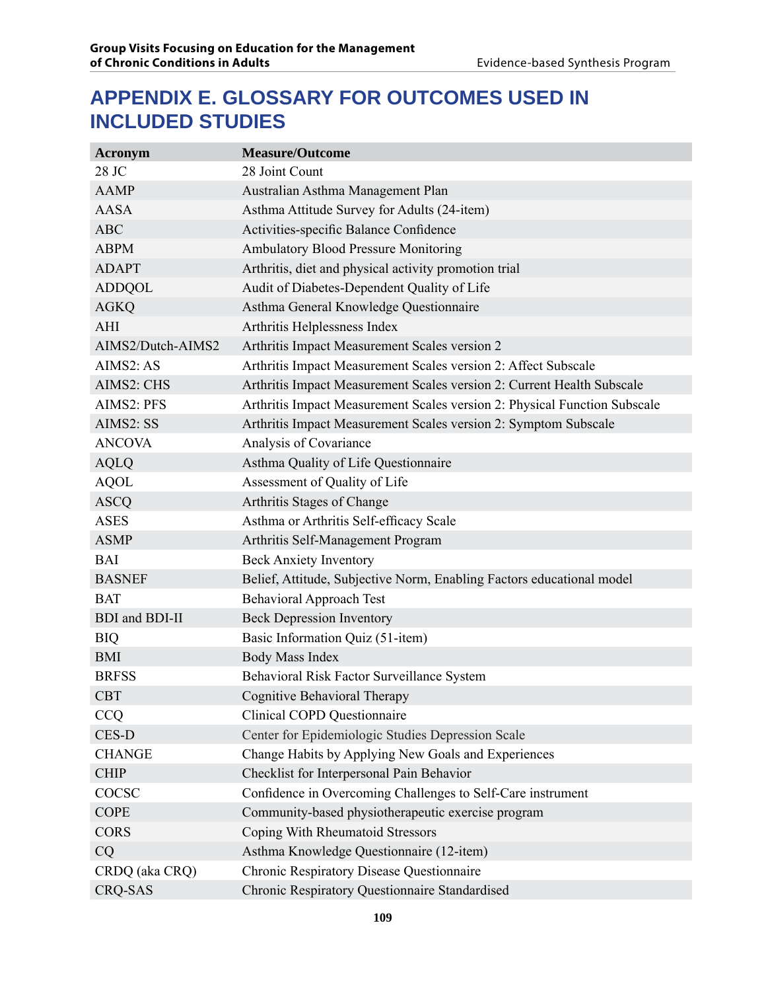# **APPENDIX E. Glossary for outcomes used in included studies**

| <b>Acronym</b>               | <b>Measure/Outcome</b>                                                    |
|------------------------------|---------------------------------------------------------------------------|
| 28 JC                        | 28 Joint Count                                                            |
| <b>AAMP</b>                  | Australian Asthma Management Plan                                         |
| <b>AASA</b>                  | Asthma Attitude Survey for Adults (24-item)                               |
| <b>ABC</b>                   | Activities-specific Balance Confidence                                    |
| <b>ABPM</b>                  | <b>Ambulatory Blood Pressure Monitoring</b>                               |
| <b>ADAPT</b>                 | Arthritis, diet and physical activity promotion trial                     |
| <b>ADDQOL</b>                | Audit of Diabetes-Dependent Quality of Life                               |
| <b>AGKQ</b>                  | Asthma General Knowledge Questionnaire                                    |
| AHI                          | Arthritis Helplessness Index                                              |
| AIMS2/Dutch-AIMS2            | Arthritis Impact Measurement Scales version 2                             |
| AIMS2: AS                    | Arthritis Impact Measurement Scales version 2: Affect Subscale            |
| AIMS2: CHS                   | Arthritis Impact Measurement Scales version 2: Current Health Subscale    |
| AIMS2: PFS                   | Arthritis Impact Measurement Scales version 2: Physical Function Subscale |
| AIMS2: SS                    | Arthritis Impact Measurement Scales version 2: Symptom Subscale           |
| <b>ANCOVA</b>                | Analysis of Covariance                                                    |
| <b>AQLQ</b>                  | Asthma Quality of Life Questionnaire                                      |
| <b>AQOL</b>                  | Assessment of Quality of Life                                             |
| <b>ASCQ</b>                  | Arthritis Stages of Change                                                |
| <b>ASES</b>                  | Asthma or Arthritis Self-efficacy Scale                                   |
| <b>ASMP</b>                  | Arthritis Self-Management Program                                         |
| <b>BAI</b>                   | <b>Beck Anxiety Inventory</b>                                             |
| <b>BASNEF</b>                | Belief, Attitude, Subjective Norm, Enabling Factors educational model     |
| <b>BAT</b>                   | <b>Behavioral Approach Test</b>                                           |
| <b>BDI</b> and <b>BDI-II</b> | <b>Beck Depression Inventory</b>                                          |
| <b>BIQ</b>                   | Basic Information Quiz (51-item)                                          |
| <b>BMI</b>                   | <b>Body Mass Index</b>                                                    |
| <b>BRFSS</b>                 | Behavioral Risk Factor Surveillance System                                |
| <b>CBT</b>                   | Cognitive Behavioral Therapy                                              |
| <b>CCQ</b>                   | Clinical COPD Questionnaire                                               |
| CES-D                        | Center for Epidemiologic Studies Depression Scale                         |
| <b>CHANGE</b>                | Change Habits by Applying New Goals and Experiences                       |
| <b>CHIP</b>                  | Checklist for Interpersonal Pain Behavior                                 |
| COCSC                        | Confidence in Overcoming Challenges to Self-Care instrument               |
| <b>COPE</b>                  | Community-based physiotherapeutic exercise program                        |
| <b>CORS</b>                  | Coping With Rheumatoid Stressors                                          |
| CQ                           | Asthma Knowledge Questionnaire (12-item)                                  |
| CRDQ (aka CRQ)               | Chronic Respiratory Disease Questionnaire                                 |
| <b>CRQ-SAS</b>               | Chronic Respiratory Questionnaire Standardised                            |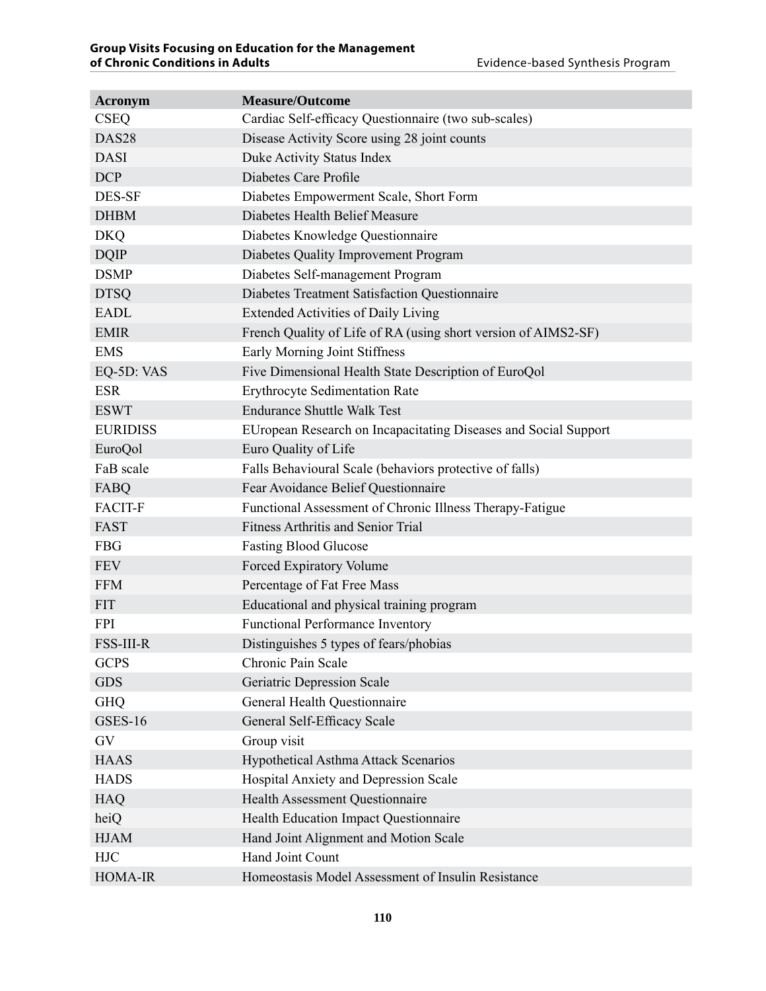| <b>Acronym</b>    | <b>Measure/Outcome</b>                                          |
|-------------------|-----------------------------------------------------------------|
| <b>CSEQ</b>       | Cardiac Self-efficacy Questionnaire (two sub-scales)            |
| DAS <sub>28</sub> | Disease Activity Score using 28 joint counts                    |
| <b>DASI</b>       | Duke Activity Status Index                                      |
| <b>DCP</b>        | Diabetes Care Profile                                           |
| DES-SF            | Diabetes Empowerment Scale, Short Form                          |
| <b>DHBM</b>       | Diabetes Health Belief Measure                                  |
| <b>DKQ</b>        | Diabetes Knowledge Questionnaire                                |
| <b>DQIP</b>       | Diabetes Quality Improvement Program                            |
| <b>DSMP</b>       | Diabetes Self-management Program                                |
| <b>DTSQ</b>       | Diabetes Treatment Satisfaction Questionnaire                   |
| <b>EADL</b>       | <b>Extended Activities of Daily Living</b>                      |
| <b>EMIR</b>       | French Quality of Life of RA (using short version of AIMS2-SF)  |
| <b>EMS</b>        | <b>Early Morning Joint Stiffness</b>                            |
| EQ-5D: VAS        | Five Dimensional Health State Description of EuroQol            |
| <b>ESR</b>        | <b>Erythrocyte Sedimentation Rate</b>                           |
| <b>ESWT</b>       | <b>Endurance Shuttle Walk Test</b>                              |
| <b>EURIDISS</b>   | EUropean Research on Incapacitating Diseases and Social Support |
| EuroQol           | Euro Quality of Life                                            |
| FaB scale         | Falls Behavioural Scale (behaviors protective of falls)         |
| FABQ              | Fear Avoidance Belief Questionnaire                             |
| <b>FACIT-F</b>    | Functional Assessment of Chronic Illness Therapy-Fatigue        |
| <b>FAST</b>       | <b>Fitness Arthritis and Senior Trial</b>                       |
| <b>FBG</b>        | <b>Fasting Blood Glucose</b>                                    |
| <b>FEV</b>        | Forced Expiratory Volume                                        |
| <b>FFM</b>        | Percentage of Fat Free Mass                                     |
| <b>FIT</b>        | Educational and physical training program                       |
| <b>FPI</b>        | <b>Functional Performance Inventory</b>                         |
| <b>FSS-III-R</b>  | Distinguishes 5 types of fears/phobias                          |
| <b>GCPS</b>       | Chronic Pain Scale                                              |
| <b>GDS</b>        | Geriatric Depression Scale                                      |
| <b>GHQ</b>        | General Health Questionnaire                                    |
| <b>GSES-16</b>    | General Self-Efficacy Scale                                     |
| GV                | Group visit                                                     |
| <b>HAAS</b>       | <b>Hypothetical Asthma Attack Scenarios</b>                     |
| <b>HADS</b>       | Hospital Anxiety and Depression Scale                           |
| <b>HAQ</b>        | Health Assessment Questionnaire                                 |
| heiQ              | Health Education Impact Questionnaire                           |
| <b>HJAM</b>       | Hand Joint Alignment and Motion Scale                           |
| <b>HJC</b>        | Hand Joint Count                                                |
| HOMA-IR           | Homeostasis Model Assessment of Insulin Resistance              |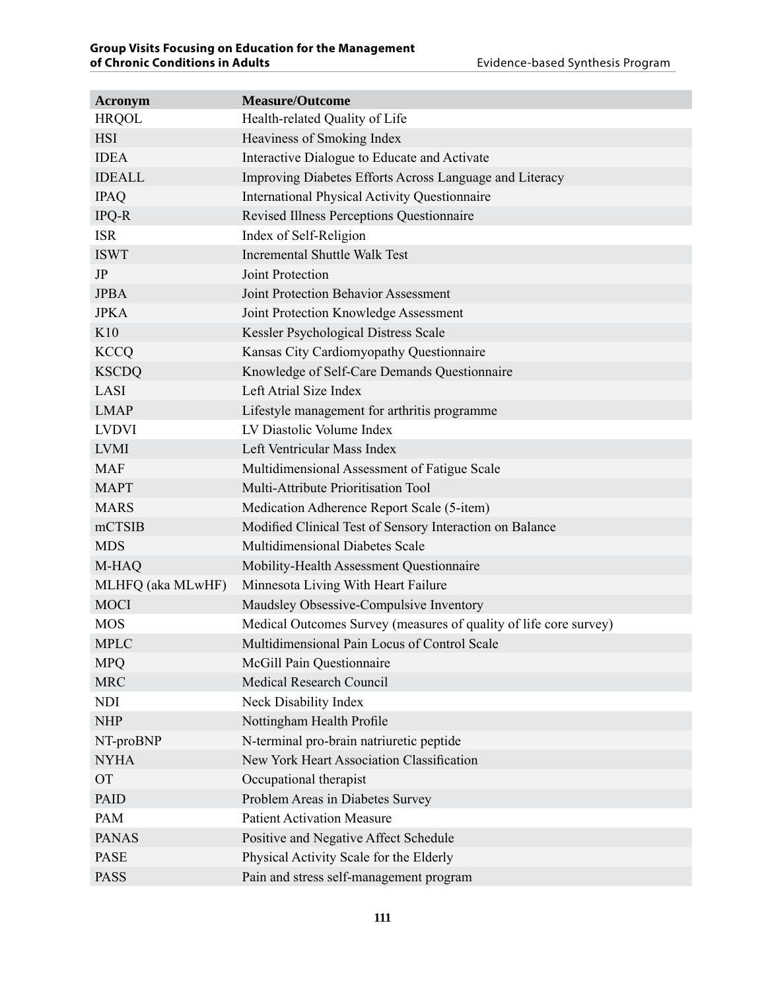| <b>Acronym</b>    | <b>Measure/Outcome</b>                                            |
|-------------------|-------------------------------------------------------------------|
| <b>HRQOL</b>      | Health-related Quality of Life                                    |
| <b>HSI</b>        | Heaviness of Smoking Index                                        |
| <b>IDEA</b>       | Interactive Dialogue to Educate and Activate                      |
| <b>IDEALL</b>     | Improving Diabetes Efforts Across Language and Literacy           |
| <b>IPAQ</b>       | <b>International Physical Activity Questionnaire</b>              |
| IPQ-R             | Revised Illness Perceptions Questionnaire                         |
| <b>ISR</b>        | Index of Self-Religion                                            |
| <b>ISWT</b>       | <b>Incremental Shuttle Walk Test</b>                              |
| JP                | Joint Protection                                                  |
| <b>JPBA</b>       | Joint Protection Behavior Assessment                              |
| <b>JPKA</b>       | Joint Protection Knowledge Assessment                             |
| K10               | Kessler Psychological Distress Scale                              |
| <b>KCCQ</b>       | Kansas City Cardiomyopathy Questionnaire                          |
| <b>KSCDQ</b>      | Knowledge of Self-Care Demands Questionnaire                      |
| LASI              | Left Atrial Size Index                                            |
| <b>LMAP</b>       | Lifestyle management for arthritis programme                      |
| <b>LVDVI</b>      | LV Diastolic Volume Index                                         |
| <b>LVMI</b>       | Left Ventricular Mass Index                                       |
| <b>MAF</b>        | Multidimensional Assessment of Fatigue Scale                      |
| <b>MAPT</b>       | Multi-Attribute Prioritisation Tool                               |
| <b>MARS</b>       | Medication Adherence Report Scale (5-item)                        |
| mCTSIB            | Modified Clinical Test of Sensory Interaction on Balance          |
| <b>MDS</b>        | Multidimensional Diabetes Scale                                   |
| M-HAQ             | Mobility-Health Assessment Questionnaire                          |
| MLHFQ (aka MLwHF) | Minnesota Living With Heart Failure                               |
| <b>MOCI</b>       | Maudsley Obsessive-Compulsive Inventory                           |
| <b>MOS</b>        | Medical Outcomes Survey (measures of quality of life core survey) |
| <b>MPLC</b>       | Multidimensional Pain Locus of Control Scale                      |
| <b>MPQ</b>        | McGill Pain Questionnaire                                         |
| <b>MRC</b>        | <b>Medical Research Council</b>                                   |
| <b>NDI</b>        | Neck Disability Index                                             |
| <b>NHP</b>        | Nottingham Health Profile                                         |
| NT-proBNP         | N-terminal pro-brain natriuretic peptide                          |
| <b>NYHA</b>       | New York Heart Association Classification                         |
| <b>OT</b>         | Occupational therapist                                            |
| <b>PAID</b>       | Problem Areas in Diabetes Survey                                  |
| PAM               | <b>Patient Activation Measure</b>                                 |
| <b>PANAS</b>      | Positive and Negative Affect Schedule                             |
| <b>PASE</b>       | Physical Activity Scale for the Elderly                           |
| <b>PASS</b>       | Pain and stress self-management program                           |